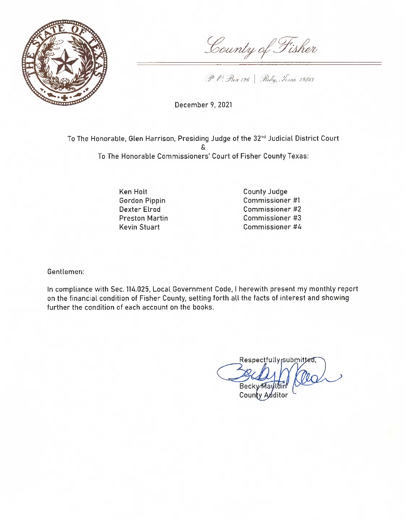

County of Fisher

P. C. Box 126 Roby, Jesas 79543

December 9, 2021

To The Honorable, Glen Harrison, Presiding Judge of the 32<sup>nd</sup> Judicial District Court To The Honorable Commissioners' Court of Fisher County Texas:

> Ken Holt Gordon Pippin Dexter Elrod **Preston Martin Kevin Stuart**

County Judge Commissioner #1 Commissioner #2 Commissioner #3 Commissioner #4

Gentlemen:

In compliance with Sec. 114.025, Local Government Code, I herewith present my monthly report on the financial condition of Fisher County, setting forth all the facts of interest and showing further the condition of each account on the books.

Respectfully submitted, **BeckyMa** 

County Auditor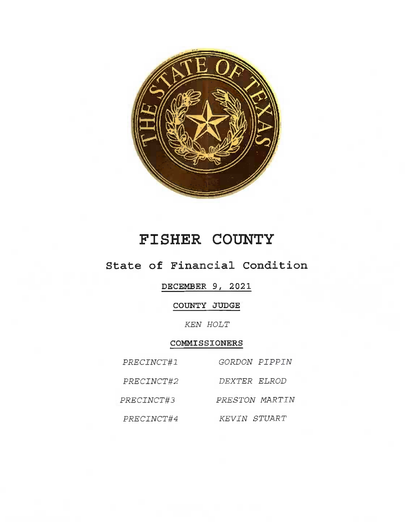

# FISHER COUNTY

## State of Financial Condition

### DECEMBER 9, 2021

COUNTY JUDGE

KEN HOLT

#### COMMISSIONERS

| PRECINCT#1        | GORDON PIPPIN  |
|-------------------|----------------|
| PRECINCT#2        | DEXTER ELROD   |
| <i>PRECINCT#3</i> | PRESTON MARTIN |
| PRECINCT#4        | KEVIN STUART   |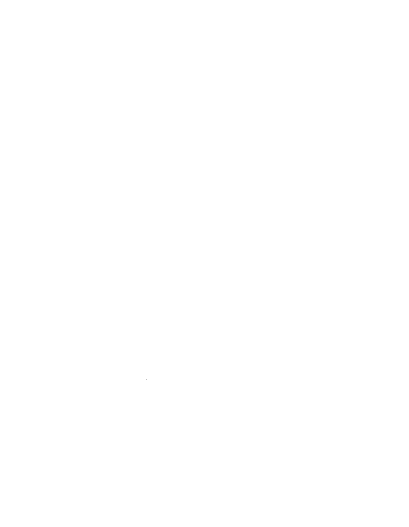$\label{eq:2.1} \frac{1}{\sqrt{2}}\int_{0}^{\infty}\frac{1}{\sqrt{2\pi}}\left(\frac{1}{\sqrt{2\pi}}\right)^{2}d\mu\int_{0}^{\infty}\frac{1}{\sqrt{2\pi}}\left(\frac{1}{\sqrt{2\pi}}\right)^{2}d\mu\int_{0}^{\infty}\frac{1}{\sqrt{2\pi}}\left(\frac{1}{\sqrt{2\pi}}\right)^{2}d\mu\int_{0}^{\infty}\frac{1}{\sqrt{2\pi}}\frac{1}{\sqrt{2\pi}}\int_{0}^{\infty}\frac{1}{\sqrt{2\pi}}\frac{1}{\sqrt{2\pi}}\frac{$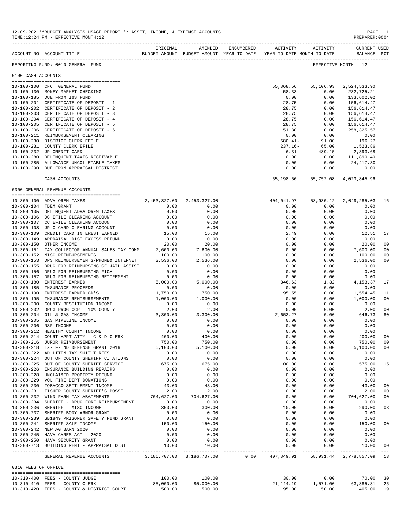|                     | ACCOUNT NO ACCOUNT-TITLE                                                                  | ORIGINAL                              | AMENDED<br>BUDGET-AMOUNT BUDGET-AMOUNT YEAR-TO-DATE | ENCUMBERED | ACTIVITY<br>YEAR-TO-DATE MONTH-TO-DATE | ACTIVITY                     | CURRENT USED<br>BALANCE PCT |                                  |
|---------------------|-------------------------------------------------------------------------------------------|---------------------------------------|-----------------------------------------------------|------------|----------------------------------------|------------------------------|-----------------------------|----------------------------------|
|                     | REPORTING FUND: 0010 GENERAL FUND                                                         |                                       |                                                     |            |                                        |                              | EFFECTIVE MONTH - 12        |                                  |
| 0100 CASH ACCOUNTS  |                                                                                           |                                       |                                                     |            |                                        |                              |                             |                                  |
|                     | 10-100-100 CFC: GENERAL FUND                                                              |                                       |                                                     |            | 55,868.56                              | 55,106.93                    | 2,524,533.90                |                                  |
|                     | 10-100-130 MONEY MARKET CHECKING                                                          |                                       |                                                     |            | 58.33                                  | 0.00                         | 232,725.21                  |                                  |
|                     | 10-100-185 DUE FROM I&S FUND                                                              |                                       |                                                     |            | 0.00                                   | 0.00                         | 133,602.02                  |                                  |
|                     | 10-100-201 CERTIFICATE OF DEPOSIT - 1                                                     |                                       |                                                     |            | 28.75                                  | 0.00                         | 156,614.47                  |                                  |
|                     | 10-100-202 CERTIFICATE OF DEPOSIT - 2<br>10-100-203 CERTIFICATE OF DEPOSIT - 3            |                                       |                                                     |            | 28.75<br>28.75                         | 0.00<br>0.00                 | 156,614.47<br>156,614.47    |                                  |
|                     | 10-100-204 CERTIFICATE OF DEPOSIT - 4                                                     |                                       |                                                     |            | 28.75                                  | 0.00                         | 156,614.47                  |                                  |
|                     | 10-100-205 CERTIFICATE OF DEPOSIT - 5                                                     |                                       |                                                     |            | 28.75                                  | 0.00                         | 156,614.47                  |                                  |
|                     | 10-100-206 CERTIFICATE OF DEPOSIT - 6                                                     |                                       |                                                     |            | 51.80                                  | 0.00                         | 258,325.57                  |                                  |
|                     | 10-100-211 REIMBURSEMENT CLEARING                                                         |                                       |                                                     |            | 0.00                                   | 0.00                         | 0.00                        |                                  |
|                     | 10-100-230 DISTRICT CLERK EFILE<br>10-100-231 COUNTY CLERK EFILE                          |                                       |                                                     |            | $680.41 -$<br>$237.16-$                | 91.00<br>65.00               | 196.27<br>1,523.86          |                                  |
|                     | 10-100-232 JP CREDIT CARD                                                                 |                                       |                                                     |            | $6.31 -$                               | 489.15                       | 2,393.68                    |                                  |
|                     | 10-100-280 DELINQUENT TAXES RECEIVABLE                                                    |                                       |                                                     |            | 0.00                                   |                              | 0.00 111,890.40             |                                  |
|                     | 10-100-285 ALLOWANCE-UNCOLLETABLE TAXES                                                   |                                       |                                                     |            | 0.00                                   | 0.00                         | 24,417.30-                  |                                  |
|                     | 10-100-290 DUE FROM APPRAISAL DISTRICT                                                    |                                       |                                                     |            | 0.00                                   | 0.00                         | 0.00                        |                                  |
|                     | CASH ACCOUNTS                                                                             |                                       |                                                     |            | 55,198.56                              |                              | 55,752.08 4,023,845.96      |                                  |
|                     | 0300 GENERAL REVENUE ACCOUNTS                                                             |                                       |                                                     |            |                                        |                              |                             |                                  |
|                     |                                                                                           |                                       |                                                     |            |                                        |                              |                             |                                  |
|                     | 10-300-100 ADVALOREM TAXES<br>10-300-104 TDEM GRANT                                       | 2, 453, 327.00 2, 453, 327.00<br>0.00 | 0.00                                                |            | 0.00                                   | 404,041.97 58,930.12<br>0.00 | 2,049,285.03<br>0.00        | 16                               |
|                     | 10-300-105 DELINQUENT ADVALOREM TAXES                                                     | 0.00                                  | 0.00                                                |            | 0.00                                   | 0.00                         | 0.00                        |                                  |
|                     | 10-300-106 DC EFILE CLEARING ACCOUNT                                                      | 0.00                                  | 0.00                                                |            | 0.00                                   | 0.00                         | 0.00                        |                                  |
|                     | 10-300-107 CC EFILE CLEARING ACCOUNT                                                      | 0.00                                  | 0.00                                                |            | 0.00                                   | 0.00                         | 0.00                        |                                  |
|                     | 10-300-108 JP C-CARD CLEARING ACCOUNT                                                     | 0.00                                  | 0.00                                                |            | 0.00                                   | 0.00                         | 0.00                        |                                  |
|                     | 10-300-109 CREDIT CARD INTEREST EARNED                                                    | 15.00                                 | 15.00                                               |            | 2.49                                   | 0.00                         | 12.51                       | 17                               |
|                     | 10-300-149 APPRAISAL DIST EXCESS REFUND                                                   | 0.00                                  | 0.00                                                |            | 0.00                                   | 0.00                         | 0.00                        |                                  |
|                     | 10-300-150 OTHER INCOME                                                                   | 20.00                                 | 20.00                                               |            | 0.00<br>0.00                           | 0.00<br>0.00                 | 20.00                       | 0 <sub>0</sub><br>0 <sub>0</sub> |
|                     | 10-300-151 TAX COLLECTOR ANNUAL SALES TAX COMM 7,600.00<br>10-300-152 MISC REIMBURSEMENTS | 100.00                                | 7,600.00<br>100.00                                  |            | 0.00                                   | 0.00                         | 7,600.00<br>100.00          | 0 <sub>0</sub>                   |
|                     | 10-300-153 DPS REIMBURSEMENTS/PHONE& INTERNET                                             | 2,536.00                              | 2,536.00                                            |            | 0.00                                   | 0.00                         | 2,536.00                    | 0 <sub>0</sub>                   |
|                     | 10-300-155 DRUG FOR REIMBURSING GF JAIL ASSIST                                            | 0.00                                  | 0.00                                                |            | 0.00                                   | 0.00                         | 0.00                        |                                  |
|                     | 10-300-156 DRUG FOR REIMBURSING FICA                                                      | 0.00                                  | 0.00                                                |            | 0.00                                   | 0.00                         | 0.00                        |                                  |
|                     | 10-300-157 DRUG FOR REIMBURSING RETIREMENT                                                | 0.00                                  | 0.00                                                |            | 0.00                                   | 0.00                         | 0.00                        |                                  |
|                     | 10-300-180 INTEREST EARNED                                                                | 5,000.00                              | 5,000.00                                            |            | 846.63                                 | 1.32                         | 4, 153. 37                  | 17                               |
|                     | 10-300-185 INSURANCE PROCEEDS<br>10-300-190 INTEREST EARNED CD'S                          | 0.00<br>1,750.00                      | 0.00<br>1,750.00                                    |            | 0.00<br>195.55                         | 0.00<br>0.00                 | 0.00<br>1,554.45            | 11                               |
|                     | 10-300-195 INSURANCE REMIBURSEMENTS                                                       | 1,000.00                              | 1,000.00                                            |            | 0.00                                   | 0.00                         | 1,000.00                    | 0 <sub>0</sub>                   |
|                     | 10-300-200 COUNTY RESTITUTION INCOME                                                      | 0.00                                  | 0.00                                                |            | 0.00                                   | 0.00                         | 0.00                        |                                  |
|                     | 10-300-202 DRUG PROG CCP - 10% COUNTY                                                     | 2.00                                  | 2.00                                                |            | 0.00                                   | 0.00                         | 2.00                        | 0 <sub>0</sub>                   |
|                     | 10-300-204 OIL & GAS INCOME                                                               | 3,300.00                              | 3,300.00                                            |            | 2,653.27                               | 0.00                         | 646.73                      | 80                               |
|                     | 10-300-205 GAS PIPELINE INCOME                                                            | 0.00                                  | 0.00                                                |            | 0.00                                   | 0.00                         | 0.00                        |                                  |
|                     | 10-300-206 NSF INCOME                                                                     | 0.00                                  | 0.00                                                |            | 0.00                                   | 0.00                         | 0.00                        |                                  |
|                     | 10-300-212 HEALTHY COUNTY INCOME<br>10-300-214 COURT APPT ATTY - C & D CLERK              | 0.00<br>400.00                        | 0.00<br>400.00                                      |            | 0.00<br>0.00                           | 0.00<br>0.00                 | 0.00<br>400.00              | 0 <sub>0</sub>                   |
|                     | 10-300-216 JUROR REIMBURSEMENT                                                            | 750.00                                | 750.00                                              |            | 0.00                                   | 0.00                         | 750.00                      | 0 <sub>0</sub>                   |
|                     | 10-300-218 TX-TF-IND DEFENSE GRANT 2019                                                   | 5,100.00                              | 5,100.00                                            |            | 0.00                                   | 0.00                         | 5,100.00                    | 00                               |
|                     | 10-300-222 AD LITEM TAX SUIT T REES                                                       | 0.00                                  | 0.00                                                |            | 0.00                                   | 0.00                         | 0.00                        |                                  |
|                     | 10-300-224 OUT OF COUNTY SHERIFF CITATIONS                                                | 0.00                                  | 0.00                                                |            | 0.00                                   | 0.00                         | 0.00                        |                                  |
|                     | 10-300-225 OUT OF COUNTY SHERIFF SERVICE                                                  | 675.00                                | 675.00                                              |            | 100.00                                 | 0.00                         | 575.00                      | -15                              |
|                     | 10-300-226 INSURANCE BUILDING REPAIRS<br>10-300-228 UNCLAIMED PROPERTY REFUND             | 0.00<br>0.00                          | 0.00<br>0.00                                        |            | 0.00<br>0.00                           | 0.00<br>0.00                 | 0.00<br>0.00                |                                  |
|                     | 10-300-229 VOL FIRE DEPT DONATIONS                                                        | 0.00                                  | 0.00                                                |            | 0.00                                   | 0.00                         | 0.00                        |                                  |
|                     | 10-300-230 TOBACCO SETTLEMENT INCOME                                                      | 43.00                                 | 43.00                                               |            | 0.00                                   | 0.00                         | 43.00                       | 0 <sub>0</sub>                   |
|                     | 10-300-231 FISHER COUNTY SHERIFF'S POSSE                                                  | 2.00                                  | 2.00                                                |            | 0.00                                   | 0.00                         | 2.00                        | 0 <sub>0</sub>                   |
|                     | 10-300-232 WIND FARM TAX ABATEMENTS                                                       | 704,627.00                            | 704,627.00                                          |            | 0.00                                   | 0.00                         | 704,627.00                  | 0 <sub>0</sub>                   |
|                     | 10-300-234 SHERIFF - DRUG FORF REIMBURSEMENT                                              | 0.00                                  | 0.00                                                |            | 0.00                                   | 0.00                         | 0.00                        |                                  |
|                     | 10-300-236 SHERIFF - MISC INCOME                                                          | 300.00                                | 300.00                                              |            | 10.00                                  | 0.00                         | 290.00                      | 03                               |
|                     | 10-300-237 SHERIFF BODY ARMOR GRANT<br>10-300-239 SB1849 PRISONER SAFETY FUND GRANT       | 0.00<br>0.00                          | 0.00<br>0.00                                        |            | 0.00<br>0.00                           | 0.00<br>0.00                 | 0.00<br>0.00                |                                  |
|                     | 10-300-241 SHERIFF SALE INCOME                                                            | 150.00                                | 150.00                                              |            | 0.00                                   | 0.00                         | 150.00                      | 0 <sub>0</sub>                   |
|                     | 10-300-242 NEW AG BARN 2020                                                               | 0.00                                  | 0.00                                                |            | 0.00                                   | 0.00                         | 0.00                        |                                  |
|                     | 10-300-245 HAVA CARES ACT - 2020                                                          | 0.00                                  | 0.00                                                |            | 0.00                                   | 0.00                         | 0.00                        |                                  |
|                     | 10-300-250 HAVA SECURITY GRANT                                                            | 0.00                                  | 0.00                                                |            | 0.00                                   | 0.00                         | 0.00                        |                                  |
|                     | 10-300-713 BUILDING RENT - APPRAISAL DIST                                                 | 10.00                                 | 10.00                                               |            | 0.00                                   | 0.00                         | 10.00                       | 00                               |
|                     | GENERAL REVENUE ACCOUNTS                                                                  |                                       | 3,186,707.00 3,186,707.00                           |            | 0.00 407,849.91                        |                              | 58,931.44 2,778,857.09 13   |                                  |
| 0310 FEES OF OFFICE |                                                                                           |                                       |                                                     |            |                                        |                              |                             |                                  |
|                     | 10-310-400 FEES - COUNTY JUDGE                                                            | 100.00                                | 100.00                                              |            | 30.00                                  | 0.00                         | 70.00                       | 30                               |
|                     | $10-310-410$ FEES - COUNTY CLERK                                                          | 85,000.00                             | 85,000.00                                           |            | 21,114.19                              | 1,571.00                     | 63,885.81                   | 25                               |
|                     | 10-310-420 FEES - COUNTY & DISTRICT COURT                                                 | 500.00                                | 500.00                                              |            | 95.00                                  | 50.00                        | 405.00                      | 19                               |

12-09-2021\*\*BUDGET ANALYSIS USAGE REPORT \*\* ASSET, INCOME, & EXPENSE ACCOUNTS PAGE 1 TIME:12:24 PM - EFFECTIVE MONTH:12

-------------------------------------------------------------------------------------------------------------------------------------------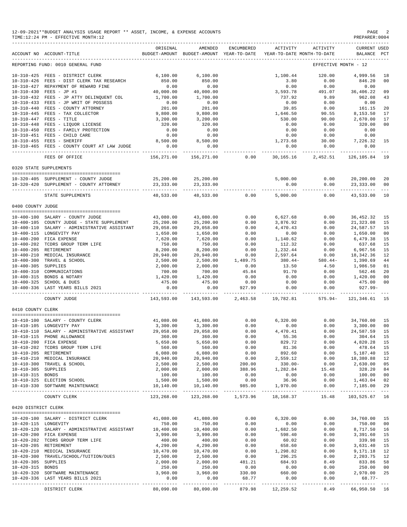|                                         | 12-09-2021**BUDGET ANALYSIS USAGE REPORT ** ASSET, INCOME, & EXPENSE ACCOUNTS<br>TIME:12:24 PM - EFFECTIVE MONTH:12                                                                                           |                            |                                                                                |                                                        |                            |                                                                                                                                                                | PREPARER: 0004                                                                    | PAGE 2                                                                                                                                                                                                                                                                                                                                                                                       |
|-----------------------------------------|---------------------------------------------------------------------------------------------------------------------------------------------------------------------------------------------------------------|----------------------------|--------------------------------------------------------------------------------|--------------------------------------------------------|----------------------------|----------------------------------------------------------------------------------------------------------------------------------------------------------------|-----------------------------------------------------------------------------------|----------------------------------------------------------------------------------------------------------------------------------------------------------------------------------------------------------------------------------------------------------------------------------------------------------------------------------------------------------------------------------------------|
|                                         | ACCOUNT NO ACCOUNT-TITLE<br>-----------------------------                                                                                                                                                     | ORIGINAL                   | AMENDED<br>BUDGET-AMOUNT BUDGET-AMOUNT YEAR-TO-DATE YEAR-TO-DATE MONTH-TO-DATE | ENCUMBERED                                             | ACTIVITY                   | ACTIVITY                                                                                                                                                       | CURRENT USED<br>BALANCE PCT                                                       |                                                                                                                                                                                                                                                                                                                                                                                              |
|                                         | REPORTING FUND: 0010 GENERAL FUND                                                                                                                                                                             |                            |                                                                                |                                                        |                            |                                                                                                                                                                | EFFECTIVE MONTH - 12                                                              |                                                                                                                                                                                                                                                                                                                                                                                              |
|                                         | 10-310-425 FEES - DISTRICT CLERK<br>10-310-426 FEES - DIST CLERK TAX RESEARCH<br>10-310-427 REPAYMENT OF REWARD FINE                                                                                          | 6,100.00<br>850.00<br>0.00 | 6,100.00<br>850.00<br>0.00                                                     |                                                        | 1,100.44<br>3.80<br>0.00   | 120.00<br>0.00<br>0.00                                                                                                                                         | 4,999.56<br>846.20<br>0.00                                                        | 18<br>00                                                                                                                                                                                                                                                                                                                                                                                     |
|                                         | 10-310-430 FEES - JP #1<br>10-310-432 FEES - JP ATTY DELINQUENT COL $1,700.00$<br>10-310-433 FEES - JP WRIT OF POSSESS                                                                                        | 40,000.00<br>0.00          | 40,000.00<br>1,700.00<br>0.00                                                  |                                                        | 3,593.78<br>737.92<br>0.00 | 491.07<br>9.89<br>0.00                                                                                                                                         | 36,406.22<br>962.08<br>0.00                                                       | 09<br>43                                                                                                                                                                                                                                                                                                                                                                                     |
|                                         | 10-310-440 FEES - COUNTY ATTORNEY 201.00<br>10-310-445 FEES - TAX COLLECTOR 201.00<br>10-310-447 FEES - TITLE 3,200.00<br>10-310-448 FEES - LIQUOR LICENSE 320.00<br>10-310-450 FEES - FAMILY PROTECTION 0.00 |                            | 201.00                                                                         |                                                        | 39.85                      | 0.00                                                                                                                                                           | 161.15                                                                            | 20                                                                                                                                                                                                                                                                                                                                                                                           |
|                                         |                                                                                                                                                                                                               |                            | 9,800.00                                                                       |                                                        | 1,646.50                   | 90.55                                                                                                                                                          | 8,153.50                                                                          | 17                                                                                                                                                                                                                                                                                                                                                                                           |
|                                         |                                                                                                                                                                                                               |                            | 3,200.00<br>320.00                                                             |                                                        | 530.00<br>0.00             | 90.00<br>0.00                                                                                                                                                  | 2,670.00<br>320.00                                                                | 17<br>00                                                                                                                                                                                                                                                                                                                                                                                     |
|                                         |                                                                                                                                                                                                               |                            | 0.00                                                                           |                                                        | 0.00                       | 0.00                                                                                                                                                           | 0.00                                                                              |                                                                                                                                                                                                                                                                                                                                                                                              |
|                                         | 10-310-451 FEES - CHILD CARE                                                                                                                                                                                  | 0.00                       | 0.00                                                                           |                                                        | 0.00                       | 0.00                                                                                                                                                           | 0.00                                                                              |                                                                                                                                                                                                                                                                                                                                                                                              |
|                                         | 10-310-455 FEES - SHERIFF<br>10-310-465 FEES - COUNTY COURT AT LAW JUDGE                                                                                                                                      | 8,500.00<br>0.00           | 8,500.00<br>0.00                                                               |                                                        | 1,273.68<br>0.00           | 0.00                                                                                                                                                           | 30.00 7,226.32<br>0.00                                                            | 15                                                                                                                                                                                                                                                                                                                                                                                           |
|                                         | FEES OF OFFICE                                                                                                                                                                                                | 156,271.00                 | . _ _ _ _ _ _ _ _ _ _ _<br>156,271.00                                          | 0.00                                                   |                            |                                                                                                                                                                | --------- ------------ -------------<br>30, 165. 16  2, 452. 51  126, 105. 84  19 |                                                                                                                                                                                                                                                                                                                                                                                              |
|                                         | 0320 STATE SUPPLEMENTS                                                                                                                                                                                        |                            |                                                                                |                                                        |                            |                                                                                                                                                                |                                                                                   |                                                                                                                                                                                                                                                                                                                                                                                              |
|                                         | 10-320-405 SUPPLEMENT - COUNTY JUDGE                                                                                                                                                                          | 25,200.00                  | 25,200.00                                                                      |                                                        | 5,000.00                   | 0.00                                                                                                                                                           | 20,200.00 20                                                                      |                                                                                                                                                                                                                                                                                                                                                                                              |
|                                         | 10-320-420 SUPPLEMENT - COUNTY ATTORNEY                                                                                                                                                                       | 23,333.00<br>.             |                                                                                | 23,333.00                                              | 0.00                       | 0.00                                                                                                                                                           | 23,333.00 00<br>---------- --------------                                         | $\frac{1}{2} \frac{1}{2} \frac{1}{2} \frac{1}{2} \frac{1}{2} \frac{1}{2} \frac{1}{2} \frac{1}{2} \frac{1}{2} \frac{1}{2} \frac{1}{2} \frac{1}{2} \frac{1}{2} \frac{1}{2} \frac{1}{2} \frac{1}{2} \frac{1}{2} \frac{1}{2} \frac{1}{2} \frac{1}{2} \frac{1}{2} \frac{1}{2} \frac{1}{2} \frac{1}{2} \frac{1}{2} \frac{1}{2} \frac{1}{2} \frac{1}{2} \frac{1}{2} \frac{1}{2} \frac{1}{2} \frac{$ |
|                                         | STATE SUPPLEMENTS                                                                                                                                                                                             | 48,533.00                  |                                                                                | 48,533.00 0.00                                         |                            | 5,000.00 0.00                                                                                                                                                  | 43,533.00                                                                         | 10                                                                                                                                                                                                                                                                                                                                                                                           |
| 0400 COUNTY JUDGE                       |                                                                                                                                                                                                               |                            |                                                                                |                                                        |                            |                                                                                                                                                                |                                                                                   |                                                                                                                                                                                                                                                                                                                                                                                              |
|                                         | 10-400-100 SALARY - COUNTY JUDGE                                                                                                                                                                              | 43,080.00                  | 43,080.00                                                                      | 0.00                                                   | 6,627.68                   | 0.00                                                                                                                                                           | 36,452.32                                                                         | 15                                                                                                                                                                                                                                                                                                                                                                                           |
|                                         | 10-400-105 COUNTY JUDGE - STATE SUPPLEMENT                                                                                                                                                                    | 25,200.00                  | 25,200.00                                                                      | 0.00                                                   | 3,876.92                   | 0.00                                                                                                                                                           | 21,323.08                                                                         | 15                                                                                                                                                                                                                                                                                                                                                                                           |
|                                         | 10-400-110 SALARY - ADMINISTRATIVE ASSISTANT                                                                                                                                                                  | 29,058.00                  | 29,058.00                                                                      | 0.00                                                   | 4,470.43                   | 0.00                                                                                                                                                           | 24,587.57                                                                         | 15                                                                                                                                                                                                                                                                                                                                                                                           |
|                                         | 10-400-115 LONGEVITY PAY<br>10-400-200 FICA EXPENSE                                                                                                                                                           | 1,650.00<br>7,620.00       | 1,650.00<br>7,620.00                                                           | 0.00<br>0.00                                           | 0.00<br>1,140.62           | 0.00<br>0.00                                                                                                                                                   | 1,650.00<br>6,479.38                                                              | 00<br>15                                                                                                                                                                                                                                                                                                                                                                                     |
|                                         | 10-400-202 TCDRS GROUP TERM LIFE                                                                                                                                                                              | 750.00                     | 750.00                                                                         | 0.00                                                   | 112.32                     | 0.00                                                                                                                                                           | 637.68                                                                            | 15                                                                                                                                                                                                                                                                                                                                                                                           |
| 10-400-205 RETIREMENT                   |                                                                                                                                                                                                               | 8,200.00                   | 8,200.00                                                                       | 0.00                                                   | 1,232.44                   | 0.00                                                                                                                                                           | 6,967.56                                                                          | 15                                                                                                                                                                                                                                                                                                                                                                                           |
|                                         | 10-400-210 MEDICAL INSURANCE                                                                                                                                                                                  | 20,940.00                  | 20,940.00                                                                      | 0.00                                                   | 2,597.64                   | 0.00                                                                                                                                                           | 18,342.36                                                                         | 12                                                                                                                                                                                                                                                                                                                                                                                           |
| 10-400-305 SUPPLIES                     | 10-400-300 TRAVEL & SCHOOL                                                                                                                                                                                    | 2,500.00<br>2,000.00       | 2,500.00<br>2,000.00                                                           | 1,489.75<br>0.00                                       | $380.44-$<br>13.50         | $580.44-$<br>4.50                                                                                                                                              | 1,390.69<br>1,986.50                                                              | 44<br>01                                                                                                                                                                                                                                                                                                                                                                                     |
|                                         | 10-400-310 COMMUNICATIONS                                                                                                                                                                                     | 700.00                     | 700.00                                                                         | 45.84                                                  | 91.70                      | 0.00                                                                                                                                                           | 562.46                                                                            | 20                                                                                                                                                                                                                                                                                                                                                                                           |
|                                         |                                                                                                                                                                                                               |                            | 1,420.00                                                                       | 0.00                                                   | 0.00                       | 0.00                                                                                                                                                           | 1,420.00                                                                          | 00                                                                                                                                                                                                                                                                                                                                                                                           |
|                                         | $10-400-315$ BONDS & NOTARY 1,420.00<br>$10-400-325$ SCHOOL & DUES 475.00<br>10-400-336 LAST YEARS BILLS 2021                                                                                                 | 0.00                       | 475.00<br>0.00                                                                 | 0.00<br>927.99                                         | 0.00<br>0.00               | 0.00<br>0.00                                                                                                                                                   | 475.00<br>927.99-                                                                 | 00                                                                                                                                                                                                                                                                                                                                                                                           |
|                                         | COUNTY JUDGE                                                                                                                                                                                                  | -------------              | 143,593.00 143,593.00                                                          |                                                        | 2,463.58 19,782.81         |                                                                                                                                                                | 575.94- 121,346.61 15                                                             |                                                                                                                                                                                                                                                                                                                                                                                              |
| 0410 COUNTY CLERK                       |                                                                                                                                                                                                               |                            |                                                                                |                                                        |                            |                                                                                                                                                                |                                                                                   |                                                                                                                                                                                                                                                                                                                                                                                              |
|                                         | 10-410-100 SALARY - COUNTY CLERK                                                                                                                                                                              |                            | 41,080.00 41,080.00                                                            |                                                        |                            |                                                                                                                                                                | $0.00$ 34,760.00 15                                                               |                                                                                                                                                                                                                                                                                                                                                                                              |
|                                         | 10-410-105 LONGEVITY PAY                                                                                                                                                                                      |                            | 3,300.00 3,300.00                                                              | $0.00$ 6,320.00<br>0.00                                | 0.00                       |                                                                                                                                                                | $0.00$ $3,300.00$ 00                                                              |                                                                                                                                                                                                                                                                                                                                                                                              |
|                                         | 10-410-110 SALARY - ADMINISTRATIVE ASSISTANT                                                                                                                                                                  | 29,058.00                  | 29,058.00                                                                      | 0.00                                                   | 4,470.41                   | 0.00                                                                                                                                                           | 24,587.59 15                                                                      |                                                                                                                                                                                                                                                                                                                                                                                              |
|                                         | 10-410-115 PHONE ALLOWANCE                                                                                                                                                                                    | 360.00                     | 360.00                                                                         | 0.00                                                   |                            | $\begin{array}{cccc} 4,4\sqrt{10},-4\sqrt{10},-1\ 5,3\sqrt{10},\ 5,4\sqrt{10},\ 829\cdot72 & 0\cdot0.00\ 81.36 & 0\cdot0.00\ 892.60 & 0\cdot0.00\ \end{array}$ | $304.64$ 15<br>4,820.28 15                                                        |                                                                                                                                                                                                                                                                                                                                                                                              |
|                                         | 10-410-200 FICA EXPENSE<br>10-410-202 TCDRS GROUP TERM LIFE                                                                                                                                                   | 5,650.00<br>560.00         | 5,650.00<br>560.00                                                             | 0.00<br>0.00                                           |                            |                                                                                                                                                                | 478.64 15                                                                         |                                                                                                                                                                                                                                                                                                                                                                                              |
| 10-410-205 RETIREMENT                   |                                                                                                                                                                                                               | 6,080.00                   | 6,080.00                                                                       | 0.00                                                   | 892.60                     |                                                                                                                                                                | 5,187.40 15                                                                       |                                                                                                                                                                                                                                                                                                                                                                                              |
|                                         | 10-410-210 MEDICAL INSURANCE                                                                                                                                                                                  | 20,940.00                  | 20,940.00                                                                      | 0.00                                                   | 2,559.12                   | 0.00                                                                                                                                                           | 18,380.88 12                                                                      |                                                                                                                                                                                                                                                                                                                                                                                              |
|                                         | 10-410-300 TRAVEL & SCHOOL                                                                                                                                                                                    | 2,500.00                   | 2,500.00<br>2,000.00                                                           |                                                        |                            |                                                                                                                                                                | 2,630.00 05                                                                       |                                                                                                                                                                                                                                                                                                                                                                                              |
| 10-410-305 SUPPLIES<br>10-410-315 BONDS |                                                                                                                                                                                                               | 2,000.00<br>100.00         |                                                                                | 0.00<br>388.96 1,282.84 15.48<br>388.96 1,282.84 15.48 |                            |                                                                                                                                                                | 328.20<br>100.00 00                                                               | 84                                                                                                                                                                                                                                                                                                                                                                                           |
|                                         | 10-410-325 ELECTION SCHOOL                                                                                                                                                                                    | 1,500.00                   | 1,500.00                                                                       |                                                        | 36.96                      | 0.00                                                                                                                                                           | $1,463.04$ 02                                                                     |                                                                                                                                                                                                                                                                                                                                                                                              |
|                                         | 10-410-330 SOFTWARE MAINTENANCE                                                                                                                                                                               |                            | 10,140.00   10,140.00                                                          | $2,000$<br>100.00 $$<br>500.00 0.00<br>385.00 985.00   | 1,970.00                   | 0.00                                                                                                                                                           | 7,185.00 29                                                                       |                                                                                                                                                                                                                                                                                                                                                                                              |
|                                         | COUNTY CLERK                                                                                                                                                                                                  | 123,268.00                 | 123,268.00                                                                     | 1,573.96                                               | 18,168.37                  | 15.48                                                                                                                                                          | 103,525.67 16                                                                     |                                                                                                                                                                                                                                                                                                                                                                                              |
| 0420 DISTRICT CLERK                     |                                                                                                                                                                                                               |                            |                                                                                |                                                        |                            |                                                                                                                                                                |                                                                                   |                                                                                                                                                                                                                                                                                                                                                                                              |
| 10-420-115 LONGEVITY                    | 10-420-100 SALARY - DISTRICT CLERK                                                                                                                                                                            | 750.00                     | 41,080.00 41,080.00<br>750.00                                                  | 0.00<br>0.00                                           | 6,320.00<br>0.00           | 0.00<br>0.00                                                                                                                                                   | 34,760.00 15<br>750.00 00                                                         |                                                                                                                                                                                                                                                                                                                                                                                              |
|                                         | 10-420-120 SALARY - ADMINISTRATIVE ASSISTANT                                                                                                                                                                  | 10,400.00                  | 10,400.00                                                                      | 0.00                                                   | 1,682.50                   | 0.00                                                                                                                                                           | 00 00.00<br>16.717,50 0                                                           |                                                                                                                                                                                                                                                                                                                                                                                              |
|                                         | 10-420-200 FICA EXPENSE                                                                                                                                                                                       | 3,990.00                   | 3,990.00                                                                       | 0.00                                                   | 598.40                     | 0.00                                                                                                                                                           | 3,391.60 15                                                                       |                                                                                                                                                                                                                                                                                                                                                                                              |
|                                         | 10-420-202 TCDRS GROUP TERM LIFE                                                                                                                                                                              | 400.00                     | 400.00                                                                         | 0.00                                                   | 60.02                      | 0.00                                                                                                                                                           | 339.98 15                                                                         |                                                                                                                                                                                                                                                                                                                                                                                              |
| 10-420-205 RETIREMENT                   |                                                                                                                                                                                                               | 4,290.00                   | 4,290.00                                                                       | 0.00                                                   | 658.60<br>1,298.82         | 0.00                                                                                                                                                           | 3,631.40 15                                                                       |                                                                                                                                                                                                                                                                                                                                                                                              |
|                                         | 10-420-210 MEDICAL INSURANCE<br>10-420-300 TRAVEL/SCHOOL/TUITION/DUES                                                                                                                                         | 10,470.00<br>2,500.00      | 10,470.00<br>2,500.00                                                          | 0.00<br>0.00                                           | 296.25                     | 0.00<br>0.00                                                                                                                                                   | 9,171.18 12<br>2,203.75 12                                                        |                                                                                                                                                                                                                                                                                                                                                                                              |
| 10-420-305 SUPPLIES                     |                                                                                                                                                                                                               | 2,000.00                   | 2,000.00                                                                       | 481.21                                                 | 684.93                     | 8.49                                                                                                                                                           | 833.86 58                                                                         |                                                                                                                                                                                                                                                                                                                                                                                              |
| 10-420-315 BONDS                        |                                                                                                                                                                                                               | 250.00                     | 250.00                                                                         | 0.00                                                   | 0.00                       | 0.00                                                                                                                                                           | 250.00 00                                                                         |                                                                                                                                                                                                                                                                                                                                                                                              |
|                                         | 10-420-320 SOFTWARE MAINTENANCE                                                                                                                                                                               | 3,960.00                   | 3,960.00                                                                       | 330.00                                                 | 660.00                     |                                                                                                                                                                | $0.00$ $2,970.00$ $25$                                                            |                                                                                                                                                                                                                                                                                                                                                                                              |
|                                         | 10-420-336 LAST YEARS BILLS 2021                                                                                                                                                                              | 0.00<br>---------          | 0.00<br>-------------                                                          | 68.77                                                  | 0.00                       | 0.00                                                                                                                                                           | $68.77-$<br>------------- -------------- ---                                      |                                                                                                                                                                                                                                                                                                                                                                                              |
|                                         | DISTRICT CLERK                                                                                                                                                                                                | 80,090.00                  | 80,090.00                                                                      | 879.98                                                 | 12,259.52                  | 8.49                                                                                                                                                           | 66,950.50 16                                                                      |                                                                                                                                                                                                                                                                                                                                                                                              |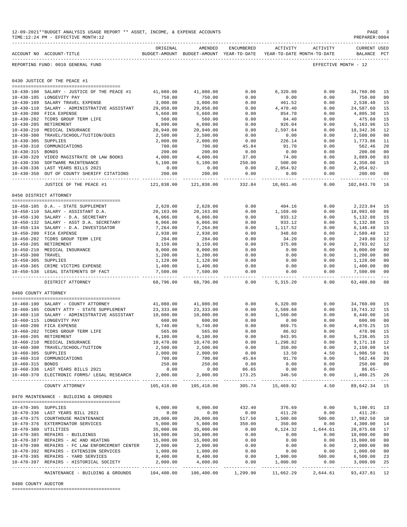|                                         | TIME:12:24 PM - EFFECTIVE MONTH:12                                                         |                                     |                                        |                     |                                                                                        |                       | PREPARER:0004                      |                                  |
|-----------------------------------------|--------------------------------------------------------------------------------------------|-------------------------------------|----------------------------------------|---------------------|----------------------------------------------------------------------------------------|-----------------------|------------------------------------|----------------------------------|
|                                         | ACCOUNT NO ACCOUNT-TITLE                                                                   | ORIGINAL                            | AMENDED                                | ENCUMBERED          | <b>ACTIVITY</b><br>BUDGET-AMOUNT BUDGET-AMOUNT YEAR-TO-DATE YEAR-TO-DATE MONTH-TO-DATE | ACTIVITY              | <b>CURRENT USED</b><br>BALANCE PCT |                                  |
|                                         | REPORTING FUND: 0010 GENERAL FUND                                                          |                                     |                                        |                     |                                                                                        | EFFECTIVE MONTH - 12  |                                    |                                  |
|                                         | 0430 JUSTICE OF THE PEACE #1                                                               |                                     |                                        |                     |                                                                                        |                       |                                    |                                  |
|                                         |                                                                                            |                                     |                                        |                     |                                                                                        |                       |                                    |                                  |
|                                         | 10-430-100 SALARY - JUSTICE OF THE PEACE #1                                                | 41,080.00                           | 41,080.00                              | 0.00                | 6,320.00                                                                               | 0.00                  | 34,760.00                          | 15                               |
|                                         | 10-430-105 LONGEVITY PAY                                                                   | 750.00<br>3,000.00                  | 750.00                                 | 0.00<br>0.00        | 0.00                                                                                   | 0.00                  | 750.00                             | 00<br>15                         |
|                                         | 10-430-109 SALARY TRAVEL EXPENSE<br>10-430-110 SALARY - ADMINISTRATIVE ASSISTANT 29,058.00 |                                     | 3,000.00<br>29,058.00                  | 0.00                | 461.52<br>4,470.40                                                                     | 0.00<br>0.00          | 2,538.48<br>24,587.60              | 15                               |
|                                         | 10-430-200 FICA EXPENSE                                                                    | 5,660.00                            | 5,660.00                               | 0.00                | 854.70                                                                                 | 0.00                  | 4,805.30                           | 15                               |
|                                         | 10-430-202 TCDRS GROUP TERM LIFE                                                           | 560.00                              | 560.00                                 | 0.00                | 84.40                                                                                  | 0.00                  | 475.60                             | 15                               |
|                                         | 10-430-205 RETIREMENT                                                                      | 6,090.00                            | 6,090.00                               | 0.00                | 926.04                                                                                 | 0.00                  | 5,163.96                           | 15                               |
|                                         | 10-430-210 MEDICAL INSURANCE                                                               | 20,940.00                           | 20,940.00                              | 0.00                | 2,597.64                                                                               | 0.00                  | 18,342.36                          | 12                               |
| $10 - 430 - 300$                        | TRAVEL/SCHOOL/TUITION/DUES                                                                 | 2,500.00                            | 2,500.00                               | 0.00                | 0.00                                                                                   | 0.00                  | 2,500.00                           | 00                               |
| 10-430-305 SUPPLIES                     |                                                                                            | 2,000.00                            | 2,000.00                               | 0.00                | 226.14                                                                                 | 0.00                  | 1,773.86                           | 11                               |
|                                         | 10-430-310 COMMUNICATIONS                                                                  | 700.00                              | 700.00                                 | 45.84               | 91.70                                                                                  | 0.00                  | 562.46                             | 20                               |
| 10-430-315 BONDS                        | 10-430-320 VIDEO MAGISTRATE OR LAW BOOKS                                                   | 200.00<br>4,000.00                  | 200.00<br>4,000.00                     | 0.00<br>37.00       | 0.00                                                                                   | 0.00<br>0.00          | 200.00<br>3,889.00                 | 0 <sub>0</sub><br>03             |
|                                         | 10-430-330 SOFTWARE MAINTENANCE                                                            | 5,100.00                            | 5,100.00                               | 250.00              | 74.00<br>500.00                                                                        | 0.00                  | 4,350.00                           | 15                               |
|                                         | 10-430-336 LAST YEARS BILLS 2021                                                           | 0.00                                | 0.00                                   | 0.00                | 2,054.92                                                                               | 0.00                  | 2,054.92-                          |                                  |
|                                         | 10-430-350 OUT OF COUNTY SHERIFF CITATIONS                                                 | 200.00<br>. _ _ _ _ _ _ _ _ _ _ _ _ | 200.00                                 | 0.00                | 0.00<br>. _ _ _ _ _ _ _ _ _ _ _                                                        | 0.00<br>------------- | 200.00                             | 0 <sub>0</sub>                   |
|                                         | JUSTICE OF THE PEACE #1                                                                    | 121,838.00                          | 121,838.00                             | 332.84              | 18,661.46                                                                              | 0.00                  | 102,843.70                         | 16                               |
|                                         | 0450 DISTRICT ATTORNEY                                                                     |                                     |                                        |                     |                                                                                        |                       |                                    |                                  |
|                                         | 10-450-105 D.A. - STATE SUPPLEMENT                                                         | 2,628.00                            | 2,628.00                               |                     | $0.00$ 404.16                                                                          | 0.00                  | 2,223.84                           | 15                               |
|                                         | 10-450-110 SALARY - ASSISTANT D.A.                                                         | 20,163.00                           | 20,163.00                              | 0.00                | 1,169.40                                                                               | 0.00                  | 18,993.60                          | 06                               |
|                                         | 10-450-130 SALARY - D.A. SECRETARY                                                         | 6,066.00                            | 6,066.00                               | 0.00                | 933.12                                                                                 | 0.00                  | 5,132.88                           | 15                               |
|                                         | 10-450-132 SALARY - ASST D.A. SECRETARY                                                    | 6,066.00                            | 6,066.00                               | 0.00                | 933.12                                                                                 | 0.00                  | 5,132.88                           | 15                               |
|                                         | 10-450-134 SALARY - D.A. INVESTIGATOR                                                      | 7,264.00                            | 7,264.00                               | 0.00                | 1,117.52                                                                               | 0.00                  | 6,146.48                           | 15                               |
|                                         | 10-450-200 FICA EXPENSE                                                                    | 2,938.00                            | 2,938.00                               | 0.00                | 348.60                                                                                 | 0.00                  | 2,589.40                           | 12                               |
|                                         | $10-450-202$ TCDRS GROUP TERM LIFE                                                         | 284.00                              | 284.00                                 | 0.00                | 34.20                                                                                  | 0.00                  | 249.80                             | 12                               |
|                                         | 10-450-205 RETIREMENT                                                                      | 3,159.00                            | 3,159.00                               | 0.00                | 375.08                                                                                 | 0.00                  | 2,783.92                           | 12                               |
| 10-450-300 TRAVEL                       | 10-450-210 MEDICAL INSURANCE                                                               | 9,000.00                            | 9,000.00                               | 0.00<br>0.00        | 0.00<br>0.00                                                                           | 0.00<br>0.00          | 9,000.00<br>1,200.00               | 0 <sub>0</sub><br>0 <sub>0</sub> |
| 10-450-305 SUPPLIES                     |                                                                                            | 1,200.00<br>1,128.00                | 1,200.00<br>1,128.00                   | 0.00                | 0.00                                                                                   | 0.00                  | 1,128.00                           | 0 <sub>0</sub>                   |
|                                         | 10-450-365 CRIME VICTIMS EXPENSE                                                           | 1,400.00                            | 1,400.00                               | 0.00                | 0.00                                                                                   | 0.00                  | 1,400.00                           | 0 <sub>0</sub>                   |
|                                         | 10-450-538 LEGAL STATEMENTS OF FACT                                                        | 7,500.00                            | 7,500.00                               | 0.00                | 0.00<br>------------                                                                   | 0.00<br>------------  | 7,500.00                           | 0 <sub>0</sub><br>$---$          |
|                                         | DISTRICT ATTORNEY                                                                          | 68,796.00                           | ----------- -------------<br>68,796.00 | -----------<br>0.00 | 5,315.20                                                                               | 0.00                  | -------------<br>63,480.80         | 08                               |
| 0460 COUNTY ATTORNEY                    |                                                                                            |                                     |                                        |                     |                                                                                        |                       |                                    |                                  |
|                                         | 10-460-100 SALARY - COUNTY ATTORNEY                                                        | 41,080.00                           | 41,080.00                              | 0.00                | 6,320.00                                                                               | 0.00                  | 34,760.00                          | 15                               |
|                                         | 10-460-105 COUNTY ATTY - STATE SUPPLEMENT                                                  | 23,333.00                           | 23,333.00                              | 0.00                | 3,589.68                                                                               | 0.00                  | 19,743.32                          | 15                               |
|                                         | 10-460-110 SALARY - ADMINISTRATIVE ASSISTANT                                               | 10,000.00                           | 10,000.00                              | 0.00                | 1,560.00                                                                               | 0.00                  | 8,440.00                           | 16                               |
|                                         | 10-460-115 LONGEVITY PAY                                                                   | 600.00                              | 600.00                                 | 0.00                | 0.00                                                                                   | 0.00                  | 600.00                             | 0 <sub>0</sub>                   |
|                                         | 10-460-200 FICA EXPENSE                                                                    | 5,740.00                            | 5,740.00                               | 0.00                | 869.75                                                                                 | 0.00                  | 4,870.25                           | 15                               |
|                                         | 10-460-202 TCDRS GROUP TERM LIFE                                                           | 565.00                              | 565.00                                 | 0.00                | 86.02                                                                                  | 0.00                  | 478.98                             | 15                               |
|                                         | 10-460-205 RETIREMENT                                                                      | 6,180.00                            | 6,180.00                               | 0.00                | 943.95                                                                                 | 0.00                  | 5,236.05                           | 15                               |
|                                         | 10-460-210 MEDICAL INSURANCE                                                               | 10,470.00                           | 10,470.00                              | 0.00                | 1,298.82                                                                               | 0.00                  | 9,171.18                           | 12                               |
| $10 - 460 - 300$<br>10-460-305 SUPPLIES | TRAVEL/SCHOOL/TUITION                                                                      | 2,500.00                            | 2,500.00                               | 0.00                | 350.00<br>13.50                                                                        | 0.00<br>4.50          | 2,150.00                           | 14<br>01                         |
|                                         | 10-460-310 COMMUNICATIONS                                                                  | 2,000.00<br>700.00                  | 2,000.00<br>700.00                     | 0.00<br>45.84       | 91.70                                                                                  | 0.00                  | 1,986.50<br>562.46                 | 20                               |
| 10-460-315 BONDS                        |                                                                                            | 250.00                              | 250.00                                 | 0.00                | 0.00                                                                                   | 0.00                  | 250.00                             | 0 <sub>0</sub>                   |
|                                         | 10-460-336 LAST YEARS BILLS 2021                                                           | 0.00                                | 0.00                                   | 86.65               | 0.00                                                                                   | 0.00                  | $86.65 -$                          |                                  |
|                                         | 10-460-370 ELECTRONIC FORMS/ LEGAL RESEARCH                                                | 2,000.00<br>. _ _ _ _ _ _ _ _       | 2,000.00                               | 173.25              | 346.50                                                                                 | 0.00                  | 1,480.25                           | -26                              |
|                                         | COUNTY ATTORNEY                                                                            | 105,418.00                          | 105,418.00                             | 305.74              | 15,469.92                                                                              | 4.50                  | 89,642.34 15                       |                                  |
|                                         | 0470 MAINTENANCE - BUILDING & GROUNDS                                                      |                                     |                                        |                     |                                                                                        |                       |                                    |                                  |
| 10-470-305 SUPPLIES                     |                                                                                            | 6.000.00                            | 6,000.00                               | 432.40              | 376.69                                                                                 | 0.00                  | 5,190.91                           | 13                               |
|                                         | 10-470-336 LAST YEARS BILL 2021                                                            | 0.00                                | 0.00                                   | 0.00                | 411.28                                                                                 | 0.00                  | $411.28 -$                         |                                  |
|                                         | 10-470-375 COURTHOUSE MAINTENANCE                                                          | 20,000.00                           | 20,000.00                              | 517.50              | 1,500.00                                                                               | 500.00                | 17,982.50                          | 10                               |
|                                         | 10-470-376 EXTERMINATOR SERVICES                                                           | 5,000.00                            | 5,000.00                               | 350.00              | 350.00                                                                                 | 0.00                  | 4,300.00                           | 14                               |
| 10-470-380 UTILITIES                    |                                                                                            | 35,000.00                           | 35,000.00                              | 0.00                | 6,124.32                                                                               | 1,644.61              | 28,875.68                          | 17                               |
|                                         | 10-470-385 REPAIRS - BUILDINGS                                                             | 10,000.00                           | 10,000.00                              | 0.00                | 0.00                                                                                   | 0.00                  | 10,000.00                          | 0 <sub>0</sub>                   |
|                                         | 10-470-387 REPAIRS - AC AND HEATING                                                        | 15,000.00                           | 15,000.00                              | 0.00                | 0.00                                                                                   | 0.00                  | 15,000.00                          | 0 <sub>0</sub>                   |
|                                         | 10-470-390 REPAIRS - FC LAW ENFORCEMENT CENTER                                             | 2,000.00                            | 2,000.00                               | 0.00                | 0.00                                                                                   | 0.00                  | 2,000.00                           | 0 <sub>0</sub>                   |
|                                         | 10-470-392 REPAIRS - EXTENSION SERVICES<br>10-470-395 REPAIRS - YARD SERVICES              | 1,000.00<br>8,400.00                | 1,000.00<br>8,400.00                   | 0.00<br>0.00        | 0.00<br>1,900.00                                                                       | 0.00<br>500.00        | 1,000.00<br>6,500.00               | 0 <sub>0</sub><br>23             |
|                                         | 10-470-397 REPAIRS - HISTORICAL SOCIETY                                                    | 2,000.00                            | 4,000.00                               | 0.00                | 1,000.00                                                                               | 0.00                  | 3,000.00                           | 25                               |

----------------------------------------------- ------------- ------------- ------------ ------------- ------------ ------------- ---

MAINTENANCE - BUILDING & GROUNDS 104,400.00 106,400.00 1,299.90 11,662.29 2,644.61 93,437.81 12

12-09-2021\*\*BUDGET ANALYSIS USAGE REPORT \*\* ASSET, INCOME, & EXPENSE ACCOUNTS PAGE 3

0480 COUNTY AUDITOR

========================================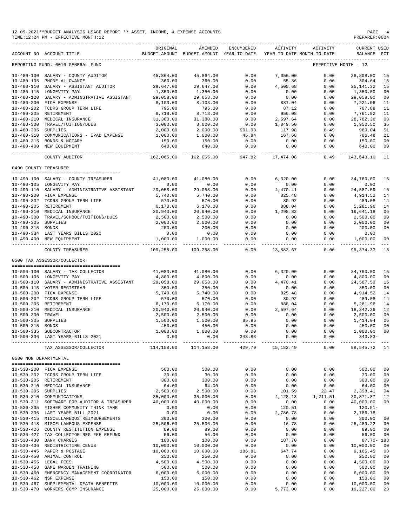|                                          | 12-09-2021**BUDGET ANALYSIS USAGE REPORT ** ASSET, INCOME, & EXPENSE ACCOUNTS<br>TIME:12:24 PM - EFFECTIVE MONTH:12 |                       |                                                     |                        | ------------------------------------ |                                        | PAGE<br>PREPARER: 0004         |                      |
|------------------------------------------|---------------------------------------------------------------------------------------------------------------------|-----------------------|-----------------------------------------------------|------------------------|--------------------------------------|----------------------------------------|--------------------------------|----------------------|
|                                          | ACCOUNT NO ACCOUNT-TITLE                                                                                            | ORIGINAL              | AMENDED<br>BUDGET-AMOUNT BUDGET-AMOUNT YEAR-TO-DATE | ENCUMBERED             | <b>ACTIVITY</b>                      | ACTIVITY<br>YEAR-TO-DATE MONTH-TO-DATE | <b>CURRENT USED</b><br>BALANCE | $_{\rm PCT}$         |
|                                          | REPORTING FUND: 0010 GENERAL FUND                                                                                   |                       |                                                     |                        |                                      |                                        | EFFECTIVE MONTH - 12           |                      |
|                                          | 10-480-100 SALARY - COUNTY AUDITOR                                                                                  | 45,864.00             | 45,864.00                                           | 0.00                   | 7,056.00                             | 0.00                                   | 38,808.00                      | 15                   |
|                                          | 10-480-105 PHONE ALLOWANCE                                                                                          | 360.00                | 360.00                                              | 0.00                   | 55.36                                | 0.00                                   | 304.64                         | 15                   |
|                                          | 10-480-110 SALARY - ASSISTANT AUDITOR                                                                               | 29,647.00             | 29,647.00                                           | 0.00                   | 4,505.68                             | 0.00                                   | 25, 141.32                     | 15                   |
|                                          | 10-480-115 LONGEVITY PAY                                                                                            | 1,350.00              | 1,350.00                                            | 0.00                   | 0.00                                 | 0.00                                   | 1,350.00                       | 00                   |
|                                          | 10-480-120 SALARY - ADMINSTRATIVE ASSISTANT<br>10-480-200 FICA EXPENSE                                              | 29,058.00<br>8,103.00 | 29,058.00<br>8,103.00                               | 0.00<br>0.00           | 0.00<br>881.04                       | 0.00<br>0.00                           | 29,058.00<br>7,221.96          | 00<br>11             |
|                                          | 10-480-202 TCDRS GROUP TERM LIFE                                                                                    | 795.00                | 795.00                                              | 0.00                   | 87.12                                | 0.00                                   | 707.88                         | 11                   |
|                                          | 10-480-205 RETIREMENT                                                                                               | 8,718.00              | 8,718.00                                            | 0.00                   | 956.08                               | 0.00                                   | 7,761.92                       | 11                   |
|                                          | 10-480-210 MEDICAL INSURANCE                                                                                        | 31,380.00             | 31,380.00                                           | 0.00                   | 2,597.64                             | 0.00                                   | 28,782.36                      | 08                   |
|                                          | 10-480-300 TRAVEL/TUITION/DUES                                                                                      | 3,000.00              | 3,000.00                                            | 0.00                   | 1,049.50                             | 0.00                                   | 1,950.50                       | 35                   |
| 10-480-305 SUPPLIES                      |                                                                                                                     | 2,000.00              | 2,000.00                                            | 901.98                 | 117.98                               | 8.49                                   | 980.04                         | 51                   |
|                                          | 10-480-310 COMMUNICATIONS - IPAD EXPENSE                                                                            | 1,000.00              | 1,000.00                                            | 45.84                  | 167.68                               | 0.00                                   | 786.48                         | 21                   |
|                                          | 10-480-315 BONDS & NOTARY<br>10-480-400 NEW EQUIPMENT                                                               | 150.00<br>640.00      | 150.00<br>640.00                                    | 0.00<br>0.00           | 0.00<br>0.00                         | 0.00<br>0.00                           | 150.00<br>640.00               | 0 <sup>0</sup><br>00 |
|                                          | COUNTY AUDITOR                                                                                                      |                       |                                                     |                        | ------------ -<br>947.82 17,474.08   | 8.49                                   | ----------- -------------      | $- - - \, -$<br>11   |
|                                          |                                                                                                                     |                       | 162,065.00 162,065.00                               |                        |                                      |                                        | 143,643.10                     |                      |
| 0490 COUNTY TREASURER                    |                                                                                                                     |                       |                                                     |                        |                                      |                                        |                                |                      |
|                                          | 10-490-100 SALARY - COUNTY TREASURER                                                                                | 41,080.00             | 41,080.00                                           | 0.00                   | 6,320.00                             | 0.00                                   | 34,760.00                      | 15                   |
|                                          | 10-490-105 LONGEVITY PAY<br>10-490-110 SALARY - ADMINISTRATIVE ASSISTANT                                            | 0.00<br>29,058.00     | 0.00<br>29,058.00                                   | 0.00<br>0.00           | 0.00<br>4,470.41                     | 0.00<br>0.00                           | 0.00<br>24,587.59              | 15                   |
|                                          | 10-490-200 FICA EXPENSE                                                                                             | 5,740.00              | 5,740.00                                            | 0.00                   | 825.48                               | 0.00                                   | 4,914.52                       | 14                   |
|                                          | 10-490-202 TCDRS GROUP TERM LIFE                                                                                    | 570.00                | 570.00                                              | 0.00                   | 80.92                                | 0.00                                   | 489.08                         | 14                   |
|                                          | 10-490-205 RETIREMENT                                                                                               | 6,170.00              | 6,170.00                                            | 0.00                   | 888.04                               | 0.00                                   | 5,281.96                       | 14                   |
|                                          | 10-490-210 MEDICAL INSURANCE                                                                                        | 20,940.00             | 20,940.00                                           | 0.00                   | 1,298.82                             | 0.00                                   | 19,641.18                      | 06                   |
|                                          | 10-490-300 TRAVEL/SCHOOL/TUITIONS/DUES                                                                              | 2,500.00              | 2,500.00                                            | 0.00                   | 0.00                                 | 0.00                                   | 2,500.00                       | 00                   |
| 10-490-305 SUPPLIES                      |                                                                                                                     | 2,000.00              | 2,000.00                                            | 0.00                   | 0.00                                 | 0.00                                   | 2,000.00                       | 00                   |
| 10-490-315 BONDS                         |                                                                                                                     | 200.00                | 200.00                                              | 0.00                   | 0.00                                 | 0.00                                   | 200.00                         | 00                   |
|                                          | 10-490-334 LAST YEARS BILLS 2020                                                                                    | 0.00                  | 0.00                                                | 0.00                   | 0.00                                 | 0.00                                   | 0.00                           |                      |
|                                          | 10-490-400 NEW EQUIPMENT                                                                                            | 1,000.00              | 1,000.00                                            | 0.00                   | 0.00<br>--------------               | 0.00<br>_____________                  | 1,000.00<br>_____________      | 00<br>$\frac{1}{2}$  |
|                                          | COUNTY TREASURER                                                                                                    | 109,258.00            | 109,258.00                                          | 0.00                   | 13,883.67                            | 0.00                                   | 95, 374.33                     | 13                   |
|                                          | 0500 TAX ASSESSOR/COLLECTOR                                                                                         |                       |                                                     |                        |                                      |                                        |                                |                      |
|                                          |                                                                                                                     |                       |                                                     |                        |                                      |                                        |                                |                      |
|                                          | 10-500-100 SALARY - TAX COLLECTOR<br>10-500-105 LONGEVITY PAY                                                       | 41,080.00<br>4,800.00 | 41,080.00<br>4,800.00                               | 0.00<br>0.00           | 6,320.00<br>0.00                     | 0.00<br>0.00                           | 34,760.00<br>4,800.00          | 15<br>00             |
|                                          | 10-500-110 SALARY - ADMINISTRATIVE ASSISTANT                                                                        | 29,058.00             | 29,058.00                                           | 0.00                   | 4,470.41                             | 0.00                                   | 24,587.59                      | 15                   |
|                                          | 10-500-115 VOTER REGISTRAR                                                                                          | 350.00                | 350.00                                              | 0.00                   | 0.00                                 | 0.00                                   | 350.00                         | 00                   |
|                                          | 10-500-200 FICA EXPENSE                                                                                             | 5,740.00              | 5,740.00                                            | 0.00                   | 825.48                               | 0.00                                   | 4,914.52                       | 14                   |
|                                          | 10-500-202 TCDRS GROUP TERM LIFE                                                                                    | 570.00                | 570.00                                              | 0.00                   | 80.92                                | 0.00                                   | 489.08                         | 14                   |
|                                          | 10-500-205 RETIREMENT                                                                                               | 6,170.00              | 6,170.00                                            | 0.00                   | 888.04                               | 0.00                                   | 5,281.96                       | 14                   |
|                                          | 10-500-210 MEDICAL INSURANCE                                                                                        | 20,940.00             | 20,940.00                                           | 0.00                   | 2,597.64                             | 0.00                                   | 18, 342, 36                    | 12                   |
| 10-500-300 TRAVEL<br>10-500-305 SUPPLIES |                                                                                                                     | 2,500.00<br>1,500.00  | 2,500.00                                            | 0.00<br>85.96          | 0.00<br>0.00                         | 0.00<br>0.00                           | 2,500.00<br>1,414.04           | 00<br>06             |
| 10-500-315 BONDS                         |                                                                                                                     | 450.00                | 1,500.00<br>450.00                                  | 0.00                   | 0.00                                 | 0.00                                   | 450.00                         | 0 <sup>0</sup>       |
|                                          | 10-500-335 SUBCONTRACTOR                                                                                            | 1,000.00              | 1,000.00                                            | 0.00                   | 0.00                                 | 0.00                                   | 1,000.00                       | 00                   |
|                                          | 10-500-336 LAST YEARS BILLS 2021                                                                                    | 0.00                  | 0.00                                                | 343.83                 | 0.00                                 | 0.00                                   | $343.83-$                      |                      |
|                                          | TAX ASSESSOR/COLLECTOR                                                                                              | 114,158.00            | 114,158.00                                          | ____________<br>429.79 | ----------<br>15,182.49              | $- - - - -$<br>0.00                    | _________<br>98,545.72 14      | $- - -$              |
| 0530 NON DEPARTMENTAL                    |                                                                                                                     |                       |                                                     |                        |                                      |                                        |                                |                      |
|                                          |                                                                                                                     |                       |                                                     |                        |                                      |                                        |                                |                      |
|                                          | 10-530-200 FICA EXPENSE<br>10-530-202 TCDRS GROUP TERM LIFE                                                         | 500.00<br>30.00       | 500.00<br>30.00                                     | 0.00<br>0.00           | 0.00<br>0.00                         | 0.00<br>0.00                           | 500.00<br>30.00                | 00<br>00             |
|                                          | 10-530-205 RETIREMENT                                                                                               | 300.00                | 300.00                                              | 0.00                   | 0.00                                 | 0.00                                   | 300.00                         | 00                   |
|                                          | 10-530-210 MEDICAL INSURANCE                                                                                        | 64.00                 | 64.00                                               | 0.00                   | 0.00                                 | 0.00                                   | 64.00                          | 00                   |
| $10 - 530 - 305$                         | SUPPLIES                                                                                                            | 2,500.00              | 2,500.00                                            | 0.00                   | 101.59                               | 22.47                                  | 2,398.41                       | 04                   |
|                                          | 10-530-310 COMMUNICATIONS                                                                                           | 35,000.00             | 35,000.00                                           | 0.00                   | 4,128.13                             | 1,211.51                               | 30,871.87                      | 12                   |
|                                          | 10-530-311 SOFTWARE FOR AUDITOR & TREASURER                                                                         | 40,000.00             | 40,000.00                                           | 0.00                   | 0.00                                 | 0.00                                   | 40,000.00                      | 00                   |
|                                          | 10-530-335 FISHER COMMUNITY THINK TANK                                                                              | 0.00                  | 0.00                                                | 0.00                   | 120.51                               | 0.00                                   | $120.51-$                      |                      |
|                                          | 10-530-336 LAST YEARS BILL 2021                                                                                     | 0.00                  | 0.00                                                | 0.00                   | 2,786.78                             | 0.00                                   | $2,786.78-$                    |                      |
|                                          | 10-530-415 MISCELLANEOUS REIMBURSEMENTS<br>10-530-418 MISCELLANEOUS EXPENSE                                         | 300.00<br>25,506.00   | 300.00<br>25,506.00                                 | 0.00<br>0.00           | 0.00<br>16.78                        | 0.00<br>0.00                           | 300.00<br>25, 489.22           | 00<br>00             |
| $10 - 530 - 426$                         | COUNTY RESTITUTION EXPENSE                                                                                          | 89.00                 | 89.00                                               | 0.00                   | 0.00                                 | 0.00                                   | 89.00                          | 00                   |
| $10 - 530 - 427$                         | TAX COLLECTOR REG FEE REFUND                                                                                        | 56.00                 | 56.00                                               | 0.00                   | 0.00                                 | 0.00                                   | 56.00                          | 00                   |
| $10 - 530 - 430$                         | <b>BANK CHARGES</b>                                                                                                 | 100.00                | 100.00                                              | 0.00                   | 187.70                               | 0.00                                   | $87.70 - 188$                  |                      |
| $10 - 530 - 436$                         | REDISTRICTING CENUS                                                                                                 | 10,000.00             | 10,000.00                                           | 0.00                   | 0.00                                 | 0.00                                   | 10,000.00                      | 00                   |
| $10 - 530 - 445$                         | PAPER & POSTAGE                                                                                                     | 10,000.00             | 10,000.00                                           | 186.81                 | 647.74                               | 0.00                                   | 9,165.45                       | 08                   |
|                                          | 10-530-450 ANIMAL CONTROL                                                                                           | 250.00                | 250.00                                              | 0.00                   | 0.00                                 | 0.00                                   | 250.00                         | 00                   |
| $10 - 530 - 455$                         | LEGAL FEES                                                                                                          | 4,500.00              | 4,500.00                                            | 0.00                   | 0.00                                 | 0.00                                   | 4,500.00                       | 00                   |
| $10 - 530 - 458$<br>$10 - 530 - 460$     | GAME WARDEN TRAINING<br>EMERGENCY MANAGEMENT COORDINATOR                                                            | 500.00<br>6,000.00    | 500.00<br>6,000.00                                  | 0.00<br>0.00           | 0.00<br>0.00                         | 0.00<br>0.00                           | 500.00<br>6,000.00             | 00<br>00             |
| $10 - 530 - 462$                         | NSF EXPENSE                                                                                                         | 150.00                | 150.00                                              | 0.00                   | 0.00                                 | 0.00                                   | 150.00                         | 00                   |
| $10 - 530 - 467$                         | SUPPLEMENTAL DEATH BENEFITS                                                                                         | 10,000.00             | 10,000.00                                           | 0.00                   | 0.00                                 | 0.00                                   | 10,000.00                      | 00                   |
| $10 - 530 - 470$                         | WORKERS COMP INSURANCE                                                                                              | 25,000.00             | 25,000.00                                           | 0.00                   | 5,773.00                             | 0.00                                   | 19,227.00                      | 23                   |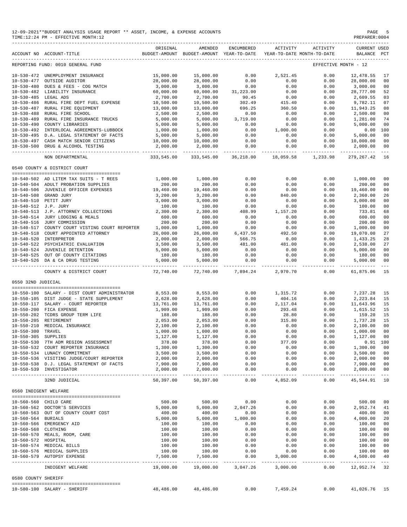|                       | 12-09-2021**BUDGET ANALYSIS USAGE REPORT ** ASSET, INCOME, & EXPENSE ACCOUNTS<br>TIME:12:24 PM - EFFECTIVE MONTH:12 |                      |                                                                                |                  |                 |                       | PAGE<br>PREPARER: 0004             | - 5                                                                                                                                                                                                                                                                                                                                                                                                |
|-----------------------|---------------------------------------------------------------------------------------------------------------------|----------------------|--------------------------------------------------------------------------------|------------------|-----------------|-----------------------|------------------------------------|----------------------------------------------------------------------------------------------------------------------------------------------------------------------------------------------------------------------------------------------------------------------------------------------------------------------------------------------------------------------------------------------------|
|                       | ACCOUNT NO ACCOUNT-TITLE                                                                                            | ORIGINAL             | AMENDED<br>BUDGET-AMOUNT BUDGET-AMOUNT YEAR-TO-DATE YEAR-TO-DATE MONTH-TO-DATE | ENCUMBERED       | ACTIVITY        | ACTIVITY              | <b>CURRENT USED</b><br>BALANCE PCT |                                                                                                                                                                                                                                                                                                                                                                                                    |
|                       | REPORTING FUND: 0010 GENERAL FUND                                                                                   |                      |                                                                                |                  |                 |                       | EFFECTIVE MONTH - 12               |                                                                                                                                                                                                                                                                                                                                                                                                    |
|                       | 10-530-472 UNEMPLOYMENT INSURANCE                                                                                   | 15,000.00            | 15,000.00                                                                      | 0.00             | 2,521.45        | 0.00                  | 12,478.55                          | 17                                                                                                                                                                                                                                                                                                                                                                                                 |
|                       | 10-530-477 OUTSIDE AUDITOR                                                                                          | 28,000.00            | 28,000.00                                                                      | 0.00             | 0.00            | 0.00                  | 28,000.00                          | 00                                                                                                                                                                                                                                                                                                                                                                                                 |
|                       | 10-530-480 DUES & FEES - COG MATCH                                                                                  | 3,000.00             | 3,000.00                                                                       | 0.00             | 0.00            | 0.00                  | 3,000.00                           | 00                                                                                                                                                                                                                                                                                                                                                                                                 |
|                       | 10-530-482 LIABILITY INSURANCE                                                                                      | 60,000.00            | 60,000.00                                                                      | 31,223.00        | 0.00            | 0.00                  | 28,777.00                          | 52                                                                                                                                                                                                                                                                                                                                                                                                 |
| 10-530-485 LEGAL ADS  |                                                                                                                     | 2,700.00             | 2,700.00                                                                       | 90.45            | 0.00            | 0.00                  | 2,609.55                           | 03                                                                                                                                                                                                                                                                                                                                                                                                 |
|                       | 10-530-486 RURAL FIRE DEPT FUEL EXPENSE                                                                             | 10,500.00            | 10,500.00                                                                      | 302.49           | 415.40          | 0.00                  | 9,782.11                           | 07                                                                                                                                                                                                                                                                                                                                                                                                 |
|                       | 10-530-487 RURAL FIRE EQUIPMENT                                                                                     | 13,000.00            | 13,000.00                                                                      | 696.25           | 360.50          | 0.00                  | 11,943.25                          | 08                                                                                                                                                                                                                                                                                                                                                                                                 |
|                       | 10-530-488 RURAL FIRE SCHOOL                                                                                        | 2,500.00             | 2,500.00                                                                       | 0.00             | 0.00            | 0.00                  | 2,500.00                           | 00                                                                                                                                                                                                                                                                                                                                                                                                 |
|                       | 10-530-489 RURAL FIRE INSURANCE TRUCKS                                                                              | 5,000.00             | 5,000.00                                                                       | 3,719.00         | 0.00            | 0.00                  | 1,281.00                           | 74                                                                                                                                                                                                                                                                                                                                                                                                 |
|                       | 10-530-490 COUNTY LIBRARIES                                                                                         | 5,000.00             | 5,000.00                                                                       | 0.00             | 0.00            | 0.00                  | 5,000.00                           | 00                                                                                                                                                                                                                                                                                                                                                                                                 |
|                       | 10-530-492 INTERLOCAL AGREEMENTS-LUBBOCK                                                                            | 1,000.00             | 1,000.00                                                                       | 0.00             | 1,000.00        | 0.00                  | 0.00                               | 100                                                                                                                                                                                                                                                                                                                                                                                                |
|                       | 10-530-495 D.A. LEGAL STATEMENT OF FACTS                                                                            | 5,000.00             | 5,000.00                                                                       | 0.00             | 0.00            | 0.00                  | 5,000.00                           | 00                                                                                                                                                                                                                                                                                                                                                                                                 |
|                       | 10-530-497 CASH MATCH SENIOR CITIZENS                                                                               | 10,000.00            | 10,000.00                                                                      | 0.00             | 0.00            | 0.00                  | 10,000.00                          | 00                                                                                                                                                                                                                                                                                                                                                                                                 |
|                       | 10-530-500 DRUG & ALCOHOL TESTING                                                                                   | 2,000.00             | 2,000.00                                                                       | 0.00             | 0.00            | 0.00                  | 2,000.00                           | 00<br>$\frac{1}{2} \frac{1}{2} \frac{1}{2} \frac{1}{2} \frac{1}{2} \frac{1}{2} \frac{1}{2} \frac{1}{2} \frac{1}{2} \frac{1}{2} \frac{1}{2} \frac{1}{2} \frac{1}{2} \frac{1}{2} \frac{1}{2} \frac{1}{2} \frac{1}{2} \frac{1}{2} \frac{1}{2} \frac{1}{2} \frac{1}{2} \frac{1}{2} \frac{1}{2} \frac{1}{2} \frac{1}{2} \frac{1}{2} \frac{1}{2} \frac{1}{2} \frac{1}{2} \frac{1}{2} \frac{1}{2} \frac{$ |
|                       | NON DEPARTMENTAL                                                                                                    | 333,545.00           | 333,545.00                                                                     | 36,218.00        | 18,059.58       | 1,233.98              | 279, 267.42                        | 16                                                                                                                                                                                                                                                                                                                                                                                                 |
|                       | 0540 COUNTY & DISTRICT COURT                                                                                        |                      |                                                                                |                  |                 |                       |                                    |                                                                                                                                                                                                                                                                                                                                                                                                    |
|                       | 10-540-502 AD LITEM TAX SUITS - T REES                                                                              |                      | 1,000.00                                                                       |                  | 0.00            |                       | 1,000.00                           |                                                                                                                                                                                                                                                                                                                                                                                                    |
|                       |                                                                                                                     | 1,000.00             |                                                                                | 0.00             |                 | 0.00                  |                                    | 00                                                                                                                                                                                                                                                                                                                                                                                                 |
|                       | 10-540-504 ADULT PROBATION SUPPLIES                                                                                 | 200.00<br>19,460.00  | 200.00                                                                         | 0.00             | 0.00            | 0.00                  | 200.00                             | 00                                                                                                                                                                                                                                                                                                                                                                                                 |
|                       | 10-540-506 JUVENILE OFFICER EXPENSES                                                                                |                      | 19,460.00                                                                      | 0.00             | 0.00            | 0.00                  | 19,460.00                          | 00                                                                                                                                                                                                                                                                                                                                                                                                 |
|                       | 10-540-508 GRAND JURY                                                                                               | 3,200.00             | 3,200.00                                                                       | 0.00             | 840.00          | 0.00                  | 2,360.00                           | 26                                                                                                                                                                                                                                                                                                                                                                                                 |
|                       | 10-540-510 PETIT JURY                                                                                               | 3,000.00             | 3,000.00                                                                       | 0.00             | 0.00            | 0.00                  | 3,000.00                           | 00                                                                                                                                                                                                                                                                                                                                                                                                 |
|                       |                                                                                                                     | 100.00               | 100.00                                                                         | 0.00             | 0.00            | 0.00                  | 100.00                             | 00                                                                                                                                                                                                                                                                                                                                                                                                 |
|                       |                                                                                                                     | 2,300.00             | 2,300.00                                                                       | 408.99           | 1,157.20        | 0.00                  | 733.81                             | 68                                                                                                                                                                                                                                                                                                                                                                                                 |
|                       |                                                                                                                     | 600.00               | 600.00                                                                         | 0.00             | 0.00            | 0.00                  | 600.00                             | 00                                                                                                                                                                                                                                                                                                                                                                                                 |
|                       | 10-540-516 JURY COMMISSION                                                                                          | 200.00               | 200.00                                                                         | 0.00             | 0.00            | 0.00                  | 200.00                             | 00                                                                                                                                                                                                                                                                                                                                                                                                 |
|                       | 10-540-517 COUNTY COURT VISTING COURT REPORTER                                                                      | 1,000.00             | 1,000.00                                                                       | 0.00             | 0.00            | 0.00<br>0.00          | 1,000.00                           | 00                                                                                                                                                                                                                                                                                                                                                                                                 |
|                       | 10-540-518 COURT APPOINTED ATTORNEY                                                                                 | 26,000.00            | 26,000.00                                                                      | 6,437.50         | 492.50          |                       | 19,070.00                          | 27                                                                                                                                                                                                                                                                                                                                                                                                 |
|                       | 10-540-520 INTERPRETOR                                                                                              | 2,000.00             | 2,000.00                                                                       | 566.75<br>481.00 | 0.00<br>481.00  | 0.00                  | 1,433.25                           | 28<br>27                                                                                                                                                                                                                                                                                                                                                                                           |
|                       | 10-540-522 PSYCHIATRIC EVALUATION                                                                                   | 3,500.00             | 3,500.00                                                                       | 0.00             |                 | 0.00<br>0.00          | 2,538.00                           |                                                                                                                                                                                                                                                                                                                                                                                                    |
|                       | 10-540-524 JUVENILE DETENTION                                                                                       | 5,000.00             | 5,000.00                                                                       | 0.00             | 0.00<br>0.00    | 0.00                  | 5,000.00<br>180.00                 | 00<br>00                                                                                                                                                                                                                                                                                                                                                                                           |
|                       | 10-540-525 OUT OF COUNTY CITATIONS<br>10-540-526 DA & CA DRUG TESTING                                               | 180.00<br>5,000.00   | 180.00<br>5,000.00                                                             | 0.00             | 0.00            | 0.00                  | 5,000.00                           | 00                                                                                                                                                                                                                                                                                                                                                                                                 |
|                       | COUNTY & DISTRICT COURT                                                                                             | 72,740.00            | 72,740.00                                                                      | 7,894.24         | 2,970.70        | -------------<br>0.00 | --------------<br>61,875.06        | $\sim$ $\sim$ $\sim$<br>15                                                                                                                                                                                                                                                                                                                                                                         |
| 0550 32ND JUDICIAL    |                                                                                                                     |                      |                                                                                |                  |                 |                       |                                    |                                                                                                                                                                                                                                                                                                                                                                                                    |
|                       |                                                                                                                     |                      |                                                                                |                  |                 |                       |                                    |                                                                                                                                                                                                                                                                                                                                                                                                    |
|                       | 10-550-100 SALARY - DIST COURT ADMINISTRATOR                                                                        | 8,553.00             | 8,553.00                                                                       | 0.00             | 1,315.72        | 0.00                  | 7,237.28                           | 15                                                                                                                                                                                                                                                                                                                                                                                                 |
|                       | 10-550-105 DIST JUDGE - STATE SUPPLEMENT                                                                            | 2,628.00             | 2,628.00                                                                       | 0.00             | 404.16          | 0.00                  | 2,223.84                           | 15                                                                                                                                                                                                                                                                                                                                                                                                 |
|                       | 10-550-117 SALARY - COURT REPORTER                                                                                  | 13,761.00            | 13,761.00                                                                      | 0.00             | 2,117.04        | 0.00                  | 11,643.96                          | 15                                                                                                                                                                                                                                                                                                                                                                                                 |
|                       | 10-550-200 FICA EXPENSE                                                                                             | 1,909.00             | 1,909.00                                                                       | 0.00             | 293.48          | 0.00                  | 1,615.52                           | 15                                                                                                                                                                                                                                                                                                                                                                                                 |
|                       | 10-550-202 TCDRS GROUP TERM LIFE<br>10-550-205 RETIREMENT<br>10-550-210 MEDICAL IMAURINGE                           | 188.00               | 188.00                                                                         | 0.00<br>0.00     | 28.80<br>315.80 | 0.00                  | 159.20                             | 15<br>15                                                                                                                                                                                                                                                                                                                                                                                           |
|                       |                                                                                                                     | 2,053.00             | 2,053.00                                                                       | 0.00             | 0.00            | 0.00<br>0.00          | 1,737.20<br>2,100.00 00            |                                                                                                                                                                                                                                                                                                                                                                                                    |
| 10-550-300 TRAVEL     | 10-550-210 MEDICAL INSURANCE                                                                                        | 2,100.00<br>1,000.00 | 2,100.00<br>1,000.00                                                           |                  |                 |                       |                                    |                                                                                                                                                                                                                                                                                                                                                                                                    |
|                       |                                                                                                                     | 1,127.00             |                                                                                | 0.00             | 0.00            | 0.00                  | 1,000.00 00<br>1,127.00 00         |                                                                                                                                                                                                                                                                                                                                                                                                    |
| 10-550-305 SUPPLIES   |                                                                                                                     | 378.00               | 1,127.00                                                                       | 0.00             | 0.00            | 0.00                  |                                    |                                                                                                                                                                                                                                                                                                                                                                                                    |
|                       | 10-550-530 7TH ADM REGION ASSESSMENT<br>10-550-532 COURT REPORTER INSURANCE                                         |                      | 378.00                                                                         | 0.00             | 377.09          | 0.00                  | $0.91$ 100                         |                                                                                                                                                                                                                                                                                                                                                                                                    |
|                       | 10-550-534 LUNACY COMMITMENT                                                                                        | 1,300.00<br>3,500.00 | 1,300.00<br>3,500.00                                                           | 0.00             | 0.00            | 0.00                  | $1,300.00$ ov<br>3,500.00 00       |                                                                                                                                                                                                                                                                                                                                                                                                    |
|                       |                                                                                                                     | 2,000.00             | 2,000.00                                                                       | 0.00             | 0.00            | 0.00                  | 2,000.00                           |                                                                                                                                                                                                                                                                                                                                                                                                    |
|                       | 10-550-536 VISITING JUDGE/COURT REPORTER                                                                            |                      | 7,900.00                                                                       | 0.00             | 0.00            | 0.00                  | 7,900.00                           | 00                                                                                                                                                                                                                                                                                                                                                                                                 |
|                       | 10-550-538 D.J. LEGAL STATEMENT OF FACTS<br>10-550-539 INVESTIGATOR                                                 | 7,900.00<br>2,000.00 | 2,000.00                                                                       | 0.00<br>0.00     | 0.00<br>0.00    | 0.00<br>0.00          | 2,000.00                           | 00<br>00                                                                                                                                                                                                                                                                                                                                                                                           |
|                       | 32ND JUDICIAL                                                                                                       | 50,397.00            | 50,397.00                                                                      | 0.00             | 4,852.09        | ------------<br>0.00  | --------------<br>45,544.91        | $\qquad \qquad - -$<br>10                                                                                                                                                                                                                                                                                                                                                                          |
| 0560 INDIGENT WELFARE |                                                                                                                     |                      |                                                                                |                  |                 |                       |                                    |                                                                                                                                                                                                                                                                                                                                                                                                    |
|                       |                                                                                                                     |                      |                                                                                |                  |                 |                       |                                    |                                                                                                                                                                                                                                                                                                                                                                                                    |
|                       | 10-560-560 CHILD CARE                                                                                               | 500.00               | 500.00                                                                         | 0.00             | 0.00            | 0.00                  | 500.00                             | 00                                                                                                                                                                                                                                                                                                                                                                                                 |
|                       | 10-560-562 DOCTOR'S SERVICES                                                                                        | 5,000.00             | 5,000.00                                                                       | 2,047.26         | 0.00            | 0.00                  | 2,952.74                           | 41                                                                                                                                                                                                                                                                                                                                                                                                 |
|                       | 10-560-563 OUT OF COUNTY COURT COST                                                                                 | 400.00               | 400.00                                                                         | 0.00             | 0.00            | 0.00                  | 400.00                             | 00                                                                                                                                                                                                                                                                                                                                                                                                 |
| 10-560-564 BURIALS    |                                                                                                                     | 5,000.00             | 5,000.00                                                                       | 1,000.00         | 0.00            | 0.00                  | 4,000.00                           | 20                                                                                                                                                                                                                                                                                                                                                                                                 |
|                       | 10-560-566 EMERGENCY AID                                                                                            | 100.00               | 100.00                                                                         | 0.00             | 0.00            | 0.00                  | 100.00                             | 00                                                                                                                                                                                                                                                                                                                                                                                                 |
| 10-560-568 CLOTHING   |                                                                                                                     | 100.00               | 100.00                                                                         | 0.00             | 0.00            | 0.00                  | 100.00                             | 00                                                                                                                                                                                                                                                                                                                                                                                                 |
|                       | 10-560-570 MEALS, ROOM, CARE                                                                                        | 100.00               | 100.00                                                                         | 0.00             | 0.00            | 0.00                  | 100.00                             | 00                                                                                                                                                                                                                                                                                                                                                                                                 |
| 10-560-572 HOSPITAL   |                                                                                                                     | 100.00               | 100.00                                                                         | 0.00             | 0.00            | 0.00                  | 100.00                             | 00                                                                                                                                                                                                                                                                                                                                                                                                 |
|                       | 10-560-574 MEDICAL BILLS                                                                                            | 100.00               | 100.00                                                                         | 0.00             | 0.00            | 0.00                  | 100.00                             | 00                                                                                                                                                                                                                                                                                                                                                                                                 |
|                       | 10-560-576 MEDICAL SUPPLIES                                                                                         | 100.00               | 100.00                                                                         | 0.00             | 0.00            | 0.00                  | 100.00                             | 00                                                                                                                                                                                                                                                                                                                                                                                                 |
|                       | 10-560-579 AUTOPSY EXPENSE                                                                                          | 7,500.00             | 7,500.00                                                                       | 0.00             | 3,000.00        | 0.00                  | 4,500.00<br>-------------          | 40                                                                                                                                                                                                                                                                                                                                                                                                 |
|                       | INDIGENT WELFARE                                                                                                    | 19,000.00            | 19,000.00                                                                      | 3,047.26         | 3,000.00        | 0.00                  | 12,952.74                          | 32                                                                                                                                                                                                                                                                                                                                                                                                 |
| 0580 COUNTY SHERIFF   |                                                                                                                     |                      |                                                                                |                  |                 |                       |                                    |                                                                                                                                                                                                                                                                                                                                                                                                    |
|                       | 10-580-100 SALARY - SHERIFF                                                                                         | 48,486.00            | 48,486.00                                                                      | 0.00             | 7,459.24        | 0.00                  | 41,026.76 15                       |                                                                                                                                                                                                                                                                                                                                                                                                    |
|                       |                                                                                                                     |                      |                                                                                |                  |                 |                       |                                    |                                                                                                                                                                                                                                                                                                                                                                                                    |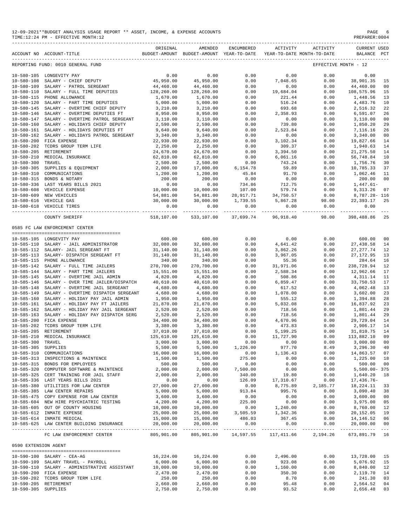#### 12-09-2021\*\*BUDGET ANALYSIS USAGE REPORT \*\* ASSET, INCOME, & EXPENSE ACCOUNTS <br>TIME:12:24 PM - EFFECTIVE MONTH:12 TIME:12:24 PM - EFFECTIVE MONTH:12

|                                      | ACCOUNT NO ACCOUNT-TITLE                                             | ORIGINAL              | AMENDED<br>BUDGET-AMOUNT BUDGET-AMOUNT YEAR-TO-DATE YEAR-TO-DATE MONTH-TO-DATE | ENCUMBERED     | ACTIVITY           | ACTIVITY                                    | <b>CURRENT USED</b><br>BALANCE PCT |               |
|--------------------------------------|----------------------------------------------------------------------|-----------------------|--------------------------------------------------------------------------------|----------------|--------------------|---------------------------------------------|------------------------------------|---------------|
|                                      | REPORTING FUND: 0010 GENERAL FUND                                    |                       |                                                                                |                |                    |                                             | EFFECTIVE MONTH - 12               |               |
|                                      | 10-580-105 LONGEVITY PAY                                             | 0.00                  | 0.00                                                                           | 0.00           | 0.00               | 0.00                                        | 0.00                               |               |
| $10 - 580 - 108$                     | SALARY - CHIEF DEPUTY                                                | 45,950.00             | 45,950.00                                                                      | 0.00           | 7.048.65           | 0.00                                        | 38,901.35                          | 15            |
| $10 - 580 - 109$                     | SALARY - PATROL SERGEANT                                             | 44,460.00             | 44,460.00                                                                      | 0.00           | 0.00               | 0.00                                        | 44,460.00                          | 00            |
| $10 - 580 - 110$                     | SALARY - FULL TIME DEPUTIES                                          | 128,260.00            | 128,260.00                                                                     | 0.00           | 19,684.04          | 0.00                                        | 108,575.96                         | 15            |
|                                      | 10-580-115 PHONE ALLOWANCE                                           | 1,670.00              | 1,670.00                                                                       | 0.00           | 221.44             | 0.00                                        | 1,448.56                           | 13            |
| $10 - 580 - 120$                     | SALARY - PART TIME DEPUTIES                                          | 5,000.00              | 5,000.00                                                                       | 0.00           | 516.24             | 0.00                                        | 4,483.76                           | 10            |
| $10 - 580 - 145$                     | SALARY - OVERTIME CHIEF DEPUTY<br>SALARY - OVERTIME DEPUTIES FT      | 3,210.00              | 3,210.00                                                                       | 0.00           | 693.68             | 0.00                                        | 2,516.32                           | 22            |
| $10 - 580 - 146$<br>10-580-147       | SALARY - OVERTIME PATROL SERGEANT                                    | 8,950.00<br>3,110.00  | 8,950.00<br>3,110.00                                                           | 0.00<br>0.00   | 2,358.93<br>0.00   | 0.00<br>0.00                                | 6,591.07<br>3,110.00               | 26<br>00      |
| $10 - 580 - 160$                     | SALARY - HOLIDAYS CHIEF DEPUTY                                       | 2,590.00              | 2,590.00                                                                       | 0.00           | 739.80             | 0.00                                        | 1,850.20                           | 29            |
| $10 - 580 - 161$                     | SALARY - HOLIDAYS DEPUTIES FT                                        | 9,640.00              | 9,640.00                                                                       | 0.00           | 2,523.84           | 0.00                                        | 7,116.16                           | 26            |
| 10-580-162                           | SALARY - HOLIDAYS PATROL SERGEANT                                    | 3,340.00              | 3,340.00                                                                       | 0.00           | 0.00               | 0.00                                        | 3,340.00                           | 00            |
| $10 - 580 - 200$                     | FICA EXPENSE                                                         | 22,930.00             | 22,930.00                                                                      | 0.00           | 3,102.34           | 0.00                                        | 19,827.66                          | 14            |
| $10 - 580 - 202$                     | TCDRS GROUP TERM LIFE                                                | 2,250.00              | 2,250.00                                                                       | 0.00           | 309.37             | 0.00                                        | 1,940.63                           | 14            |
| $10 - 580 - 205$                     | RETIREMENT                                                           | 24,670.00             | 24,670.00                                                                      | 0.00           | 3,394.50           | 0.00                                        | 21, 275.50                         | 14            |
| $10 - 580 - 210$                     | MEDICAL INSURANCE                                                    | 62,810.00             | 62,810.00                                                                      | 0.00           | 6,061.16           | 0.00                                        | 56,748.84                          | 10            |
| $10 - 580 - 300$                     | TRAVEL                                                               | 2,500.00              | 2,500.00                                                                       | 0.00           | 743.24             | 0.00                                        | 1,756.76                           | 30            |
| $10 - 580 - 305$                     | SUPPLIES & EQUIPMENT                                                 | 2,000.00              | 17,000.00                                                                      | 6,154.78       | 59.89              | 0.00                                        | 10,785.33                          | 37            |
| $10 - 580 - 310$<br>$10 - 580 - 315$ | COMMUNICATIONS<br>BONDS & NOTARY                                     | 1,200.00<br>200.00    | 1,200.00<br>200.00                                                             | 45.84<br>0.00  | 91.70<br>0.00      | 0.00<br>0.00                                | 1,062.46<br>200.00                 | 11<br>00      |
|                                      | 10-580-336 LAST YEARS BILLS 2021                                     | 0.00                  | 0.00                                                                           | 734.86         | 712.75             | 0.00                                        | $1,447.61-$                        |               |
| $10 - 580 - 608$                     | VEHICLE EXPENSE                                                      | 10,000.00             | 10,000.00                                                                      | 107.00         | 579.74             | 0.00                                        | 9,313.26                           | 07            |
|                                      | 10-580-609 NEW VEHICLES                                              | 54,881.00             | 54,881.00                                                                      | 28,917.71      | 34,750.57          | 0.00                                        | 8,787.28- 116                      |               |
|                                      | 10-580-616 VEHICLE GAS                                               | 30,000.00             | 30,000.00                                                                      | 1,739.55       | 5,867.28           | 98.00                                       | 22,393.17                          | 25            |
|                                      | 10-580-618 VEHICLE TIRES                                             | 0.00                  | 0.00                                                                           | 0.00           | 0.00               | 0.00                                        | 0.00                               |               |
|                                      | COUNTY SHERIFF                                                       | 518,107.00            | ______________<br>533,107.00                                                   | 37,699.74      | 96,918.40          | 98.00                                       | ------------<br>398,488.86         | $- - -$<br>25 |
|                                      | 0585 FC LAW ENFORCEMENT CENTER                                       |                       |                                                                                |                |                    |                                             |                                    |               |
|                                      |                                                                      |                       |                                                                                |                |                    |                                             |                                    |               |
|                                      | 10-585-105 LONGEVITY PAY                                             | 600.00                | 600.00                                                                         | 0.00           | 0.00               | 0.00                                        | 600.00                             | 00            |
|                                      | 10-585-110 SALARY - JAIL ADMINISTRATOR                               | 32,080.00             | 32,080.00                                                                      | 0.00           | 4,641.42           | 0.00                                        | 27,438.58                          | 14            |
|                                      | 10-585-112 SALARY- JAIL SERGEANT FT                                  | 31,140.00             | 31,140.00                                                                      | 0.00           | 3,862.26           | 0.00                                        | 27, 277.74                         | 12            |
| 10-585-113                           | SALARY- DISPATCH SERGEANT FT                                         | 31,140.00             | 31,140.00                                                                      | 0.00           | 3,967.05           | 0.00                                        | 27, 172.95                         | 13            |
|                                      | 10-585-115 PHONE ALLOWANCE<br>10-585-142 SALARY - FULL TIME JAILERS  | 340.00<br>270,700.00  | 340.00<br>270,700.00                                                           | 0.00<br>0.00   | 55.36<br>31,971.06 | 0.00<br>0.00                                | 284.64<br>238,728.94               | 16<br>12      |
|                                      | 10-585-144 SALARY - PART TIME JAILERS                                | 15,551.00             | 15,551.00                                                                      | 0.00           | 2,588.34           | 0.00                                        | 12,962.66                          | 17            |
| $10 - 585 - 145$                     | SALARY - OVERTIME JAIL ADMIN                                         | 4,820.00              | 4,820.00                                                                       | 0.00           | 508.86             | 0.00                                        | 4,311.14                           | 11            |
|                                      | 10-585-146 SALARY - OVER TIME JAILER/DISPATCH                        | 40,610.00             | 40,610.00                                                                      | 0.00           | 6,859.47           | 0.00                                        | 33,750.53                          | 17            |
| $10 - 585 - 148$                     | SALARY - OVERTIME JAIL SERGEANT                                      | 4,680.00              | 4,680.00                                                                       | 0.00           | 617.52             | 0.00                                        | 4,062.48                           | 13            |
| $10 - 585 - 149$                     | SALARY - OVERTIME DISPATCH SERGEANT                                  | 4,680.00              | 4,680.00                                                                       | 0.00           | 1,078.00           | 0.00                                        | 3,602.00                           | 23            |
| $10 - 585 - 160$                     | SALARY - HOLIDAY PAY JAIL ADMIN                                      | 1,950.00              | 1,950.00                                                                       | 0.00           | 555.12             | 0.00                                        | 1,394.88                           | 28            |
| $10 - 585 - 161$                     | SALARY - HOLIDAY PAY FT JAILERS                                      | 21,870.00             | 21,870.00                                                                      | 0.00           | 5,032.08           | 0.00                                        | 16,837.92                          | 23            |
| $10 - 585 - 162$                     | SALARY - HOLIDAY PAY JAIL SERGEANT                                   | 2,520.00              | 2,520.00                                                                       | 0.00           | 718.56             | 0.00                                        | 1,801.44                           | 29            |
| $10 - 585 - 163$                     | SALARY - HOLIDAY PAY DISPATCH SERG                                   | 2,520.00              | 2,520.00                                                                       | 0.00           | 718.56             | 0.00                                        | 1,801.44                           | 29            |
| $10 - 585 - 200$<br>$10 - 585 - 202$ | FICA EXPENSE<br>TCDRS GROUP TERM LIFE                                | 34,400.00<br>3,380.00 | 34,400.00<br>3,380.00                                                          | 0.00<br>0.00   | 4,670.96<br>473.83 | 0.00<br>0.00                                | 29,729.04<br>2,906.17              | 14<br>14      |
| $10 - 585 - 205$                     | RETIREMENT                                                           | 37,010.00             | 37,010.00                                                                      | 0.00           | 5,199.25           | 0.00                                        | 31,810.75                          | 14            |
| $10 - 585 - 210$                     | MEDICAL INSURANCE                                                    | 125,610.00            | 125,610.00                                                                     | 0.00           | 11,727.90          | 0.00                                        | 113,882.10                         | 09            |
| 10-585-300 TRAVEL                    |                                                                      | 3,000.00              | 3,000.00                                                                       | 0.00           | 0.00               | 0.00                                        | 3,000.00                           | 00            |
| 10-585-305 SUPPLIES                  |                                                                      | 5,500.00              | 5,500.00                                                                       | 1,226.00       | 977.70             | 8.49                                        | 3,296.30                           | 40            |
|                                      | 10-585-310 COMMUNICATIONS                                            | 16,000.00             | 16,000.00                                                                      | 0.00           | 1,136.43           | 0.00                                        | 14,863.57                          | 07            |
|                                      | 10-585-313 INSPECTIONS & MAINTENCE                                   | 1,500.00              | 1,500.00                                                                       | 275.00         | 0.00               | 0.00                                        | 1,225.00                           | 18            |
|                                      | 10-585-315 BONDS FOR EMPLOYEES                                       | 500.00                | 500.00                                                                         | 0.00           | 0.00               | 0.00                                        | 500.00                             | 00            |
|                                      | 10-585-320 COMPUTER SOFTWARE & MAINTENCE                             | 2,000.00              | 2,000.00                                                                       | 7,500.00       | 0.00               | 0.00                                        | $5,500.00 - 375$                   |               |
|                                      | 10-585-325 CERT TRAINING FOR JAIL STAFF                              | 2,000.00              | 2,000.00                                                                       | 340.00         | 19.80              | 0.00                                        | 1,640.20                           | 18            |
|                                      | 10-585-336 LAST YEARS BILLS 2021                                     | 0.00                  | 0.00                                                                           | 126.09         | 17,310.67          | 0.00                                        | 17,436.76-                         |               |
|                                      | 10-585-380 UTILITIES FOR LAW CENTER<br>10-585-385 LAW CENTER REPAIRS | 27,000.00<br>5,000.00 | 27,000.00<br>5,000.00                                                          | 0.00<br>913.84 | 8,775.89<br>995.76 | 2,185.77<br>0.00                            | 18,224.11<br>3,090.40              | 33<br>38      |
|                                      | 10-585-475 COPY EXPENSE FOR LAW CENTER                               | 3,600.00              | 3,600.00                                                                       | 0.00           | 0.00               | 0.00                                        | 3,600.00                           | 00            |
|                                      | 10-585-604 NEW HIRE PSYCHIATRIC TESTING                              | 4,200.00              | 4,200.00                                                                       | 225.00         | 0.00               | 0.00                                        | 3,975.00                           | 05            |
|                                      | 10-585-605 OUT OF COUNTY HOUSING                                     | 10,000.00             | 10,000.00                                                                      | 0.00           | 1,240.00           | 0.00                                        | 8,760.00 12                        |               |
|                                      | 10-585-612 INMATE EXPENSE                                            | 25,000.00             | 25,000.00                                                                      | 3,505.59       | 1,342.36           | 0.00                                        | 20, 152.05 19                      |               |
|                                      | 10-585-614 INMATE MEDICAL                                            | 15,000.00             | 15,000.00                                                                      | 486.03         | 367.45             | 0.00                                        | 14, 146.52 06                      |               |
|                                      | 10-585-625 LAW CENTER BUILDING INSURANCE                             | 20,000.00             | 20,000.00                                                                      | 0.00           | 0.00               | 0.00                                        | 20,000.00 00                       |               |
|                                      | FC LAW ENFORCEMENT CENTER                                            | 805,901.00            |                                                                                |                |                    | 805,901.00  14,597.55  117,411.66  2,194.26 | 673,891.79 16                      |               |
| 0590 EXTENSION AGENT                 |                                                                      |                       |                                                                                |                |                    |                                             |                                    |               |
|                                      | 10-590-100 SALARY - CEA-AG                                           | 16,224.00             | 16,224.00                                                                      | 0.00           | 2,496.00           | 0.00                                        | 13,728.00 15                       |               |
|                                      | 10-590-109 SALARY TRAVEL - PAYROLL                                   | 6,000.00              | 6,000.00                                                                       | 0.00           | 923.08             | 0.00                                        | 5,076.92 15                        |               |
|                                      | 10-590-110 SALARY - ADMINISTRATIVE ASSISTANT                         | 10,000.00             | 10,000.00                                                                      | 0.00           | 1,160.00           | 0.00                                        | 8,840.00 12                        |               |
|                                      | 10-590-200 FICA EXPENSE                                              | 2,470.00              | 2,470.00                                                                       | 0.00           | 350.30             | 0.00                                        | 2,119.70                           | 14            |
|                                      | 10-590-202 TCDRS GROUP TERM LIFE                                     | 250.00                | 250.00                                                                         | 0.00           | 8.70               | 0.00                                        | 241.30                             | 03            |
|                                      | 10-590-205 RETIREMENT                                                | 2,660.00              | 2,660.00                                                                       | 0.00           | 95.48              | 0.00                                        | 2,564.52                           | 04            |
| 10-590-305 SUPPLIES                  |                                                                      | 2,750.00              | 2,750.00                                                                       | 0.00           | 93.52              | 0.00                                        | 2,656.48 03                        |               |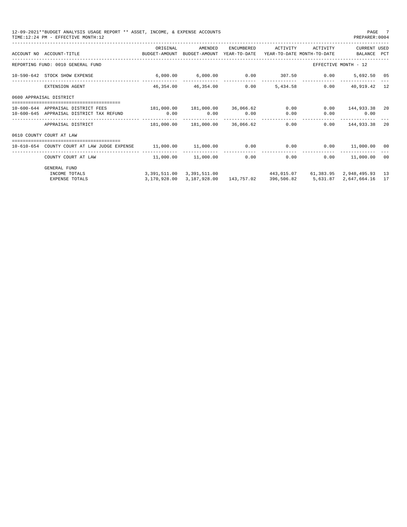| 12-09-2021**BUDGET ANALYSIS USAGE REPORT ** ASSET, INCOME, & EXPENSE ACCOUNTS<br>TIME: 12:24 PM - EFFECTIVE MONTH: 12    |          |             |                                                                 | PAGE 7<br>PREPARER:0004           |      |
|--------------------------------------------------------------------------------------------------------------------------|----------|-------------|-----------------------------------------------------------------|-----------------------------------|------|
| ACCOUNT NO ACCOUNT-TITLE CONTROL TO BUDGET-AMOUNT BUDGET-AMOUNT YEAR-TO-DATE YEAR-TO-DATE MONTH-TO-DATE BALANCE PCT      | ORIGINAL | AMENDED     | ENCUMBERED ACTIVITY ACTIVITY CURRENT USED                       |                                   |      |
| REPORTING FUND: 0010 GENERAL FUND                                                                                        |          |             |                                                                 | EFFECTIVE MONTH - 12              |      |
| 10-590-642 STOCK SHOW EXPENSE                                                                                            |          |             | $6,000.00$ $6,000.00$ $0.00$ $307.50$ $0.00$ $5,692.50$ $0.5$   |                                   |      |
| EXTENSION AGENT                                                                                                          |          |             | 46,354.00 46,354.00 0.00 5,434.58                               | $0.00$ $40.919.42$ 12             |      |
| 0600 APPRAISAL DISTRICT                                                                                                  |          |             |                                                                 |                                   |      |
| 10-600-644 APPRAISAL DISTRICT FEES 181,000.00 181,000.00 36,066.62 0.00<br>10-600-645 APPRAISAL DISTRICT TAX REFUND 0.00 |          | $0.00$ 0.00 | 0.00                                                            | 0.00 144,933.38 20<br>$0.00$ 0.00 |      |
| APPRAISAL DISTRICT $181,000.00$ $181,000.00$ $36,066.62$ 0.00                                                            |          |             |                                                                 | $0.00$ 144,933.38                 | -20  |
| 0610 COUNTY COURT AT LAW                                                                                                 |          |             |                                                                 |                                   |      |
| 10-610-654 COUNTY COURT AT LAW JUDGE EXPENSE                                                                             |          |             | $11,000.00$ $11,000.00$ $0.00$ $0.00$ $0.00$ $0.00$ $11,000.00$ |                                   | - 00 |
| COUNTY COURT AT LAW                                                                                                      |          |             | $11.000.00$ $11.000.00$ $0.00$ 0.00 0.00                        | $0.00$ 11,000.00                  | 00   |
| <b>GENERAL FUND</b><br>INCOME TOTALS                                                                                     |          |             | 3,391,511.00 3,391,511.00 443,015.07 61,383.95 2,948,495.93 13  |                                   |      |
| <b>EXPENSE TOTALS</b>                                                                                                    |          |             | 3,170,928.00 3,187,928.00 143,757.02 396,506.82 5,631.87        | 2,647,664.16 17                   |      |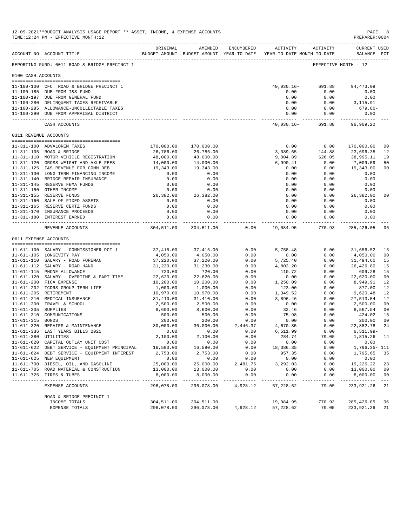|                     | 12-09-2021**BUDGET ANALYSIS USAGE REPORT ** ASSET, INCOME, & EXPENSE ACCOUNTS<br>TIME:12:24 PM - EFFECTIVE MONTH:12 |                          |                          |                           |                                                                     |                      | PAGE<br>PREPARER: 0004             | 8              |
|---------------------|---------------------------------------------------------------------------------------------------------------------|--------------------------|--------------------------|---------------------------|---------------------------------------------------------------------|----------------------|------------------------------------|----------------|
|                     | ACCOUNT NO ACCOUNT-TITLE                                                                                            | ORIGINAL                 | AMENDED                  | ENCUMBERED                | BUDGET-AMOUNT BUDGET-AMOUNT YEAR-TO-DATE YEAR-TO-DATE MONTH-TO-DATE | ACTIVITY ACTIVITY    | <b>CURRENT USED</b><br>BALANCE PCT |                |
|                     | REPORTING FUND: 0011 ROAD & BRIDGE PRECINCT 1                                                                       |                          |                          |                           |                                                                     |                      | EFFECTIVE MONTH - 12               |                |
| 0100 CASH ACCOUNTS  |                                                                                                                     |                          |                          |                           |                                                                     |                      |                                    |                |
|                     |                                                                                                                     |                          |                          |                           |                                                                     |                      |                                    |                |
|                     | 11-100-100 CFC: ROAD & BRIDGE PRECINCT 1<br>11-100-185 DUE FROM I&S FUND                                            |                          |                          |                           | $40,030.16 -$<br>0.00                                               | 691.88<br>0.00       | 94,473.09<br>0.00                  |                |
|                     | 11-100-197 DUE FROM GENERAL FUND                                                                                    |                          |                          |                           | 0.00                                                                | 0.00                 | 0.00                               |                |
|                     | 11-100-280 DELINQUENT TAXES RECEIVABLE                                                                              |                          |                          |                           | 0.00                                                                | 0.00                 | 3,115.91                           |                |
|                     | 11-100-285 ALLOWANCE-UNCOLLECTABLE TAXES                                                                            |                          |                          |                           | 0.00                                                                | 0.00                 | 679.80-                            |                |
|                     | 11-100-290 DUE FROM APPRAISAL DISTRICT                                                                              |                          |                          |                           | 0.00<br>--------------                                              | 0.00<br>------------ | 0.00<br>------------               |                |
|                     | CASH ACCOUNTS                                                                                                       |                          |                          |                           |                                                                     | 40,030.16- 691.88    | 96,909.20                          |                |
|                     | 0311 REVENUE ACCOUNTS                                                                                               |                          |                          |                           |                                                                     |                      |                                    |                |
|                     | 11-311-100 ADVALOREM TAXES                                                                                          | 170,000.00               | 170,000.00               |                           | 0.00                                                                | 0.00                 | 170,000.00                         | 0 <sub>0</sub> |
|                     | 11-311-105 ROAD & BRIDGE                                                                                            | 26,786.00                | 26,786.00                |                           | 3,089.65                                                            | 144.88               | 23,696.35                          | 12             |
|                     | 11-311-110 MOTOR VEHICLE REGISTRATION                                                                               | 48,000.00                | 48,000.00                |                           | 9,004.89                                                            | 626.05               | 38,995.11                          | 19             |
|                     | 11-311-120 GROSS WEIGHT AND AXLE FEES                                                                               | 14,000.00                | 14,000.00                |                           | 6,990.41                                                            | 0.00                 | 7,009.59                           | 50             |
|                     | 11-311-125 I&S REVENUE FOR COMM DEB                                                                                 | 19,343.00                | 19,343.00                |                           | 0.00                                                                | 0.00                 | 19,343.00                          | 0 <sub>0</sub> |
|                     | 11-311-130 LONG TERM FINANCING INCOME                                                                               | 0.00                     | 0.00                     |                           | 0.00                                                                | 0.00                 | 0.00                               |                |
|                     | 11-311-140 BRIDGE REPAIR INSURANCE                                                                                  | 0.00                     | 0.00                     |                           | 0.00                                                                | 0.00                 | 0.00                               |                |
|                     | 11-311-145 RESERVE FEMA FUNDS                                                                                       | 0.00                     | 0.00                     |                           | 0.00                                                                | 0.00                 | 0.00                               |                |
|                     | 11-311-150 OTHER INCOME                                                                                             | 0.00<br>26,382.00        | 0.00<br>26,382.00        |                           | 0.00                                                                | 0.00<br>0.00         | 0.00                               | 0 <sub>0</sub> |
|                     | 11-311-155 RESERVE FUNDS<br>11-311-160 SALE OF FIXED ASSETS                                                         | 0.00                     | 0.00                     |                           | 0.00<br>0.00                                                        | 0.00                 | 26,382.00<br>0.00                  |                |
|                     | 11-311-165 RESERVE CERTZ FUNDS                                                                                      | 0.00                     | 0.00                     |                           | 0.00                                                                | 0.00                 | 0.00                               |                |
|                     | 11-311-170 INSURANCE PROCEEDS                                                                                       | 0.00                     | 0.00                     |                           | 0.00                                                                | 0.00                 | 0.00                               |                |
|                     | 11-311-180 INTEREST EARNED                                                                                          | 0.00                     | 0.00                     |                           | 0.00                                                                | 0.00                 | 0.00                               |                |
|                     | REVENUE ACCOUNTS                                                                                                    | .<br>304,511.00          | .<br>304,511.00          | 0.00                      | ------------<br>19,084.95                                           | ----------<br>770.93 | 285,426.05                         | 06             |
|                     | 0611 EXPENSE ACCOUNTS                                                                                               |                          |                          |                           |                                                                     |                      |                                    |                |
|                     | 11-611-100 SALARY - COMMISSIONER PCT 1                                                                              | 37,415.00                | 37,415.00                | 0.00                      | 5,758.48                                                            | 0.00                 | 31,656.52                          | 15             |
|                     | 11-611-105 LONGEVITY PAY                                                                                            | 4,050.00                 | 4,050.00                 | 0.00                      | 0.00                                                                | 0.00                 | 4,050.00                           | 00             |
|                     | 11-611-110 SALARY - ROAD FOREMAN                                                                                    | 37,220.00                | 37,220.00                | 0.00                      | 5,725.40                                                            | 0.00                 | 31,494.60                          | 15             |
|                     | 11-611-112 SALARY - ROAD HAND                                                                                       | 31,230.00                | 31,230.00                | 0.00                      | 4,803.20                                                            | 0.00                 | 26,426.80                          | 15             |
|                     | 11-611-115 PHONE ALLOWANCE                                                                                          | 720.00                   | 720.00                   | 0.00                      | 110.72                                                              | 0.00                 | 609.28                             | 15             |
|                     | 11-611-120 SALARY - OVERTIME & PART TIME                                                                            | 22,620.00                | 22,620.00                | 0.00                      | 0.00                                                                | 0.00                 | 22,620.00                          | 0 <sup>0</sup> |
|                     | 11-611-200 FICA EXPENSE                                                                                             | 10,200.00                | 10,200.00                | 0.00                      | 1,250.09                                                            | 0.00                 | 8,949.91                           | 12             |
|                     | 11-611-202 TCDRS GROUP TERM LIFE<br>11-611-205 RETIREMENT                                                           | 1,000.00<br>10,970.00    | 1,000.00                 | 0.00<br>0.00              | 123.00                                                              | 0.00<br>0.00         | 877.00<br>9,620.48                 | 12<br>12       |
|                     | 11-611-210 MEDICAL INSURANCE                                                                                        | 31,410.00                | 10,970.00<br>31,410.00   | 0.00                      | 1,349.52<br>3,896.46                                                | 0.00                 | 27,513.54                          | 12             |
|                     | 11-611-300 TRAVEL & SCHOOL                                                                                          | 2,500.00                 | 2,500.00                 | 0.00                      | 0.00                                                                | 0.00                 | 2,500.00                           | 0 <sup>0</sup> |
| 11-611-305 SUPPLIES |                                                                                                                     | 8,600.00                 | 8,600.00                 | 0.00                      | 32.46                                                               | 0.00                 | 8,567.54                           | 0 <sub>0</sub> |
|                     | 11-611-310 COMMUNICATIONS                                                                                           | 500.00                   | 500.00                   | 0.00                      | 75.98                                                               | 0.00                 | 424.02                             | 15             |
| 11-611-315 BONDS    |                                                                                                                     | 200.00                   | 200.00                   | 0.00                      | 0.00                                                                | 0.00                 | 200.00                             | 0 <sub>0</sub> |
| $11 - 611 - 320$    | REPAIRS & MAINTENANCE                                                                                               | 30,000.00                | 30,000.00                | 2,446.37                  | 4,670.85                                                            | 0.00                 | 22,882.78                          | 24             |
|                     | 11-611-336 LAST YEARS BILLS 2021                                                                                    | 0.00                     | 0.00                     | 0.00                      | 6,511.99                                                            | 0.00                 | $6,511.99-$                        |                |
|                     | 11-611-380 UTILITIES                                                                                                | 2,100.00                 | 2,100.00                 | 0.00                      | 284.74                                                              | 79.05                | 1,815.26                           | -14            |
|                     | 11-611-620 CAPITAL OUTLAY UNIT COST                                                                                 | 0.00                     | 0.00                     | 0.00                      | 0.00                                                                | 0.00                 | 0.00                               |                |
|                     | 11-611-622 DEBT SERVICE - EQUIPMENT PRINCIPAL                                                                       | 16,590.00                | 16,590.00                | 0.00                      | 18,386.35                                                           | 0.00                 | 1,796.35- 111                      |                |
|                     | 11-611-624 DEBT SERVICE - EQUIPMENT INTEREST<br>11-611-625 NEW EQUIPMENT                                            | 2,753.00<br>0.00         | 2,753.00<br>0.00         | 0.00<br>0.00              | 957.35<br>0.00                                                      | 0.00<br>0.00         | 1,795.65<br>0.00                   | 35             |
|                     | 11-611-700 DIESEL, OIL, AND GASOLINE                                                                                | 25,000.00                | 25,000.00                | 2,481.75                  | 3,292.03                                                            | 0.00                 | 19,226.22                          | 23             |
|                     | 11-611-705 ROAD MATERIAL & CONSTRUCTION                                                                             | 13,000.00                | 13,000.00                | 0.00                      | 0.00                                                                | 0.00                 | 13,000.00                          | 0 <sub>0</sub> |
|                     | 11-611-725 TIRES & TUBES                                                                                            | 8,000.00                 | 8,000.00                 | 0.00                      | 0.00                                                                | 0.00                 | 8,000.00                           | 0 <sub>0</sub> |
|                     | -----------------------------<br>EXPENSE ACCOUNTS                                                                   | ----------<br>296,078.00 | ----------<br>296,078.00 | $- - - - - -$<br>4,928.12 | ------<br>57,228.62                                                 | $- - - - -$<br>79.05 | . <b>.</b> .<br>233,921.26         | $- - -$<br>21  |
|                     | ROAD & BRIDGE PRECINCT 1                                                                                            |                          |                          |                           |                                                                     |                      |                                    |                |
|                     | INCOME TOTALS                                                                                                       | 304,511.00               | 304,511.00               |                           | 19,084.95                                                           | 770.93               | 285, 426.05                        | 06             |
|                     | EXPENSE TOTALS                                                                                                      | 296,078.00               | 296,078.00               | 4,928.12                  | 57,228.62                                                           | 79.05                | 233,921.26                         | 21             |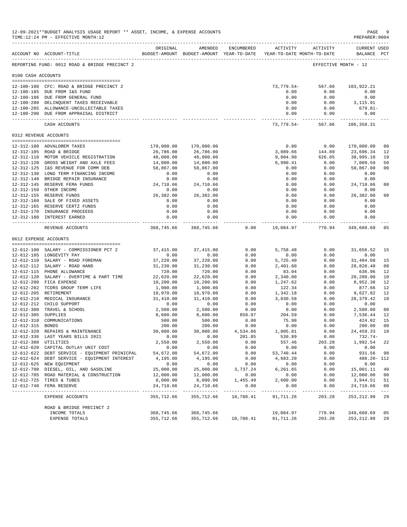|                       | 12-09-2021**BUDGET ANALYSIS USAGE REPORT ** ASSET, INCOME, & EXPENSE ACCOUNTS<br>TIME:12:24 PM - EFFECTIVE MONTH:12 |                            |                                                                     |                        |                            |                       | $\mathop{\mathtt{PAGE}}$<br>PREPARER:0004 | -9                   |
|-----------------------|---------------------------------------------------------------------------------------------------------------------|----------------------------|---------------------------------------------------------------------|------------------------|----------------------------|-----------------------|-------------------------------------------|----------------------|
|                       |                                                                                                                     | ORIGINAL                   | AMENDED                                                             | ENCUMBERED             |                            | ACTIVITY ACTIVITY     | <b>CURRENT USED</b>                       |                      |
|                       | ACCOUNT NO ACCOUNT-TITLE                                                                                            |                            | BUDGET-AMOUNT BUDGET-AMOUNT YEAR-TO-DATE YEAR-TO-DATE MONTH-TO-DATE |                        |                            |                       | BALANCE PCT                               |                      |
|                       | -------------------------------------<br>REPORTING FUND: 0012 ROAD & BRIDGE PRECINCT 2                              |                            |                                                                     |                        |                            |                       | EFFECTIVE MONTH - 12                      |                      |
| 0100 CASH ACCOUNTS    |                                                                                                                     |                            |                                                                     |                        |                            |                       |                                           |                      |
|                       |                                                                                                                     |                            |                                                                     |                        |                            |                       |                                           |                      |
|                       | 12-100-100 CFC: ROAD & BRIDGE PRECINCT 2                                                                            |                            |                                                                     |                        | 73,779.54-                 | 567.66                | 103,922.21                                |                      |
|                       | 12-100-185 DUE FROM I&S FUND                                                                                        |                            |                                                                     |                        | 0.00                       | 0.00                  | 0.00                                      |                      |
|                       | 12-100-186 DUE FROM GENERAL FUND<br>12-100-280 DELINQUENT TAXES RECEIVABLE                                          |                            |                                                                     |                        | 0.00<br>0.00               | 0.00<br>0.00          | 0.00<br>3,115.91                          |                      |
|                       | 12-100-285 ALLOWANCE-UNCOLLECTABLE TAXES                                                                            |                            |                                                                     |                        | 0.00                       | 0.00                  | 679.81-                                   |                      |
|                       | 12-100-290 DUE FROM APPRAISAL DISTRICT                                                                              |                            |                                                                     |                        | 0.00                       | 0.00                  | 0.00                                      |                      |
|                       | CASH ACCOUNTS                                                                                                       |                            |                                                                     |                        | ------------<br>73,779.54- | ------------          | ------------<br>567.66 106,358.31         |                      |
| 0312 REVENUE ACCOUNTS |                                                                                                                     |                            |                                                                     |                        |                            |                       |                                           |                      |
|                       |                                                                                                                     |                            |                                                                     |                        |                            |                       |                                           |                      |
|                       | 12-312-100 ADVALOREM TAXES                                                                                          | 170,000.00                 | 170,000.00                                                          |                        | 0.00                       | 0.00                  | 170,000.00                                | 0 <sub>0</sub>       |
|                       | 12-312-105 ROAD & BRIDGE                                                                                            | 26,786.00                  | 26,786.00                                                           |                        | 3,089.66                   | 144.89                | 23,696.34                                 | 12                   |
|                       | 12-312-110 MOTOR VEHICLE REGISTRATION                                                                               | 48,000.00                  | 48,000.00                                                           |                        | 9,004.90                   | 626.05                | 38,995.10                                 | 19                   |
|                       | 12-312-120 GROSS WEIGHT AND AXLE FEES<br>12-312-125 I&S REVENUE FOR COMM DEB                                        | 14,000.00<br>58,867.00     | 14,000.00<br>58,867.00                                              |                        | 6,990.41<br>0.00           | 0.00<br>0.00          | 7,009.59<br>58,867.00                     | 50<br>0 <sub>0</sub> |
|                       | 12-312-130 LONG TERM FINANCING INCOME                                                                               | 0.00                       | 0.00                                                                |                        | 0.00                       | 0.00                  | 0.00                                      |                      |
|                       | 12-312-140 BRIDGE REPAIR INSURANCE                                                                                  | 0.00                       | 0.00                                                                |                        | 0.00                       | 0.00                  | 0.00                                      |                      |
|                       | 12-312-145 RESERVE FEMA FUNDS                                                                                       | 24,710.66                  | 24,710.66                                                           |                        | 0.00                       | 0.00                  | 24,710.66                                 | 0 <sub>0</sub>       |
|                       | 12-312-150 OTHER INCOME                                                                                             | 0.00                       | 0.00                                                                |                        | 0.00                       | 0.00                  | 0.00                                      |                      |
|                       | 12-312-155 RESERVE FUNDS                                                                                            | 26,382.00                  | 26,382.00                                                           |                        | 0.00                       | 0.00                  | 26,382.00                                 | 0 <sub>0</sub>       |
|                       | 12-312-160 SALE OF FIXED ASSETS                                                                                     | 0.00                       | 0.00                                                                |                        | 0.00                       | 0.00                  | 0.00                                      |                      |
|                       | 12-312-165 RESERVE CERTZ FUNDS                                                                                      | 0.00                       | 0.00                                                                |                        | 0.00                       | 0.00                  | 0.00                                      |                      |
|                       | 12-312-170 INSURANCE PROCEEDS                                                                                       | 0.00                       | 0.00                                                                |                        | 0.00                       | 0.00                  | 0.00                                      |                      |
|                       | 12-312-180 INTEREST EARNED                                                                                          | 0.00<br>_____________      | 0.00<br>-------------                                               |                        | 0.00<br>-------------      | 0.00<br>------------- | 0.00<br>--------------                    |                      |
|                       | REVENUE ACCOUNTS                                                                                                    |                            | 368,745.66 368,745.66                                               |                        | $0.00$ 19,084.97           | 770.94                | 349,660.69                                | 05                   |
| 0612 EXPENSE ACCOUNTS |                                                                                                                     |                            |                                                                     |                        |                            |                       |                                           |                      |
|                       |                                                                                                                     |                            |                                                                     |                        |                            |                       |                                           |                      |
|                       | 12-612-100 SALARY - COMMISSIONER PCT 2<br>12-612-105 LONGEVITY PAY                                                  | 37,415.00<br>0.00          | 37,415.00<br>0.00                                                   | 0.00<br>0.00           | 5,758.48<br>0.00           | 0.00<br>0.00          | 31,656.52<br>0.00                         | 15                   |
|                       | 12-612-110 SALARY - ROAD FOREMAN                                                                                    | 37,220.00                  | 37,220.00                                                           | 0.00                   | 5,725.40                   | 0.00                  | 31,494.60                                 | 15                   |
|                       | 12-612-112 SALARY - ROAD HAND                                                                                       | 31,230.00                  | 31,230.00                                                           | 0.00                   | 2,401.60                   | 0.00                  | 28,828.40                                 | 08                   |
|                       | 12-612-115 PHONE ALLOWANCE                                                                                          | 720.00                     | 720.00                                                              | 0.00                   | 83.04                      | 0.00                  | 636.96                                    | 12                   |
|                       | 12-612-120 SALARY - OVERTIME & PART TIME                                                                            | 22,620.00                  | 22,620.00                                                           | 0.00                   | 2,340.00                   | 0.00                  | 20,280.00                                 | 10                   |
|                       | 12-612-200 FICA EXPENSE                                                                                             | 10,200.00                  | 10,200.00                                                           | 0.00                   | 1,247.62                   | 0.00                  | 8,952.38                                  | 12                   |
|                       | 12-612-202 TCDRS GROUP TERM LIFE                                                                                    | 1,000.00                   | 1,000.00                                                            | 0.00                   | 122.34                     | 0.00                  | 877.66                                    | 12                   |
|                       | 12-612-205 RETIREMENT                                                                                               | 10,970.00                  | 10,970.00                                                           | 0.00                   | 1,342.18                   | 0.00                  | 9,627.82                                  | 12                   |
|                       | 12-612-210 MEDICAL INSURANCE                                                                                        | 31,410.00                  | 31,410.00                                                           | 0.00                   | 3,030.58                   | 0.00                  | 28,379.42                                 | 10                   |
|                       | 12-612-212 CHILD SUPPORT                                                                                            | 0.00                       | 0.00                                                                | 0.00                   | 0.00                       | 0.00                  | 0.00                                      |                      |
|                       | 12-612-300 TRAVEL & SCHOOL                                                                                          | 2,500.00                   | 2,500.00                                                            | 0.00                   | 0.00                       | 0.00                  | 2,500.00                                  | 0 <sub>0</sub>       |
| 12-612-305 SUPPLIES   |                                                                                                                     | 8,600.00                   | 8,600.00                                                            | 858.97                 | 204.59                     | 0.00                  | 7,536.44                                  | 12                   |
|                       | 12-612-310 COMMUNICATIONS                                                                                           | 500.00                     | 500.00                                                              | 0.00                   | 75.98                      | 0.00                  | 424.02                                    | 15                   |
| 12-612-315 BONDS      |                                                                                                                     | 200.00                     | 200.00                                                              | 0.00                   | 0.00                       | 0.00                  | 200.00                                    | 0 <sub>0</sub>       |
|                       | 12-612-320 REPAIRS & MAINTENANCE                                                                                    | 30,000.00                  | 30,000.00                                                           | 4,534.86               | 1,005.81                   | 0.00                  | 24,459.33                                 | 18                   |
|                       | 12-612-336 LAST YEARS BILLS 2021                                                                                    | 0.00                       | 0.00                                                                | 201.85                 | 530.89                     | 0.00                  | $732.74-$                                 |                      |
| 12-612-380 UTILITIES  |                                                                                                                     | 2,550.00                   | 2,550.00                                                            | 0.00                   | 557.46                     | 203.28                | 1,992.54                                  | 22                   |
|                       | 12-612-620 CAPITAL OUTLAY UNIT COST                                                                                 | 0.00                       | 0.00                                                                | 0.00                   | 0.00                       | 0.00                  | 0.00                                      |                      |
|                       | 12-612-622 DEBT SERVICE - EQUIPMENT PRINICPAL                                                                       | 54,672.00                  | 54,672.00                                                           | 0.00                   | 53,740.44                  | 0.00                  | 931.56                                    | 98                   |
|                       | 12-612-624 DEBT SERVICE - EQUIPMENT INTEREST<br>12-612-625 NEW EQUIPMENT                                            | 4,195.00<br>0.00           | 4,195.00<br>0.00                                                    | 0.00<br>0.00           | 4,683.20<br>0.00           | 0.00<br>0.00          | 488.20- 112<br>0.00                       |                      |
|                       | 12-612-700 DIESEL, OIL, AND GASOLINE                                                                                | 25,000.00                  | 25,000.00                                                           | 3,737.24               | 6,261.65                   | 0.00                  | 15,001.11                                 | 40                   |
|                       | 12-612-705 ROAD MATERIAL & CONSTRUCTION                                                                             | 12,000.00                  | 12,000.00                                                           | 0.00                   | 0.00                       | 0.00                  | 12,000.00                                 | 0 <sub>0</sub>       |
|                       | 12-612-725 TIRES & TUBES                                                                                            | 8,000.00                   | 8,000.00                                                            | 1,455.49               | 2,600.00                   | 0.00                  | 3,944.51                                  | 51                   |
|                       | 12-612-740 FEMA RESERVE                                                                                             | 24,710.66                  | 24,710.66                                                           | 0.00                   | 0.00                       | 0.00                  | 24,710.66                                 | 0 <sub>0</sub>       |
|                       | --------------------------------<br>EXPENSE ACCOUNTS                                                                | ____________<br>355,712.66 | _____________<br>355,712.66                                         | ---------<br>10,788.41 | 91,711.26                  | 203.28                | --------<br>253,212.99                    | $- - -$<br>29        |
|                       | ROAD & BRIDGE PRECINCT 2                                                                                            |                            |                                                                     |                        |                            |                       |                                           |                      |
|                       | INCOME TOTALS                                                                                                       | 368,745.66                 | 368,745.66                                                          |                        | 19,084.97                  | 770.94                | 349,660.69                                | 05                   |
|                       | EXPENSE TOTALS                                                                                                      | 355,712.66                 | 355,712.66                                                          | 10,788.41              | 91,711.26                  | 203.28                | 253, 212.99                               | 29                   |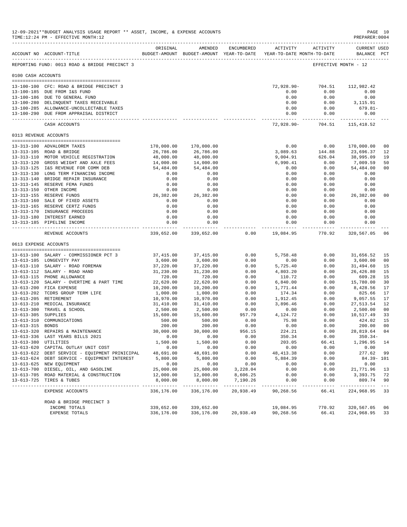|                       | 12-09-2021**BUDGET ANALYSIS USAGE REPORT ** ASSET, INCOME, & EXPENSE ACCOUNTS<br>TIME:12:24 PM - EFFECTIVE MONTH:12 |                           |                                                                     |                      |                      |                      | PAGE 10<br>PREPARER: 0004          |                      |
|-----------------------|---------------------------------------------------------------------------------------------------------------------|---------------------------|---------------------------------------------------------------------|----------------------|----------------------|----------------------|------------------------------------|----------------------|
|                       | ACCOUNT NO ACCOUNT-TITLE                                                                                            | ORIGINAL                  | BUDGET-AMOUNT BUDGET-AMOUNT YEAR-TO-DATE YEAR-TO-DATE MONTH-TO-DATE | AMENDED ENCUMBERED   |                      | ACTIVITY ACTIVITY    | <b>CURRENT USED</b><br>BALANCE PCT |                      |
|                       | REPORTING FUND: 0013 ROAD & BRIDGE PRECINCT 3                                                                       |                           |                                                                     |                      |                      |                      | EFFECTIVE MONTH - 12               |                      |
| 0100 CASH ACCOUNTS    |                                                                                                                     |                           |                                                                     |                      |                      |                      |                                    |                      |
|                       | 13-100-100 CFC: ROAD & BRIDGE PRECINCT 3                                                                            |                           |                                                                     |                      | 72,928.90-           | 704.51               | 112,982.42                         |                      |
|                       | 13-100-185 DUE FROM I&S FUND                                                                                        |                           |                                                                     |                      | 0.00                 | 0.00                 | 0.00                               |                      |
|                       | 13-100-186 DUE TO GENERAL FUND                                                                                      |                           |                                                                     |                      | 0.00                 | 0.00                 | 0.00                               |                      |
|                       | 13-100-280 DELINQUENT TAXES RECEIVABLE                                                                              |                           |                                                                     |                      | 0.00                 | 0.00                 | 3,115.91                           |                      |
|                       | 13-100-285 ALLOWANCE-UNCOLLECTABLE TAXES                                                                            |                           |                                                                     |                      | 0.00                 | 0.00                 | 679.81-                            |                      |
|                       | 13-100-290 DUE FROM APPRAISAL DISTRICT                                                                              |                           |                                                                     |                      | 0.00<br>------------ | 0.00                 | 0.00<br>-------------              |                      |
|                       | CASH ACCOUNTS                                                                                                       |                           |                                                                     |                      | 72,928.90-           |                      | 704.51 115,418.52                  |                      |
| 0313 REVENUE ACCOUNTS |                                                                                                                     |                           |                                                                     |                      |                      |                      |                                    |                      |
|                       | 13-313-100 ADVALOREM TAXES                                                                                          | 170,000.00                | 170,000.00                                                          |                      | 0.00                 | 0.00                 | 170,000.00                         | 0 <sub>0</sub>       |
|                       | 13-313-105 ROAD & BRIDGE                                                                                            | 26,786.00                 | 26,786.00                                                           |                      | 3,089.63             | 144.88               | 23,696.37                          | 12                   |
|                       | 13-313-110 MOTOR VEHICLE REGISTRATION                                                                               | 48,000.00                 | 48,000.00                                                           |                      | 9,004.91             | 626.04               | 38,995.09                          | 19                   |
|                       | 13-313-120 GROSS WEIGHT AND AXLE FEES                                                                               | 14,000.00                 | 14,000.00                                                           |                      | 6,990.41             | 0.00                 | 7,009.59                           | 50                   |
|                       | 13-313-125 I&S REVENUE FOR COMM DEB                                                                                 | 54,484.00                 | 54,484.00                                                           |                      | 0.00                 | 0.00                 | 54,484.00                          | 0 <sub>0</sub>       |
|                       | 13-313-130 LONG TERM FINANCING INCOME                                                                               | 0.00                      | 0.00                                                                |                      | 0.00                 | 0.00                 | 0.00                               |                      |
|                       | 13-313-140 BRIDGE REPAIR INSURANCE                                                                                  | 0.00                      | 0.00                                                                |                      | 0.00                 | 0.00                 | 0.00                               |                      |
|                       | 13-313-145 RESERVE FEMA FUNDS                                                                                       | 0.00                      | 0.00                                                                |                      | 0.00                 | 0.00                 | 0.00                               |                      |
|                       | 13-313-150 OTHER INCOME<br>13-313-155 RESERVE FUNDS                                                                 | 0.00<br>26,382.00         | 0.00                                                                |                      | 0.00<br>0.00         | 0.00                 | 0.00                               | 00                   |
|                       | 13-313-160 SALE OF FIXED ASSETS                                                                                     | 0.00                      | 26,382.00<br>0.00                                                   |                      | 0.00                 | 0.00<br>0.00         | 26,382.00<br>0.00                  |                      |
|                       | 13-313-165 RESERVE CERTZ FUNDS                                                                                      | 0.00                      | 0.00                                                                |                      | 0.00                 | 0.00                 | 0.00                               |                      |
|                       | 13-313-170 INSURANCE PROCEEDS                                                                                       | 0.00                      | 0.00                                                                |                      | 0.00                 | 0.00                 | 0.00                               |                      |
|                       | 13-313-180 INTEREST EARNED                                                                                          | 0.00                      | 0.00                                                                |                      | 0.00                 | 0.00                 | 0.00                               |                      |
|                       | 13-313-185 PIPELINE INCOME                                                                                          | 0.00<br>------------      | 0.00<br>-----------                                                 |                      | 0.00<br>. <u>.</u>   | 0.00<br>------------ | 0.00                               |                      |
|                       | REVENUE ACCOUNTS                                                                                                    | 339,652.00                | 339,652.00                                                          | 0.00                 | 19,084.95            |                      | 770.92 320,567.05                  | 06                   |
| 0613 EXPENSE ACCOUNTS |                                                                                                                     |                           |                                                                     |                      |                      |                      |                                    |                      |
|                       |                                                                                                                     |                           |                                                                     |                      |                      | 0.00                 |                                    |                      |
|                       | 13-613-100 SALARY - COMMISSIONER PCT 3<br>13-613-105 LONGEVITY PAY                                                  | 37,415.00<br>3,600.00     | 37,415.00<br>3,600.00                                               | 0.00<br>0.00         | 5,758.48<br>0.00     | 0.00                 | 31,656.52<br>3,600.00              | 15<br>0 <sub>0</sub> |
|                       | 13-613-110 SALARY - ROAD FOREMAN                                                                                    | 37,220.00                 | 37,220.00                                                           | 0.00                 | 5,725.40             | 0.00                 | 31,494.60                          | 15                   |
|                       | 13-613-112 SALARY - ROAD HAND                                                                                       | 31,230.00                 | 31,230.00                                                           | 0.00                 | 4,803.20             | 0.00                 | 26,426.80                          | 15                   |
|                       | 13-613-115 PHONE ALLOWANCE                                                                                          | 720.00                    | 720.00                                                              | 0.00                 | 110.72               | 0.00                 | 609.28                             | 15                   |
|                       | 13-613-120 SALARY - OVERTIME & PART TIME                                                                            | 22,620.00                 | 22,620.00                                                           | 0.00                 | 6,840.00             | 0.00                 | 15,780.00                          | 30                   |
|                       | 13-613-200 FICA EXPENSE                                                                                             | 10,200.00                 | 10,200.00                                                           | 0.00                 | 1,771.44             | 0.00                 | 8,428.56                           | 17                   |
|                       | 13-613-202 TCDRS GROUP TERM LIFE                                                                                    | 1,000.00                  | 1,000.00                                                            | 0.00                 | 174.34               | 0.00                 | 825.66                             | 17                   |
|                       | 13-613-205 RETIREMENT                                                                                               | 10,970.00                 | 10,970.00                                                           | 0.00                 | 1,912.45             | 0.00                 | 9,057.55                           | 17                   |
|                       | 13-613-210 MEDICAL INSURANCE                                                                                        | 31,410.00                 | 31,410.00                                                           | 0.00                 | 3,896.46             | 0.00                 | 27,513.54                          | 12                   |
| 13-613-305 SUPPLIES   | 13-613-300 TRAVEL & SCHOOL                                                                                          | 2,500.00<br>15,600.00     | 2,500.00<br>15,600.00                                               | 0.00<br>957.79       | 0.00<br>4,124.72     | 0.00<br>0.00         | 2,500.00<br>10,517.49              | 00<br>33             |
|                       | 13-613-310 COMMUNICATIONS                                                                                           | 500.00                    | 500.00                                                              | 0.00                 | 75.98                | 0.00                 | 424.02                             | 15                   |
| 13-613-315 BONDS      |                                                                                                                     | 200.00                    | 200.00                                                              | 0.00                 | 0.00                 | 0.00                 | 200.00                             | 0 <sup>0</sup>       |
|                       | 13-613-320 REPAIRS & MAINTENANCE                                                                                    | 30,000.00                 | 30,000.00                                                           | 956.15               | 224.21               | 0.00                 | 28,819.64 04                       |                      |
|                       | 13-613-336 LAST YEARS BILLS 2021                                                                                    | 0.00                      | 0.00                                                                | 0.00                 | 350.34               | 0.00                 | 350.34-                            |                      |
| 13-613-380 UTILITIES  |                                                                                                                     | 1,500.00                  | 1,500.00                                                            | 0.00                 | 203.05               | 66.41                | 1,296.95                           | 14                   |
|                       | 13-613-620 CAPITAL OUTLAY UNIT COST                                                                                 | 0.00                      | 0.00                                                                | 0.00                 | 0.00                 | 0.00                 | 0.00                               |                      |
|                       | 13-613-622 DEBT SERVICE - EQUIPMENT PRINICIPAL                                                                      | 48,691.00                 | 48,691.00                                                           | 0.00                 | 48, 413.38           | 0.00                 | 277.62                             | 99                   |
|                       | 13-613-624 DEBT SERVICE - EQUIPMENT INTEREST                                                                        | 5,800.00                  | 5,800.00                                                            | 0.00                 | 5,884.39             | 0.00                 | 84.39- 101                         |                      |
|                       | 13-613-625 NEW EQUIPMENT                                                                                            | 0.00                      | 0.00                                                                | 0.00                 | 0.00                 | 0.00                 | 0.00                               |                      |
|                       | 13-613-700 DIESEL, OIL, AND GASOLINE<br>13-613-705 ROAD MATERIAL & CONSTRUCTION                                     | 25,000.00<br>12,000.00    | 25,000.00<br>12,000.00                                              | 3,228.04<br>8,606.25 | 0.00<br>0.00         | 0.00<br>0.00         | 21,771.96 13<br>3,393.75           | 72                   |
|                       | 13-613-725 TIRES & TUBES                                                                                            | 8,000.00                  | 8,000.00                                                            | 7,190.26             | 0.00                 | 0.00                 | 809.74                             | 90                   |
|                       | EXPENSE ACCOUNTS                                                                                                    | -----------<br>336,176.00 | _____________<br>336,176.00                                         | 20,938.49            | 90,268.56            | -----<br>66.41       | 224,968.95                         | 33                   |
|                       |                                                                                                                     |                           |                                                                     |                      |                      |                      |                                    |                      |
|                       | ROAD & BRIDGE PRECINCT 3<br>INCOME TOTALS                                                                           | 339,652.00                | 339,652.00                                                          |                      | 19,084.95            | 770.92               | 320,567.05                         | 06                   |
|                       | EXPENSE TOTALS                                                                                                      | 336,176.00                |                                                                     | 336,176.00 20,938.49 | 90,268.56            | 66.41                | 224,968.95                         | 33                   |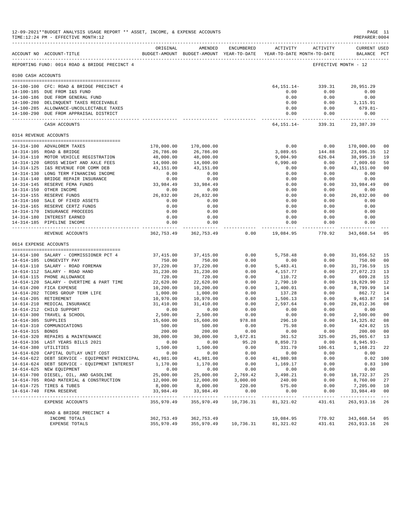|                     | 12-09-2021**BUDGET ANALYSIS USAGE REPORT ** ASSET, INCOME, & EXPENSE ACCOUNTS<br>TIME:12:24 PM - EFFECTIVE MONTH:12 |                            |                                                                     |                        |                                              |                      | PAGE 11<br>PREPARER: 0004          |                      |
|---------------------|---------------------------------------------------------------------------------------------------------------------|----------------------------|---------------------------------------------------------------------|------------------------|----------------------------------------------|----------------------|------------------------------------|----------------------|
|                     | ACCOUNT NO ACCOUNT-TITLE                                                                                            | ORIGINAL                   | BUDGET-AMOUNT BUDGET-AMOUNT YEAR-TO-DATE YEAR-TO-DATE MONTH-TO-DATE | AMENDED ENCUMBERED     |                                              | ACTIVITY ACTIVITY    | <b>CURRENT USED</b><br>BALANCE PCT |                      |
|                     | REPORTING FUND: 0014 ROAD & BRIDGE PRECINCT 4                                                                       |                            |                                                                     |                        |                                              | EFFECTIVE MONTH - 12 |                                    |                      |
| 0100 CASH ACCOUNTS  |                                                                                                                     |                            |                                                                     |                        |                                              |                      |                                    |                      |
|                     | 14-100-100 CFC: ROAD & BRIDGE PRECINCT 4                                                                            |                            |                                                                     |                        | $64, 151, 14-$                               | 339.31               | 20,951.29                          |                      |
|                     | 14-100-185 DUE FROM I&S FUND                                                                                        |                            |                                                                     |                        | 0.00                                         | 0.00                 | 0.00                               |                      |
|                     | 14-100-186 DUE FROM GENERAL FUND                                                                                    |                            |                                                                     |                        | 0.00                                         | 0.00                 | 0.00                               |                      |
|                     | 14-100-280 DELINQUENT TAXES RECEIVABLE                                                                              |                            |                                                                     |                        | 0.00                                         | 0.00                 | 3,115.91                           |                      |
|                     | 14-100-285 ALLOWANCE-UNCOLLECTABLE TAXES<br>14-100-290 DUE FROM APPRAISAL DISTRICT                                  |                            |                                                                     |                        | 0.00<br>0.00                                 | 0.00<br>0.00         | 679.81-<br>0.00                    |                      |
|                     | CASH ACCOUNTS                                                                                                       |                            |                                                                     |                        | -------------- -------------<br>64, 151, 14- | 339.31               | _____________<br>23, 387.39        |                      |
|                     | 0314 REVENUE ACCOUNTS                                                                                               |                            |                                                                     |                        |                                              |                      |                                    |                      |
|                     |                                                                                                                     |                            |                                                                     |                        |                                              |                      |                                    |                      |
|                     | 14-314-100 ADVALOREM TAXES<br>14-314-105 ROAD & BRIDGE                                                              | 170,000.00<br>26,786.00    | 170,000.00<br>26,786.00                                             |                        | 0.00<br>3,089.65                             | 0.00<br>144.88       | 170,000.00<br>23,696.35            | 0 <sub>0</sub><br>12 |
|                     | 14-314-110 MOTOR VEHICLE REGISTRATION                                                                               | 48,000.00                  | 48,000.00                                                           |                        | 9,004.90                                     | 626.04               | 38,995.10                          | 19                   |
|                     | 14-314-120 GROSS WEIGHT AND AXLE FEES                                                                               | 14,000.00                  | 14,000.00                                                           |                        | 6,990.40                                     | 0.00                 | 7,009.60                           | 50                   |
|                     | 14-314-125 I&S REVENUE FOR COMM DEB                                                                                 | 43,151.00                  | 43,151.00                                                           |                        | 0.00                                         | 0.00                 | 43,151.00                          | 0 <sub>0</sub>       |
|                     | 14-314-130 LONG TERM FINANCING INCOME                                                                               | 0.00                       | 0.00                                                                |                        | 0.00                                         | 0.00                 | 0.00                               |                      |
|                     | 14-314-140 BRIDGE REPAIR INSURANCE                                                                                  | 0.00                       | 0.00                                                                |                        | 0.00                                         | 0.00                 | 0.00                               |                      |
|                     | 14-314-145 RESERVE FEMA FUNDS                                                                                       | 33,984.49                  | 33,984.49                                                           |                        | 0.00                                         | 0.00                 | 33,984.49                          | 0 <sub>0</sub>       |
|                     | 14-314-150 OTHER INCOME<br>14-314-155 RESERVE FUNDS                                                                 | 0.00<br>26,832.00          | 0.00<br>26,832.00                                                   |                        | 0.00<br>0.00                                 | 0.00<br>0.00         | 0.00<br>26,832.00                  | 0 <sub>0</sub>       |
|                     | 14-314-160 SALE OF FIXED ASSETS                                                                                     | 0.00                       | 0.00                                                                |                        | 0.00                                         | 0.00                 | 0.00                               |                      |
|                     | 14-314-165 RESERVE CERTZ FUNDS                                                                                      | 0.00                       | 0.00                                                                |                        | 0.00                                         | 0.00                 | 0.00                               |                      |
|                     | 14-314-170 INSURANCE PROCEEDS                                                                                       | 0.00                       | 0.00                                                                |                        | 0.00                                         | 0.00                 | 0.00                               |                      |
|                     | 14-314-180 INTEREST EARNED                                                                                          | 0.00                       | 0.00                                                                |                        | 0.00                                         | 0.00                 | 0.00                               |                      |
|                     | 14-314-185 PIPELINE INCOME                                                                                          | 0.00                       | 0.00                                                                |                        | 0.00<br>. <u>.</u>                           | 0.00<br>------------ | 0.00<br>. _ _ _ _ _ _ _ _ _ _ _ _  |                      |
|                     | REVENUE ACCOUNTS                                                                                                    | 362,753.49                 | 362,753.49                                                          | 0.00                   | 19,084.95                                    | 770.92               | 343,668.54                         | 05                   |
|                     | 0614 EXPENSE ACCOUNTS<br>--------------------------------------                                                     |                            |                                                                     |                        |                                              |                      |                                    |                      |
|                     | 14-614-100 SALARY - COMMISSIONER PCT 4                                                                              | 37,415.00                  | 37, 415.00                                                          | 0.00                   | 5,758.48                                     | 0.00                 | 31,656.52                          | 15                   |
|                     | 14-614-105 LONGEVITY PAY                                                                                            | 750.00                     | 750.00                                                              | 0.00                   | 0.00                                         | 0.00                 | 750.00                             | 0 <sub>0</sub>       |
|                     | 14-614-110 SALARY - ROAD FOREMAN                                                                                    | 37,220.00                  | 37,220.00                                                           | 0.00                   | 5,483.41                                     | 0.00                 | 31,736.59                          | 15                   |
|                     | 14-614-112 SALARY - ROAD HAND                                                                                       | 31,230.00                  | 31,230.00                                                           | 0.00                   | 4,157.77                                     | 0.00                 | 27,072.23                          | 13                   |
|                     | 14-614-115 PHONE ALLOWANCE                                                                                          | 720.00                     | 720.00                                                              | 0.00                   | 110.72                                       | 0.00                 | 609.28                             | 15                   |
|                     | 14-614-120 SALARY - OVERTIME & PART TIME                                                                            | 22,620.00                  | 22,620.00                                                           | 0.00                   | 2,790.10                                     | 0.00                 | 19,829.90<br>8,799.99              | 12                   |
|                     | 14-614-200 FICA EXPENSE<br>14-614-202 TCDRS GROUP TERM LIFE                                                         | 10,200.00<br>1,000.00      | 10,200.00<br>1,000.00                                               | 0.00<br>0.00           | 1,400.01<br>137.28                           | 0.00<br>0.00         | 862.72                             | 14<br>14             |
|                     | 14-614-205 RETIREMENT                                                                                               | 10,970.00                  | 10,970.00                                                           | 0.00                   | 1,506.13                                     | 0.00                 | 9,463.87                           | 14                   |
|                     | 14-614-210 MEDICAL INSURANCE                                                                                        | 31,410.00                  | 31,410.00                                                           | 0.00                   | 2,597.64                                     | 0.00                 | 28,812.36                          | 08                   |
|                     | 14-614-212 CHILD SUPPORT                                                                                            | 0.00                       | 0.00                                                                | 0.00                   | 0.00                                         | 0.00                 | 0.00                               |                      |
|                     | 14-614-300 TRAVEL & SCHOOL                                                                                          | 2,500.00                   | 2,500.00                                                            | 0.00                   | 0.00                                         | 0.00                 | 2,500.00                           | 0 <sub>0</sub>       |
| 14-614-305 SUPPLIES |                                                                                                                     | 15,600.00                  | 15,600.00                                                           | 978.88                 | 296.10                                       | 0.00                 | 14,325.02                          | 08                   |
|                     | 14-614-310 COMMUNICATIONS                                                                                           | 500.00                     | 500.00                                                              | 0.00                   | 75.98                                        | 0.00                 | 424.02                             | 15                   |
| 14-614-315 BONDS    | 14-614-320 REPAIRS & MAINTENANCE                                                                                    | 200.00<br>30,000.00        | 200.00<br>30,000.00                                                 | 0.00<br>3,672.81       | 0.00<br>361.52                               | 0.00<br>325.00       | 200.00<br>25,965.67                | 0 <sub>0</sub><br>13 |
|                     | 14-614-336 LAST YEARS BILLS 2021                                                                                    | 0.00                       | 0.00                                                                | 95.20                  | 8,850.73                                     | 0.00                 | $8,945.93 -$                       |                      |
|                     | 14-614-380 UTILITIES                                                                                                | 1,500.00                   | 1,500.00                                                            | 0.00                   | 331.79                                       | 106.61               | 1,168.21                           | 22                   |
|                     | 14-614-620 CAPITAL OUTLAY UNIT COST                                                                                 | 0.00                       | 0.00                                                                | 0.00                   | 0.00                                         | 0.00                 | 0.00                               |                      |
|                     | 14-614-622 DEBT SERVICE - EQUIPMENT PRINICIPAL                                                                      | 41,981.00                  | 41,981.00                                                           | 0.00                   | 41,980.98                                    | 0.00                 | 0.02 100                           |                      |
|                     | 14-614-624 DEBT SERVICE - EQUIPMENT INTEREST                                                                        | 1,170.00                   | 1,170.00                                                            | 0.00                   | 1,169.17                                     | 0.00                 | $0.83$ 100                         |                      |
|                     | 14-614-625 NEW EQUIPMENT                                                                                            | 0.00                       | 0.00<br>25,000.00                                                   | 0.00                   | 0.00                                         | 0.00                 | 0.00                               |                      |
|                     | 14-614-700 DIESEL, OIL, AND GASOLINE<br>14-614-705 ROAD MATERIAL & CONSTRUCTION                                     | 25,000.00<br>12,000.00     | 12,000.00                                                           | 2,769.42<br>3,000.00   | 3,498.21<br>240.00                           | 0.00<br>0.00         | 18,732.37<br>8,760.00              | 25<br>27             |
|                     | 14-614-725 TIRES & TUBES                                                                                            | 8,000.00                   | 8,000.00                                                            | 220.00                 | 575.00                                       | 0.00                 | 7,205.00                           | 10                   |
|                     | 14-614-740 FEMA RESERVE                                                                                             | 33,984.49                  | 33,984.49                                                           | 0.00                   | 0.00                                         | 0.00                 | 33,984.49                          | 0 <sub>0</sub>       |
|                     | -------------------------------<br>EXPENSE ACCOUNTS                                                                 | ------------<br>355,970.49 | -------------<br>355,970.49                                         | ---------<br>10,736.31 | 81,321.02                                    | -------<br>431.61    | _____________<br>263,913.16        | $---$<br>26          |
|                     | ROAD & BRIDGE PRECINCT 4                                                                                            |                            |                                                                     |                        |                                              |                      |                                    |                      |
|                     | INCOME TOTALS                                                                                                       | 362,753.49                 | 362,753.49                                                          |                        | 19,084.95                                    | 770.92               | 343,668.54                         | 05                   |
|                     | EXPENSE TOTALS                                                                                                      | 355,970.49                 | 355,970.49                                                          | 10,736.31              | 81,321.02                                    | 431.61               | 263,913.16                         | 26                   |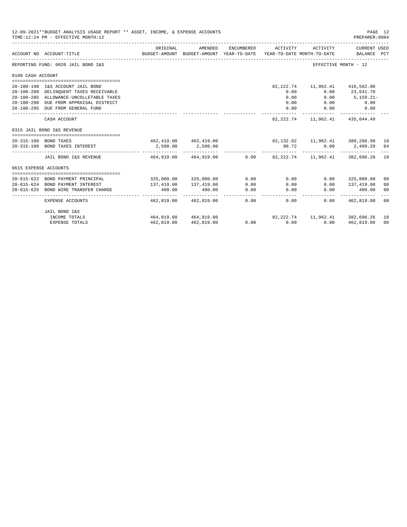|                       | 12-09-2021**BUDGET ANALYSIS USAGE REPORT ** ASSET, INCOME, & EXPENSE ACCOUNTS<br>TIME: 12:24 PM - EFFECTIVE MONTH: 12 |                                           |                                                     |                |               |                                                            | PAGE 12<br>PREPARER: 0004   |    |
|-----------------------|-----------------------------------------------------------------------------------------------------------------------|-------------------------------------------|-----------------------------------------------------|----------------|---------------|------------------------------------------------------------|-----------------------------|----|
|                       | ACCOUNT NO ACCOUNT-TITLE                                                                                              | ORIGINAL                                  | AMENDED<br>BUDGET-AMOUNT BUDGET-AMOUNT YEAR-TO-DATE | ENCUMBERED     | ACTIVITY      | ACTIVITY<br>YEAR-TO-DATE MONTH-TO-DATE                     | CURRENT USED<br>BALANCE PCT |    |
|                       | REPORTING FUND: 0020 JAIL BOND I&S                                                                                    |                                           |                                                     |                |               |                                                            | EFFECTIVE MONTH - 12        |    |
| 0100 CASH ACCOUNT     |                                                                                                                       |                                           |                                                     |                |               |                                                            |                             |    |
|                       | 20-100-190 I&S ACCOUNT JAIL BOND                                                                                      |                                           |                                                     |                |               | 82, 222, 74 11, 962, 41 416, 562, 00                       |                             |    |
|                       | 20-100-280 DELINQUENT TAXES RECEIVABLE                                                                                |                                           |                                                     |                | 0.00          | 0.00                                                       | 23,641.70                   |    |
|                       | 20-100-285 ALLOWANCE-UNCOLLETABLE TAXES                                                                               |                                           |                                                     |                | 0.00          | 0.00                                                       | $5,159.21-$                 |    |
|                       | 20-100-290 DUE FROM APPRAISAL DISTRICT                                                                                |                                           |                                                     |                | 0.00          | $0.00$ 0.00                                                |                             |    |
|                       | 20-100-295 DUE FROM GENERAL FUND                                                                                      |                                           |                                                     |                | 0.00          | 0.00                                                       | 0.00                        |    |
|                       | CASH ACCOUNT                                                                                                          |                                           |                                                     |                |               | ----------- ------------<br>82.222.74 11.962.41 435.044.49 | ------------                |    |
|                       | 0315 JAIL BOND I&S REVENUE                                                                                            |                                           |                                                     |                |               |                                                            |                             |    |
|                       | 20-315-100 BOND TAXES                                                                                                 |                                           |                                                     |                |               | 462,419.00 462,419.00 82,132.02 11,962.41 380,286.98 18    |                             |    |
|                       | 20-315-180 BOND TAXES INTEREST                                                                                        | 2,500.00                                  | 2,500.00                                            |                | 90.72         |                                                            | $0.00$ 2,409.28 04          |    |
|                       | JAIL BOND I&S REVENUE                                                                                                 | ________________<br>464,919.00 464,919.00 |                                                     |                |               | $0.00$ $82.222.74$ $11.962.41$ $382.696.26$ 18             |                             |    |
| 0615 EXPENSE ACCOUNTS |                                                                                                                       |                                           |                                                     |                |               |                                                            |                             |    |
|                       |                                                                                                                       |                                           |                                                     |                |               |                                                            |                             |    |
|                       | 20-615-622 BOND PAYMENT PRINCIPAL                                                                                     |                                           | 325,000.00 325,000.00                               | 0.00           | 0.00          | 0.00                                                       | 325,000.00                  | 00 |
|                       | 20-615-624 BOND PAYMENT INTEREST                                                                                      | 137,419.00                                | 137,419.00                                          | 0.00           | 0.00          | 0.00                                                       | 137,419.00                  | 00 |
| $20 - 615 - 625$      | BOND WIRE TRANSFER CHARGE                                                                                             | 400.00<br>. _ _ _ _ _ _ _ _ _ _ _ _ _     | 400.00                                              | 0.00<br>------ | 0.00          | 0.00                                                       | 400.00                      | 00 |
|                       | EXPENSE ACCOUNTS                                                                                                      |                                           | 462,819.00 462,819.00                               | 0.00           | 0.00          |                                                            | $0.00$ $462,819.00$         | 00 |
|                       | JAIL BOND I&S                                                                                                         |                                           |                                                     |                |               |                                                            |                             |    |
|                       | INCOME TOTALS                                                                                                         | 464,919.00 464,919.00                     |                                                     |                |               | 82, 222. 74 11, 962. 41 382, 696. 26 18                    |                             |    |
|                       | <b>EXPENSE TOTALS</b>                                                                                                 |                                           | 462,819.00 462,819.00                               |                | $0.00$ $0.00$ |                                                            | $0.00$ $462.819.00$         | 00 |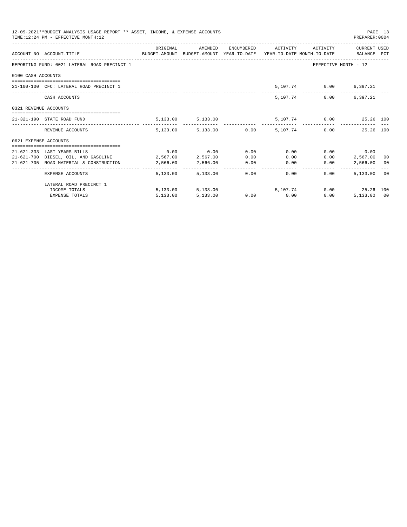|                       | 12-09-2021**BUDGET ANALYSIS USAGE REPORT ** ASSET, INCOME, & EXPENSE ACCOUNTS<br>TIME: 12:24 PM - EFFECTIVE MONTH: 12 |          |                             |      |                                                            |               | PREPARER: 0004         | PAGE 13 |
|-----------------------|-----------------------------------------------------------------------------------------------------------------------|----------|-----------------------------|------|------------------------------------------------------------|---------------|------------------------|---------|
|                       | ACCOUNT NO ACCOUNT-TITLE CONTROL BUDGET-AMOUNT BUDGET-AMOUNT YEAR-TO-DATE YEAR-TO-DATE MONTH-TO-DATE BALANCE PCT      |          |                             |      | ORIGINAL AMENDED ENCUMBERED ACTIVITY ACTIVITY CURRENT USED |               |                        |         |
|                       | REPORTING FUND: 0021 LATERAL ROAD PRECINCT 1                                                                          |          |                             |      |                                                            |               | EFFECTIVE MONTH - 12   |         |
| 0100 CASH ACCOUNTS    |                                                                                                                       |          |                             |      |                                                            |               |                        |         |
|                       | 21-100-100 CFC: LATERAL ROAD PRECINCT 1                                                                               |          |                             |      |                                                            |               | 5,107.74 0.00 6,397.21 |         |
|                       | CASH ACCOUNTS                                                                                                         |          |                             |      |                                                            | 5,107.74 0.00 | 6,397.21               |         |
| 0321 REVENUE ACCOUNTS |                                                                                                                       |          |                             |      |                                                            |               |                        |         |
|                       | 21-321-190 STATE ROAD FUND                                                                                            |          |                             |      | $5,133.00$ $5,133.00$ $5,107.74$ $0.00$ $25.26$ 100        |               |                        |         |
|                       | REVENUE ACCOUNTS                                                                                                      |          |                             |      | 5.133.00 5.133.00 0.00 5.107.74 0.00 25.26 100             |               |                        |         |
| 0621 EXPENSE ACCOUNTS |                                                                                                                       |          |                             |      |                                                            |               |                        |         |
|                       |                                                                                                                       |          |                             |      |                                                            |               |                        |         |
|                       | 21-621-333 LAST YEARS BILLS                                                                                           |          | $0.00$ $0.00$ $0.00$ $0.00$ |      | 0.00                                                       |               | $0.00$ 0.00            |         |
|                       | 21-621-700 DIESEL, OIL, AND GASOLINE 2,567.00 2,567.00                                                                |          |                             | 0.00 |                                                            | 0.00          | $0.00$ 2,567.00 00     |         |
|                       | 21-621-705 ROAD MATERIAL & CONSTRUCTION 2,566.00 2,566.00 0.00                                                        |          |                             |      | 0.00                                                       | 0.00          | 2,566.00 00            |         |
|                       | EXPENSE ACCOUNTS                                                                                                      |          | 5,133,00 5,133,00           |      | $0.00$ and $0.00$<br>0.00                                  | 0.00          | 5,133.00 00            |         |
|                       | LATERAL ROAD PRECINCT 1                                                                                               |          |                             |      |                                                            |               |                        |         |
|                       | INCOME TOTALS                                                                                                         |          |                             |      | 5,133.00 5,133.00 5,107.74                                 |               | $0.00$ 25.26 100       |         |
|                       | <b>EXPENSE TOTALS</b>                                                                                                 | 5,133.00 | 5,133.00                    |      | $0.00$ $0.00$                                              | 0.00          | 5,133.00 00            |         |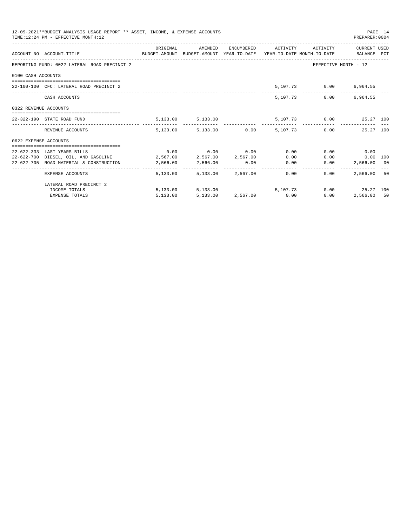|                       | 12-09-2021**BUDGET ANALYSIS USAGE REPORT ** ASSET, INCOME, & EXPENSE ACCOUNTS<br>TIME: 12:24 PM - EFFECTIVE MONTH: 12 |          |                        |                                                           |               | PREPARER: 0004         | PAGE 14 |
|-----------------------|-----------------------------------------------------------------------------------------------------------------------|----------|------------------------|-----------------------------------------------------------|---------------|------------------------|---------|
|                       | ACCOUNT NO ACCOUNT-TITLE CONTROL BUDGET-AMOUNT BUDGET-AMOUNT YEAR-TO-DATE YEAR-TO-DATE MONTH-TO-DATE BALANCE PCT      |          |                        | ORIGINAL AMENDED ENCUMBERED ACTIVITY ACTIVITY CURRENTUSED |               |                        |         |
|                       | REPORTING FUND: 0022 LATERAL ROAD PRECINCT 2                                                                          |          |                        |                                                           |               | EFFECTIVE MONTH - 12   |         |
| 0100 CASH ACCOUNTS    |                                                                                                                       |          |                        |                                                           |               |                        |         |
|                       | 22-100-100 CFC: LATERAL ROAD PRECINCT 2                                                                               |          |                        |                                                           |               | 5,107.73 0.00 6,964.55 |         |
|                       | CASH ACCOUNTS                                                                                                         |          |                        |                                                           | 5,107.73 0.00 | 6,964.55               |         |
| 0322 REVENUE ACCOUNTS |                                                                                                                       |          |                        |                                                           |               |                        |         |
|                       | 22-322-190 STATE ROAD FUND                                                                                            |          |                        | 5,133.00 5,133.00 5,107.73 0.00 25.27 100                 |               |                        |         |
|                       | REVENUE ACCOUNTS                                                                                                      |          |                        | 5.133.00 5.133.00 0.00 5.107.73 0.00 25.27 100            |               |                        |         |
| 0622 EXPENSE ACCOUNTS |                                                                                                                       |          |                        |                                                           |               |                        |         |
|                       |                                                                                                                       |          |                        |                                                           |               |                        |         |
|                       | 22-622-333 LAST YEARS BILLS                                                                                           |          |                        | $0.00$ $0.00$ $0.00$ $0.00$ $0.00$                        |               | $0.00$ 0.00            |         |
|                       | $22-622-700$ DIESEL, OIL, AND GASOLINE $2,567.00$ $2,567.00$ $2,567.00$ $0.00$                                        |          |                        |                                                           |               | 0.00<br>$0.00$ 100     |         |
|                       | 22-622-705 ROAD MATERIAL & CONSTRUCTION 2,566.00 2,566.00                                                             |          |                        | $0.00$ 0.00                                               | 0.00          | 2,566.00 00            |         |
|                       | EXPENSE ACCOUNTS                                                                                                      |          |                        | $5.133.00$ $5.133.00$ $2.567.00$ $0.00$                   | 0.00          | 2,566,00 50            |         |
|                       | LATERAL ROAD PRECINCT 2                                                                                               |          |                        |                                                           |               |                        |         |
|                       | INCOME TOTALS                                                                                                         |          |                        | 5,133.00 5,133.00 5,107.73                                |               | $0.00$ 25.27 100       |         |
|                       | <b>EXPENSE TOTALS</b>                                                                                                 | 5,133.00 | 5,133.00 2,567.00 0.00 |                                                           | 0.00          | 2,566.00 50            |         |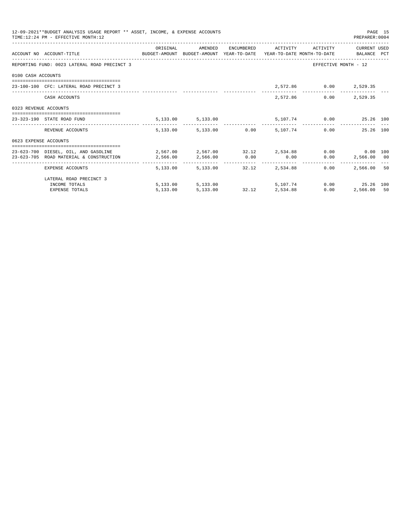|                       | 12-09-2021**BUDGET ANALYSIS USAGE REPORT ** ASSET, INCOME, & EXPENSE ACCOUNTS<br>TIME: 12:24 PM - EFFECTIVE MONTH: 12                                |          |                                 |                |                                 |                                      | PREPARER: 0004                               | PAGE 15 |
|-----------------------|------------------------------------------------------------------------------------------------------------------------------------------------------|----------|---------------------------------|----------------|---------------------------------|--------------------------------------|----------------------------------------------|---------|
|                       | ACCOUNT NO ACCOUNT-TITLE COMPUTE SUDGET-AMOUNT BUDGET-AMOUNT YEAR-TO-DATE YEAR-TO-DATE MONTH-TO-DATE BALANCE PCT                                     | ORIGINAL |                                 |                |                                 | AMENDED ENCUMBERED ACTIVITY ACTIVITY | CURRENT USED                                 |         |
|                       | REPORTING FUND: 0023 LATERAL ROAD PRECINCT 3                                                                                                         |          |                                 |                |                                 |                                      | EFFECTIVE MONTH - 12                         |         |
| 0100 CASH ACCOUNTS    |                                                                                                                                                      |          |                                 |                |                                 |                                      |                                              |         |
|                       | 23-100-100 CFC: LATERAL ROAD PRECINCT 3                                                                                                              |          |                                 |                |                                 | 2,572.86 0.00 2,529.35               |                                              |         |
|                       | CASH ACCOUNTS                                                                                                                                        |          |                                 |                |                                 | 2,572.86                             | $0.00$ 2,529.35                              |         |
| 0323 REVENUE ACCOUNTS |                                                                                                                                                      |          |                                 |                |                                 |                                      |                                              |         |
|                       | 23-323-190 STATE ROAD FUND                                                                                                                           |          | 5, 133.00 5, 133.00             |                |                                 | 5,107.74 0.00 25.26 100              |                                              |         |
|                       | REVENUE ACCOUNTS                                                                                                                                     |          | 5,133.00 5,133.00 0.00 5,107.74 |                |                                 |                                      | 25.26 100<br>0.00                            |         |
| 0623 EXPENSE ACCOUNTS |                                                                                                                                                      |          |                                 |                |                                 |                                      |                                              |         |
|                       | 23-623-700 DIESEL, OIL, AND GASOLINE $2,567.00$ $2,567.00$ $32.12$ $2,534.88$ 0.00 0.00 0.00 100<br>23-623-705 ROAD MATERIAL & CONSTRUCTION 2.566.00 |          | 2,566.00 0.00 0.00              |                |                                 |                                      | $0.00$ 2,566.00 00                           |         |
|                       | EXPENSE ACCOUNTS                                                                                                                                     |          | 5,133.00 5,133.00               |                | -------------<br>32.12 2.534.88 | 0.00                                 | -----------------------------<br>2,566.00 50 |         |
|                       | LATERAL ROAD PRECINCT 3                                                                                                                              |          |                                 |                |                                 |                                      |                                              |         |
|                       | INCOME TOTALS                                                                                                                                        |          | 5, 133.00 5, 133.00 5, 107.74   |                |                                 |                                      | 0.00 25.26 100                               |         |
|                       | <b>EXPENSE TOTALS</b>                                                                                                                                | 5,133.00 | 5,133.00                        | 32.12 2,534.88 |                                 | 0.00                                 | 2,566.00 50                                  |         |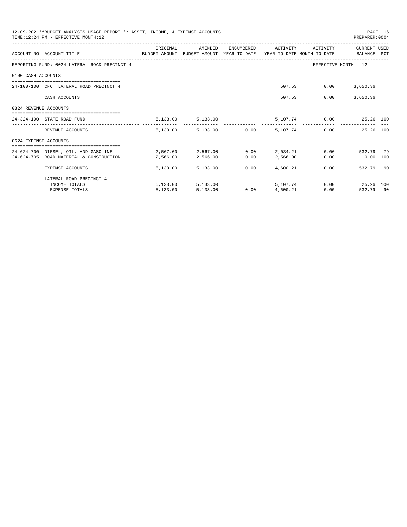|                       | 12-09-2021**BUDGET ANALYSIS USAGE REPORT ** ASSET, INCOME, & EXPENSE ACCOUNTS<br>TIME: 12:24 PM - EFFECTIVE MONTH: 12 |            |                                 |      |                   |                              | PREPARER: 0004       | PAGE 16 |
|-----------------------|-----------------------------------------------------------------------------------------------------------------------|------------|---------------------------------|------|-------------------|------------------------------|----------------------|---------|
|                       |                                                                                                                       | ORIGINAL   | AMENDED                         |      |                   | ENCUMBERED ACTIVITY ACTIVITY | CURRENT USED         |         |
|                       | ACCOUNT NO ACCOUNT-TITLE CONTROL SUDGET-AMOUNT BUDGET-AMOUNT YEAR-TO-DATE YEAR-TO-DATE MONTH-TO-DATE BALANCE PCT      |            |                                 |      |                   |                              |                      |         |
|                       | REPORTING FUND: 0024 LATERAL ROAD PRECINCT 4                                                                          |            |                                 |      |                   |                              | EFFECTIVE MONTH - 12 |         |
| 0100 CASH ACCOUNTS    |                                                                                                                       |            |                                 |      |                   |                              |                      |         |
|                       | 24-100-100 CFC: LATERAL ROAD PRECINCT 4                                                                               |            |                                 |      |                   | 507.53 0.00 3,650.36         |                      |         |
|                       | CASH ACCOUNTS                                                                                                         |            |                                 |      |                   | 507.53<br>0.00               | 3,650.36             |         |
| 0324 REVENUE ACCOUNTS |                                                                                                                       |            |                                 |      |                   |                              |                      |         |
|                       | 24-324-190 STATE ROAD FUND                                                                                            |            | 5, 133.00 5, 133.00             |      |                   | 5,107.74 0.00 25.26 100      |                      |         |
|                       | REVENUE ACCOUNTS                                                                                                      |            | 5,133.00 5,133.00 0.00 5,107.74 |      |                   |                              | 0.00<br>25.26 100    |         |
| 0624 EXPENSE ACCOUNTS |                                                                                                                       |            |                                 |      |                   |                              |                      |         |
|                       | 24-624-700 DIESEL, OIL, AND GASOLINE $2,567.00$ $2,567.00$ $0.00$ $2,034.21$ $0.00$ $532.79$ 79                       |            |                                 |      |                   |                              |                      |         |
|                       | 24-624-705 ROAD MATERIAL & CONSTRUCTION 2,566.00                                                                      |            | 2,566.00 0.00                   |      | 2,566.00          |                              | $0.00$ 0.00 100      |         |
|                       | EXPENSE ACCOUNTS                                                                                                      | -------- - | 5,133,00 5,133,00               | 0.00 | 4,600.21          |                              | 532.79 90<br>0.00    |         |
|                       | LATERAL ROAD PRECINCT 4                                                                                               |            |                                 |      |                   |                              |                      |         |
|                       | INCOME TOTALS                                                                                                         |            | 5,133.00 5,133.00               |      | 5,107,74          |                              | 0.00 25.26 100       |         |
|                       | <b>EXPENSE TOTALS</b>                                                                                                 | 5.133.00   | 5,133.00                        |      | $0.00$ $4.600.21$ |                              | 532.79 90<br>0.00    |         |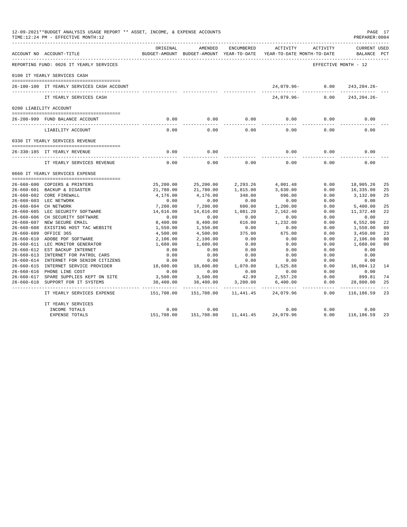|                  | 12-09-2021**BUDGET ANALYSIS USAGE REPORT ** ASSET, INCOME, & EXPENSE ACCOUNTS<br>TIME:12:24 PM - EFFECTIVE MONTH:12 |            |                                                     |            |                                        |                      | PAGE 17<br>PREPARER: 0004          |                |
|------------------|---------------------------------------------------------------------------------------------------------------------|------------|-----------------------------------------------------|------------|----------------------------------------|----------------------|------------------------------------|----------------|
|                  | ACCOUNT NO ACCOUNT-TITLE                                                                                            | ORIGINAL   | AMENDED<br>BUDGET-AMOUNT BUDGET-AMOUNT YEAR-TO-DATE | ENCUMBERED | ACTIVITY<br>YEAR-TO-DATE MONTH-TO-DATE | ACTIVITY             | <b>CURRENT USED</b><br>BALANCE PCT |                |
|                  | REPORTING FUND: 0026 IT YEARLY SERVICES                                                                             |            |                                                     |            |                                        | EFFECTIVE MONTH - 12 |                                    |                |
|                  | 0100 IT YEARLY SERVICES CASH                                                                                        |            |                                                     |            |                                        |                      |                                    |                |
|                  | 26-100-100 IT YEARLY SERVICES CASH ACCOUNT                                                                          |            |                                                     |            |                                        | $24,079.96 - 0.00$   | 243,204.26-                        |                |
|                  | IT YEARLY SERVICES CASH                                                                                             |            |                                                     |            | 24,079.96-                             | 0.00                 | 243, 204. 26-                      |                |
|                  | 0200 LIABILITY ACCOUNT                                                                                              |            |                                                     |            |                                        |                      |                                    |                |
|                  |                                                                                                                     |            |                                                     |            |                                        |                      |                                    |                |
|                  | 26-200-999 FUND BALANCE ACCOUNT                                                                                     | 0.00       | 0.00                                                | 0.00       | 0.00                                   | 0.00                 | 0.00                               |                |
|                  | LIABILITY ACCOUNT                                                                                                   | 0.00       | 0.00                                                | 0.00       | 0.00                                   | 0.00                 | 0.00                               |                |
|                  | 0330 IT YEARLY SERVICES REVENUE                                                                                     |            |                                                     |            |                                        |                      |                                    |                |
|                  | 26-330-185 IT YEARLY REVENUE                                                                                        | 0.00       | 0.00                                                |            | 0.00                                   | 0.00                 | 0.00                               |                |
|                  | IT YEARLY SERVICES REVENUE                                                                                          | 0.00       | 0.00                                                | 0.00       | 0.00                                   | 0.00                 | 0.00                               |                |
|                  | 0660 IT YEARLY SERVICES EXPENSE                                                                                     |            |                                                     |            |                                        |                      |                                    |                |
|                  | 26-660-600 COPIERS & PRINTERS                                                                                       | 25,200.00  | 25,200.00                                           | 2,293.26   | 4,001.48                               | 0.00                 | 18,905.26                          | 25             |
|                  | 26-660-601 BACKUP & DISASTER                                                                                        | 21,780.00  | 21,780.00                                           | 1,815.00   | 3,630.00                               | 0.00                 | 16,335.00                          | 25             |
|                  | 26-660-602 CORE FIREWALL                                                                                            | 4,176.00   | 4,176.00                                            | 348.00     | 696.00                                 | 0.00                 | 3,132.00                           | 25             |
|                  | 26-660-603 LEC NETWORK                                                                                              | 0.00       | 0.00                                                | 0.00       | 0.00                                   | 0.00                 | 0.00                               |                |
|                  | 26-660-604 CH NETWORK                                                                                               | 7,200.00   | 7,200.00                                            | 600.00     | 1,200.00                               | 0.00                 | 5,400.00                           | 25             |
|                  | 26-660-605 LEC SECURITY SOFTWARE                                                                                    | 14,616.00  | 14,616.00                                           | 1,081.20   | 2,162.40                               | 0.00                 | 11,372.40                          | 22             |
|                  | 26-660-606 CH SECURITY SOFTWARE                                                                                     | 0.00       | 0.00                                                | 0.00       | 0.00                                   | 0.00                 | 0.00                               |                |
|                  | 26-660-607 NEW SECURE EMAIL                                                                                         | 8,400.00   | 8,400.00                                            | 616.00     | 1,232.00                               | 0.00                 | 6,552.00                           | 22             |
|                  | 26-660-608 EXISTING HOST TAC WEBSITE                                                                                | 1,550.00   | 1,550.00                                            | 0.00       | 0.00                                   | 0.00                 | 1,550.00                           | 0 <sub>0</sub> |
| $26 - 660 - 609$ | OFFICE 365                                                                                                          | 4,500.00   | 4,500.00                                            | 375.00     | 675.00                                 | 0.00                 | 3,450.00                           | 23             |
|                  | 26-660-610 ADOBE PDF SOFTWARE                                                                                       | 2,106.00   | 2,106.00                                            | 0.00       | 0.00                                   | 0.00                 | 2,106.00                           | 0 <sub>0</sub> |
|                  | 26-660-611 LEC MONITOR GENERATOR                                                                                    | 1,680.00   | 1,680.00                                            | 0.00       | 0.00                                   | 0.00                 | 1,680.00                           | 0 <sub>0</sub> |
|                  | 26-660-612 EST BACKUP INTERNET                                                                                      | 0.00       | 0.00                                                | 0.00       | 0.00                                   | 0.00                 | 0.00                               |                |
|                  | 26-660-613 INTERNET FOR PATROL CARS                                                                                 | 0.00       | 0.00                                                | 0.00       | 0.00                                   | 0.00                 | 0.00                               |                |
|                  | 26-660-614 INTERNET FOR SENIOR CITIZENS                                                                             | 0.00       | 0.00                                                | 0.00       | 0.00                                   | 0.00                 | 0.00                               |                |
|                  | 26-660-615 INTERNET SERVICE PROVIDER                                                                                | 18,600.00  | 18,600.00                                           | 1,070.00   | 1,525.88                               | 0.00                 | 16,004.12                          | 14             |
|                  | 26-660-616 PHONE LINE COST                                                                                          | 0.00       | 0.00                                                | 0.00       | 0.00                                   | 0.00                 | 0.00                               |                |
|                  | 26-660-617 SPARE SUPPLIES KEPT ON SITE                                                                              | 3,500.00   | 3,500.00                                            | 42.99      | 2,557.20                               | 0.00                 | 899.81                             | 74             |
| 26-660-618       | SUPPORT FOR IT SYSTEMS                                                                                              | 38,400.00  | 38,400.00                                           | 3,200.00   | 6,400.00                               | 0.00                 | 28,800.00                          | 25             |
|                  | IT YEARLY SERVICES EXPENSE                                                                                          | 151,708.00 | 151,708.00                                          | 11,441.45  | 24,079.96                              | 0.00                 | 116,186.59                         | 23             |
|                  | IT YEARLY SERVICES                                                                                                  |            |                                                     |            |                                        |                      |                                    |                |
|                  | INCOME TOTALS                                                                                                       | 0.00       | 0.00                                                |            | 0.00                                   | 0.00                 | 0.00                               |                |
|                  | EXPENSE TOTALS                                                                                                      | 151,708.00 | 151,708.00                                          | 11,441.45  | 24,079.96                              | 0.00                 | 116,186.59                         | 23             |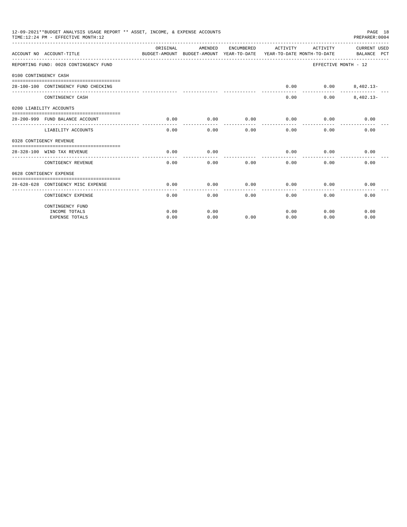|                       | 12-09-2021**BUDGET ANALYSIS USAGE REPORT ** ASSET, INCOME, & EXPENSE ACCOUNTS<br>TIME: 12:24 PM - EFFECTIVE MONTH: 12 |          |         |                 |                                      |                       | PAGE 18<br>PREPARER: 0004                                                                           |
|-----------------------|-----------------------------------------------------------------------------------------------------------------------|----------|---------|-----------------|--------------------------------------|-----------------------|-----------------------------------------------------------------------------------------------------|
|                       | ACCOUNT NO ACCOUNT-TITLE                                                                                              | ORIGINAL | AMENDED | ENCUMBERED      | ACTIVITY                             | ACTIVITY              | CURRENT USED<br>BUDGET-AMOUNT BUDGET-AMOUNT YEAR-TO-DATE YEAR-TO-DATE MONTH-TO-DATE     BALANCE PCT |
|                       | REPORTING FUND: 0028 CONTINGENCY FUND                                                                                 |          |         |                 |                                      |                       | EFFECTIVE MONTH - 12                                                                                |
| 0100 CONTINGENCY CASH |                                                                                                                       |          |         |                 |                                      |                       |                                                                                                     |
|                       |                                                                                                                       |          |         |                 |                                      |                       |                                                                                                     |
|                       | 28-100-100 CONTINGENCY FUND CHECKING                                                                                  |          |         |                 | 0.00                                 |                       | $0.00$ $8,402.13-$                                                                                  |
|                       | CONTINGENCY CASH                                                                                                      |          |         |                 | 0.00                                 | 0.00                  | $8,402.13-$                                                                                         |
|                       | 0200 LIABILITY ACCOUNTS                                                                                               |          |         |                 |                                      |                       |                                                                                                     |
|                       |                                                                                                                       |          |         |                 |                                      |                       |                                                                                                     |
|                       | 28-200-999 FUND BALANCE ACCOUNT                                                                                       | 0.00     | 0.00    | 0.00<br>------- | $0.00$ 0.00<br>. _ _ _ _ _ _ _ _ _ _ | . _ _ _ _ _ _ _ _ _ _ | 0.00                                                                                                |
|                       | LIABILITY ACCOUNTS                                                                                                    | 0.00     | 0.00    | 0.00            | 0.00                                 | 0.00                  | 0.00                                                                                                |
|                       | 0328 CONTIGENCY REVENUE                                                                                               |          |         |                 |                                      |                       |                                                                                                     |
|                       |                                                                                                                       |          |         |                 |                                      |                       |                                                                                                     |
|                       | 28-328-100 WIND TAX REVENUE                                                                                           | 0.00     | 0.00    |                 | 0.00                                 | 0.00                  | 0.00                                                                                                |
|                       | CONTIGENCY REVENUE                                                                                                    | 0.00     | 0.00    | 0.00            | 0.00                                 | 0.00                  | 0.00                                                                                                |
|                       | 0628 CONTIGENCY EXPENSE                                                                                               |          |         |                 |                                      |                       |                                                                                                     |
|                       |                                                                                                                       |          |         |                 |                                      |                       |                                                                                                     |
|                       | 28-628-628 CONTIGENCY MISC EXPENSE                                                                                    | 0.00     | 0.00    | 0.00            | 0.00                                 | 0.00                  | 0.00                                                                                                |
|                       | CONTIGENCY EXPENSE                                                                                                    | 0.00     | 0.00    |                 | 0.00<br>$0.00 -$                     | 0.00                  | 0.00                                                                                                |
|                       | CONTINGENCY FUND                                                                                                      |          |         |                 |                                      |                       |                                                                                                     |
|                       | INCOME TOTALS                                                                                                         | 0.00     | 0.00    |                 | 0.00                                 | 0.00                  | 0.00                                                                                                |
|                       | <b>EXPENSE TOTALS</b>                                                                                                 | 0.00     | 0.00    | 0.00            | 0.00                                 | 0.00                  | 0.00                                                                                                |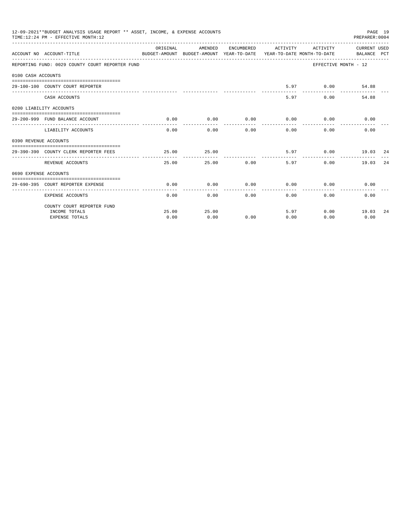|                       | 12-09-2021**BUDGET ANALYSIS USAGE REPORT ** ASSET, INCOME, & EXPENSE ACCOUNTS<br>TIME: 12:24 PM - EFFECTIVE MONTH: 12 |          |                                                                                                |                       |                                            |                                | PREPARER: 0004       | PAGE 19 |
|-----------------------|-----------------------------------------------------------------------------------------------------------------------|----------|------------------------------------------------------------------------------------------------|-----------------------|--------------------------------------------|--------------------------------|----------------------|---------|
|                       | ACCOUNT NO ACCOUNT-TITLE                                                                                              | ORIGINAL | AMENDED<br>BUDGET-AMOUNT BUDGET-AMOUNT YEAR-TO-DATE YEAR-TO-DATE MONTH-TO-DATE     BALANCE PCT |                       | ENCUMBERED ACTIVITY ACTIVITY               |                                | CURRENT USED         |         |
|                       | REPORTING FUND: 0029 COUNTY COURT REPORTER FUND                                                                       |          |                                                                                                |                       |                                            |                                | EFFECTIVE MONTH - 12 |         |
| 0100 CASH ACCOUNTS    |                                                                                                                       |          |                                                                                                |                       |                                            |                                |                      |         |
|                       |                                                                                                                       |          |                                                                                                |                       |                                            |                                |                      |         |
|                       | 29-100-100 COUNTY COURT REPORTER                                                                                      |          |                                                                                                |                       |                                            | 5.97 0.00 54.88<br>----------- |                      |         |
|                       | CASH ACCOUNTS                                                                                                         |          |                                                                                                |                       | 5.97                                       |                                | 0.00<br>54.88        |         |
|                       | 0200 LIABILITY ACCOUNTS                                                                                               |          |                                                                                                |                       |                                            |                                |                      |         |
|                       |                                                                                                                       |          |                                                                                                |                       |                                            |                                |                      |         |
|                       | 29-200-999 FUND BALANCE ACCOUNT                                                                                       | 0.00     | 0.00<br>.                                                                                      | . _ _ _ _ _ _ _ _ _ _ | $0.00$ $0.00$ $0.00$ $0.00$<br>___________ | ------------                   | 0.00                 |         |
|                       | LIABILITY ACCOUNTS                                                                                                    | 0.00     |                                                                                                | 0.00                  | 0.00                                       | $0.00$ and $0.00$              | 0.00<br>0.00         |         |
| 0390 REVENUE ACCOUNTS |                                                                                                                       |          |                                                                                                |                       |                                            |                                |                      |         |
|                       |                                                                                                                       |          |                                                                                                |                       |                                            |                                |                      |         |
|                       | 29-390-390 COUNTY CLERK REPORTER FEES                                                                                 | 25.00    | 25.00<br>---------                                                                             |                       | . <b>.</b>                                 |                                | 5.97 0.00 19.03 24   |         |
|                       | REVENUE ACCOUNTS                                                                                                      | 25.00    | 25.00                                                                                          | 0.00                  | 5.97                                       |                                | 19.03 24<br>0.00     |         |
| 0690 EXPENSE ACCOUNTS |                                                                                                                       |          |                                                                                                |                       |                                            |                                |                      |         |
|                       |                                                                                                                       |          |                                                                                                |                       |                                            |                                |                      |         |
|                       | 29-690-395 COURT REPORTER EXPENSE                                                                                     | 0.00     | 0.00                                                                                           | 0.00                  | 0.00                                       |                                | 0.00<br>0.00         |         |
|                       | <b>EXPENSE ACCOUNTS</b>                                                                                               | 0.00     |                                                                                                | 0.00                  | 0.00                                       | $0.00$ and $0.00$              | 0.00<br>0.00         |         |
|                       | COUNTY COURT REPORTER FUND                                                                                            |          |                                                                                                |                       |                                            |                                |                      |         |
|                       | INCOME TOTALS                                                                                                         | 25.00    | 25.00                                                                                          |                       |                                            | 5.97                           | $0.00$ 19.03         | -24     |
|                       | <b>EXPENSE TOTALS</b>                                                                                                 | 0.00     | 0.00                                                                                           | 0.00                  | 0.00                                       | 0.00                           | 0.00                 |         |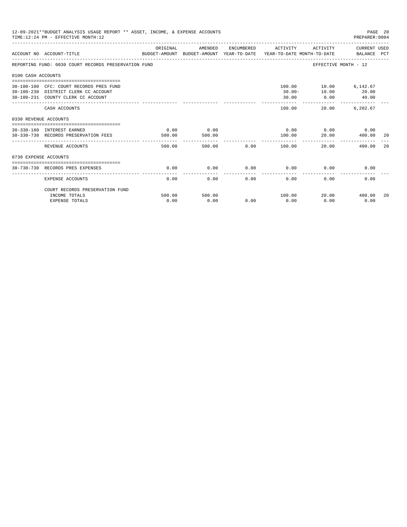|                       | 12-09-2021**BUDGET ANALYSIS USAGE REPORT ** ASSET, INCOME, & EXPENSE ACCOUNTS<br>TIME: 12:24 PM - EFFECTIVE MONTH: 12 |                |                |      |                      |                                          | PREPARER: 0004                                | PAGE 20 |
|-----------------------|-----------------------------------------------------------------------------------------------------------------------|----------------|----------------|------|----------------------|------------------------------------------|-----------------------------------------------|---------|
|                       | ACCOUNT NO ACCOUNT-TITLE<br>BUDGET-AMOUNT BUDGET-AMOUNT YEAR-TO-DATE  YEAR-TO-DATE MONTH-TO-DATE      BALANCE PCT     | ORIGINAL       | AMENDED        |      | ENCUMBERED ACTIVITY  |                                          | ACTIVITY CURRENT USED                         |         |
|                       | REPORTING FUND: 0030 COURT RECORDS PRESERVATION FUND                                                                  |                |                |      |                      |                                          | EFFECTIVE MONTH - 12                          |         |
| 0100 CASH ACCOUNTS    |                                                                                                                       |                |                |      |                      |                                          |                                               |         |
|                       | 30-100-100 CFC: COURT RECORDS PRES FUND<br>30-100-230 DISTRICT CLERK CC ACCOUNT<br>30-100-231 COUNTY CLERK CC ACCOUNT |                |                |      | 30.00                | 100.00 10.00 6,142.67<br>$30.00 - 10.00$ | 20.00<br>$0.00$ 40.00                         |         |
|                       | CASH ACCOUNTS                                                                                                         |                |                |      | ---------<br>100.00  | 20.00                                    | _________________________________<br>6.202.67 |         |
| 0330 REVENUE ACCOUNTS |                                                                                                                       |                |                |      |                      |                                          |                                               |         |
|                       | --------------------------------<br>30-330-180 INTEREST EARNED<br>30-330-730 RECORDS PRESERVATION FEES                | 0.00<br>500.00 | 0.00<br>500.00 |      | 100.00               | $0.00$ $0.00$ $0.00$ $0.00$<br>20.00     | 400.00                                        | -20     |
|                       | REVENUE ACCOUNTS                                                                                                      | 500.00         | 500.00         | 0.00 | ----------<br>100.00 |                                          | 20.00<br>400.00                               | 20      |
| 0730 EXPENSE ACCOUNTS |                                                                                                                       |                |                |      |                      |                                          |                                               |         |
|                       | 30-730-730 RECORDS PRES EXPENSES                                                                                      | 0.00           | 0.00           | 0.00 | 0.00                 | 0.00                                     | 0.00                                          |         |
|                       | <b>EXPENSE ACCOUNTS</b>                                                                                               | 0.00           | 0.00           | 0.00 | 0.00                 | 0.00                                     | 0.00                                          |         |
|                       | COURT RECORDS PRESERVATION FUND                                                                                       |                |                |      |                      |                                          |                                               |         |
|                       | INCOME TOTALS<br><b>EXPENSE TOTALS</b>                                                                                | 500.00<br>0.00 | 500.00<br>0.00 | 0.00 | 100.00<br>0.00       | 0.00                                     | 20.00 400.00<br>0.00                          | 20      |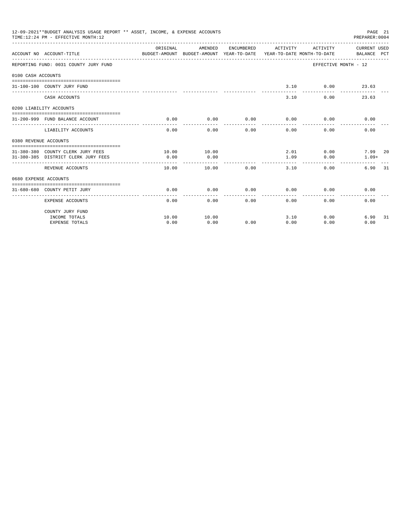|                       | 12-09-2021**BUDGET ANALYSIS USAGE REPORT ** ASSET, INCOME, & EXPENSE ACCOUNTS<br>TIME: 12:24 PM - EFFECTIVE MONTH: 12 |                                                                                                 |         |                 |                       |                           | PAGE 21<br>PREPARER: 0004 |      |
|-----------------------|-----------------------------------------------------------------------------------------------------------------------|-------------------------------------------------------------------------------------------------|---------|-----------------|-----------------------|---------------------------|---------------------------|------|
|                       | ACCOUNT NO ACCOUNT-TITLE                                                                                              | ORIGINAL<br>BUDGET-AMOUNT BUDGET-AMOUNT YEAR-TO-DATE YEAR-TO-DATE MONTH-TO-DATE     BALANCE PCT | AMENDED | ENCUMBERED      |                       | ACTIVITY ACTIVITY         | CURRENT USED              |      |
|                       | REPORTING FUND: 0031 COUNTY JURY FUND                                                                                 |                                                                                                 |         |                 |                       |                           | EFFECTIVE MONTH - 12      |      |
| 0100 CASH ACCOUNTS    |                                                                                                                       |                                                                                                 |         |                 |                       |                           |                           |      |
|                       | 31-100-100 COUNTY JURY FUND                                                                                           |                                                                                                 |         |                 | . _ _ _ _ _ _ _ _ _ _ | 3.10 0.00 23.63           |                           |      |
|                       | CASH ACCOUNTS                                                                                                         |                                                                                                 |         |                 | 3.10                  |                           | 0.00<br>23.63             |      |
|                       | 0200 LIABILITY ACCOUNTS                                                                                               |                                                                                                 |         |                 |                       |                           |                           |      |
|                       | 31-200-999 FUND BALANCE ACCOUNT                                                                                       | 0.00                                                                                            | 0.00    | 0.00            | 0.00                  | 0.00                      | 0.00                      |      |
|                       |                                                                                                                       |                                                                                                 |         |                 |                       |                           |                           |      |
|                       | LIABILITY ACCOUNTS                                                                                                    | 0.00                                                                                            | 0.00    | 0.00            | 0.00                  | 0.00                      | 0.00                      |      |
| 0380 REVENUE ACCOUNTS |                                                                                                                       |                                                                                                 |         |                 |                       |                           |                           |      |
|                       |                                                                                                                       | 10.00                                                                                           | 10.00   |                 |                       |                           | 7.99 20<br>0.00           |      |
|                       | 31-380-380 COUNTY CLERK JURY FEES<br>31-380-385 DISTRICT CLERK JURY FEES                                              | 0.00                                                                                            | 0.00    |                 | 1.09                  | 2.01<br>0.00              | $1.09+$                   |      |
|                       |                                                                                                                       |                                                                                                 |         |                 |                       |                           |                           |      |
|                       | REVENUE ACCOUNTS                                                                                                      | 10.00                                                                                           | 10.00   | 0.00            | 3.10                  | 0.00                      | 6.90                      | 31   |
| 0680 EXPENSE ACCOUNTS |                                                                                                                       |                                                                                                 |         |                 |                       |                           |                           |      |
|                       |                                                                                                                       |                                                                                                 |         |                 |                       |                           |                           |      |
|                       | 31-680-680 COUNTY PETIT JURY                                                                                          | 0.00                                                                                            | 0.00    | 0.00<br>------- | 0.00<br>.             |                           | 0.00<br>0.00              |      |
|                       | EXPENSE ACCOUNTS                                                                                                      | 0.00                                                                                            | 0.00    |                 | 0.00                  | $0.00$ and $0.00$<br>0.00 | 0.00                      |      |
|                       | COUNTY JURY FUND                                                                                                      |                                                                                                 |         |                 |                       |                           |                           |      |
|                       | INCOME TOTALS                                                                                                         | 10.00                                                                                           | 10.00   |                 | 3.10                  | 0.00                      | 6.90                      | - 31 |
|                       | <b>EXPENSE TOTALS</b>                                                                                                 | 0.00                                                                                            | 0.00    | 0.00            | 0.00                  | 0.00                      | 0.00                      |      |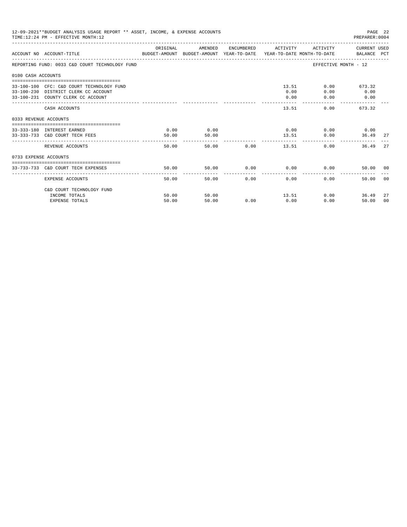|                       | 12-09-2021**BUDGET ANALYSIS USAGE REPORT ** ASSET, INCOME, & EXPENSE ACCOUNTS<br>TIME: 12:24 PM - EFFECTIVE MONTH: 12   |               |                             |             |                                |                                           | PAGE 22<br>PREPARER: 0004     |    |
|-----------------------|-------------------------------------------------------------------------------------------------------------------------|---------------|-----------------------------|-------------|--------------------------------|-------------------------------------------|-------------------------------|----|
|                       | BUDGET-AMOUNT BUDGET-AMOUNT YEAR-TO-DATE  YEAR-TO-DATE MONTH-TO-DATE     BALANCE PCT<br>ACCOUNT NO ACCOUNT-TITLE        | ORIGINAL      | AMENDED ENCUMBERED ACTIVITY |             |                                |                                           | ACTIVITY CURRENT USED         |    |
|                       | REPORTING FUND: 0033 C&D COURT TECHNOLOGY FUND                                                                          |               |                             |             |                                |                                           | EFFECTIVE MONTH - 12          |    |
| 0100 CASH ACCOUNTS    |                                                                                                                         |               |                             |             |                                |                                           |                               |    |
|                       | 33-100-100 CFC: C&D COURT TECHNOLOGY FUND<br>33-100-230 DISTRICT CLERK CC ACCOUNT<br>33-100-231 COUNTY CLERK CC ACCOUNT |               |                             |             | 0.00<br>0.00<br>______________ | 13.51 \,<br>0.00<br>0.00<br>------------- | $0.00$ 673.32<br>0.00<br>0.00 |    |
|                       | CASH ACCOUNTS                                                                                                           |               |                             |             |                                | 13.51                                     | $0.00$ 673.32                 |    |
| 0333 REVENUE ACCOUNTS |                                                                                                                         |               |                             |             |                                |                                           |                               |    |
|                       | 33-333-180 INTEREST EARNED<br>33-333-733 C&D COURT TECH FEES                                                            | 0.00<br>50.00 | 0.00<br>50.00               |             |                                | $0.00$ $0.00$ $0.00$ $0.00$<br>13.51      | 0.00<br>36.49                 | 27 |
|                       | REVENUE ACCOUNTS                                                                                                        | 50.00         |                             | 50.00 0.00  |                                | 13.51 \                                   | 0.00<br>36.49                 | 27 |
| 0733 EXPENSE ACCOUNTS |                                                                                                                         |               |                             |             |                                |                                           |                               |    |
|                       | 33-733-733 C&D COURT TECH EXPENSES                                                                                      | 50.00         | 50.00                       | $0.00$ 0.00 |                                |                                           | 0.00<br>50.00 00              |    |
|                       | EXPENSE ACCOUNTS                                                                                                        | 50.00         |                             | 50.00       | $0.00$ 0.00                    |                                           | 0.00<br>50.00 00              |    |
|                       | C&D COURT TECHNOLOGY FUND<br>INCOME TOTALS                                                                              | 50.00         | 50.00                       |             |                                | 13.51 \,                                  | 0.00<br>36.49                 | 27 |
|                       | <b>EXPENSE TOTALS</b>                                                                                                   | 50.00         | 50.00                       | 0.00        | 0.00                           |                                           | 0.00<br>50.00                 | 00 |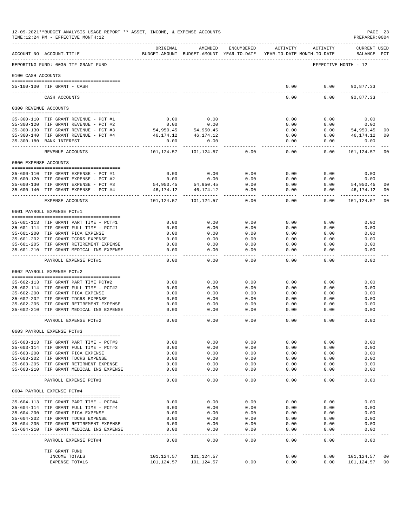|                       | 12-09-2021**BUDGET ANALYSIS USAGE REPORT ** ASSET, INCOME, & EXPENSE ACCOUNTS<br>TIME:12:24 PM - EFFECTIVE MONTH:12 |                        |                                                                     |                       |                      |                     | PREPARER:0004               | PAGE 23                                                                                                                                                                                                                                                                                                                                                                                            |
|-----------------------|---------------------------------------------------------------------------------------------------------------------|------------------------|---------------------------------------------------------------------|-----------------------|----------------------|---------------------|-----------------------------|----------------------------------------------------------------------------------------------------------------------------------------------------------------------------------------------------------------------------------------------------------------------------------------------------------------------------------------------------------------------------------------------------|
|                       | ACCOUNT NO ACCOUNT-TITLE                                                                                            | ORIGINAL               | BUDGET-AMOUNT BUDGET-AMOUNT YEAR-TO-DATE YEAR-TO-DATE MONTH-TO-DATE | AMENDED ENCUMBERED    |                      | ACTIVITY ACTIVITY   | CURRENT USED<br>BALANCE PCT |                                                                                                                                                                                                                                                                                                                                                                                                    |
|                       | REPORTING FUND: 0035 TIF GRANT FUND                                                                                 |                        |                                                                     |                       |                      |                     | EFFECTIVE MONTH - 12        |                                                                                                                                                                                                                                                                                                                                                                                                    |
| 0100 CASH ACCOUNTS    |                                                                                                                     |                        |                                                                     |                       |                      |                     |                             |                                                                                                                                                                                                                                                                                                                                                                                                    |
|                       | 35-100-100 TIF GRANT - CASH                                                                                         |                        |                                                                     |                       | 0.00                 | 0.00                | 90,877.33                   |                                                                                                                                                                                                                                                                                                                                                                                                    |
|                       | CASH ACCOUNTS                                                                                                       |                        |                                                                     |                       | ------------<br>0.00 | ---------<br>0.00   | .<br>90,877.33              |                                                                                                                                                                                                                                                                                                                                                                                                    |
|                       |                                                                                                                     |                        |                                                                     |                       |                      |                     |                             |                                                                                                                                                                                                                                                                                                                                                                                                    |
| 0300 REVENUE ACCOUNTS |                                                                                                                     |                        |                                                                     |                       |                      |                     |                             |                                                                                                                                                                                                                                                                                                                                                                                                    |
|                       | 35-300-110 TIF GRANT REVENUE - PCT #1<br>35-300-120 TIF GRANT REVENUE - PCT #2                                      | 0.00<br>0.00           | 0.00<br>0.00                                                        |                       | 0.00<br>0.00         | 0.00<br>0.00        | 0.00<br>0.00                |                                                                                                                                                                                                                                                                                                                                                                                                    |
|                       | 35-300-130 TIF GRANT REVENUE - PCT #3                                                                               | 54,950.45              | 54,950.45                                                           |                       | 0.00                 | 0.00                | 54,950.45                   | 00                                                                                                                                                                                                                                                                                                                                                                                                 |
|                       | 35-300-140 TIF GRANT REVENUE - PCT #4                                                                               | 46,174.12              | 46,174.12                                                           |                       | 0.00                 | 0.00                | 46,174.12                   | 00                                                                                                                                                                                                                                                                                                                                                                                                 |
|                       | 35-300-180 BANK INTEREST                                                                                            | 0.00                   | 0.00                                                                |                       | 0.00                 | 0.00<br>$- - - - -$ | 0.00                        |                                                                                                                                                                                                                                                                                                                                                                                                    |
|                       | REVENUE ACCOUNTS                                                                                                    | 101,124.57             | 101,124.57                                                          | 0.00                  | 0.00                 | 0.00                | 101,124.57 00               |                                                                                                                                                                                                                                                                                                                                                                                                    |
| 0600 EXPENSE ACCOUNTS |                                                                                                                     |                        |                                                                     |                       |                      |                     |                             |                                                                                                                                                                                                                                                                                                                                                                                                    |
|                       | 35-600-110 TIF GRANT EXPENSE - PCT #1                                                                               | 0.00                   | 0.00                                                                | 0.00                  | 0.00                 | 0.00                | 0.00                        |                                                                                                                                                                                                                                                                                                                                                                                                    |
|                       | 35-600-120 TIF GRANT EXPENSE - PCT #2                                                                               | 0.00                   | 0.00                                                                | 0.00                  | 0.00                 | 0.00                | 0.00                        |                                                                                                                                                                                                                                                                                                                                                                                                    |
|                       | 35-600-130 TIF GRANT EXPENSE - PCT #3<br>35-600-140 TIF GRANT EXPENSE - PCT #4                                      | 54,950.45<br>46,174.12 | 54,950.45<br>46,174.12                                              | 0.00<br>0.00          | 0.00<br>0.00         | 0.00<br>0.00        | 54,950.45<br>46,174.12      | 00<br>00                                                                                                                                                                                                                                                                                                                                                                                           |
|                       | EXPENSE ACCOUNTS                                                                                                    | 101,124.57             | 101,124.57                                                          | -------------<br>0.00 | .<br>0.00            | ----------<br>0.00  | ------------<br>101,124.57  | $\frac{1}{2} \frac{1}{2} \frac{1}{2} \frac{1}{2} \frac{1}{2} \frac{1}{2} \frac{1}{2} \frac{1}{2} \frac{1}{2} \frac{1}{2} \frac{1}{2} \frac{1}{2} \frac{1}{2} \frac{1}{2} \frac{1}{2} \frac{1}{2} \frac{1}{2} \frac{1}{2} \frac{1}{2} \frac{1}{2} \frac{1}{2} \frac{1}{2} \frac{1}{2} \frac{1}{2} \frac{1}{2} \frac{1}{2} \frac{1}{2} \frac{1}{2} \frac{1}{2} \frac{1}{2} \frac{1}{2} \frac{$<br>00 |
|                       | 0601 PAYROLL EXPENSE PCT#1                                                                                          |                        |                                                                     |                       |                      |                     |                             |                                                                                                                                                                                                                                                                                                                                                                                                    |
|                       |                                                                                                                     |                        |                                                                     |                       |                      |                     |                             |                                                                                                                                                                                                                                                                                                                                                                                                    |
|                       | 35-601-113 TIF GRANT PART TIME - PCT#1<br>35-601-114 TIF GRANT FULL TIME - PCT#1                                    | 0.00<br>0.00           | 0.00<br>0.00                                                        | 0.00<br>0.00          | 0.00<br>0.00         | 0.00<br>0.00        | 0.00<br>0.00                |                                                                                                                                                                                                                                                                                                                                                                                                    |
|                       | 35-601-200 TIF GRANT FICA EXPENSE                                                                                   | 0.00                   | 0.00                                                                | 0.00                  | 0.00                 | 0.00                | 0.00                        |                                                                                                                                                                                                                                                                                                                                                                                                    |
|                       | 35-601-202 TIF GRANT TCDRS EXPENSE                                                                                  | 0.00                   | 0.00                                                                | 0.00                  | 0.00                 | 0.00                | 0.00                        |                                                                                                                                                                                                                                                                                                                                                                                                    |
|                       | 35-601-205 TIF GRANT RETIREMENT EXPENSE                                                                             | 0.00                   | 0.00                                                                | 0.00                  | 0.00                 | 0.00                | 0.00                        |                                                                                                                                                                                                                                                                                                                                                                                                    |
|                       | 35-601-210 TIF GRANT MEDICAL INS EXPENSE                                                                            | 0.00<br>$- - - -$      | 0.00<br>$- - - - - -$                                               | 0.00<br>------        | 0.00<br>------       | 0.00<br>$- - - - -$ | 0.00<br>-----               |                                                                                                                                                                                                                                                                                                                                                                                                    |
|                       | PAYROLL EXPENSE PCT#1                                                                                               | 0.00                   | 0.00                                                                | 0.00                  | 0.00                 | 0.00                | 0.00                        |                                                                                                                                                                                                                                                                                                                                                                                                    |
|                       | 0602 PAYROLL EXPENSE PCT#2                                                                                          |                        |                                                                     |                       |                      |                     |                             |                                                                                                                                                                                                                                                                                                                                                                                                    |
|                       | 35-602-113 TIF GRANT PART TIME PCT#2                                                                                | 0.00                   | 0.00                                                                | 0.00                  | 0.00                 | 0.00                | 0.00                        |                                                                                                                                                                                                                                                                                                                                                                                                    |
|                       | 35-602-114 TIF GRANT FULL TIME - PCT#2                                                                              | 0.00                   | 0.00                                                                | 0.00                  | 0.00                 | 0.00                | 0.00                        |                                                                                                                                                                                                                                                                                                                                                                                                    |
|                       | 35-602-200 TIF GRANT FICA EXPENSE                                                                                   | 0.00                   | 0.00                                                                | 0.00                  | 0.00                 | 0.00                | 0.00                        |                                                                                                                                                                                                                                                                                                                                                                                                    |
|                       | 35-602-202 TIF GRANT TDCRS EXPENSE                                                                                  | 0.00                   | 0.00                                                                | 0.00                  | 0.00                 | 0.00                | 0.00                        |                                                                                                                                                                                                                                                                                                                                                                                                    |
|                       | 35-602-205 TIF GRANT RETIREMENT EXPENSE<br>35-602-210 TIF GRANT MEDICAL INS EXPENSE                                 | 0.00<br>0.00           | 0.00<br>0.00                                                        | 0.00<br>0.00          | 0.00<br>0.00         | 0.00<br>0.00        | 0.00<br>0.00                |                                                                                                                                                                                                                                                                                                                                                                                                    |
|                       | PAYROLL EXPENSE PCT#2                                                                                               | $---$<br>0.00          | $- - - - -$<br>0.00                                                 | $- - - - - -$<br>0.00 | -----<br>0.00        | $- - - - -$<br>0.00 | -----<br>0.00               |                                                                                                                                                                                                                                                                                                                                                                                                    |
|                       |                                                                                                                     |                        |                                                                     |                       |                      |                     |                             |                                                                                                                                                                                                                                                                                                                                                                                                    |
|                       | 0603 PAYROLL EXPENSE PCT#3                                                                                          |                        |                                                                     |                       |                      |                     |                             |                                                                                                                                                                                                                                                                                                                                                                                                    |
|                       | 35-603-113 TIF GRANT PART TIME - PCT#3                                                                              | 0.00                   | 0.00                                                                | 0.00                  | 0.00                 | 0.00                | 0.00                        |                                                                                                                                                                                                                                                                                                                                                                                                    |
|                       | 35-603-114 TIF GRANT FULL TIME - PCT#3                                                                              | 0.00                   | 0.00                                                                | 0.00                  | 0.00                 | 0.00                | 0.00                        |                                                                                                                                                                                                                                                                                                                                                                                                    |
|                       | 35-603-200 TIF GRANT FICA EXPENSE<br>35-603-202 TIF GRANT TDCRS EXPENSE                                             | 0.00<br>0.00           | 0.00<br>0.00                                                        | 0.00<br>0.00          | 0.00<br>0.00         | 0.00<br>0.00        | 0.00<br>0.00                |                                                                                                                                                                                                                                                                                                                                                                                                    |
|                       | 35-603-205 TIF GRANT RETIRMENT EXPENSE                                                                              | 0.00                   | 0.00                                                                | 0.00                  | 0.00                 | 0.00                | 0.00                        |                                                                                                                                                                                                                                                                                                                                                                                                    |
|                       | 35-603-210 TIF GRANT MEDICAL INS EXPENSE                                                                            | 0.00<br>$- - - - -$    | 0.00<br>$- - - -$                                                   | 0.00<br>$----$        | 0.00<br>-----        | 0.00<br>-----       | 0.00<br>$- - - - -$         |                                                                                                                                                                                                                                                                                                                                                                                                    |
|                       | PAYROLL EXPENSE PCT#3                                                                                               | 0.00                   | 0.00                                                                | 0.00                  | 0.00                 | 0.00                | 0.00                        |                                                                                                                                                                                                                                                                                                                                                                                                    |
|                       | 0604 PAYROLL EXPENSE PCT#4                                                                                          |                        |                                                                     |                       |                      |                     |                             |                                                                                                                                                                                                                                                                                                                                                                                                    |
|                       | 35-604-113 TIF GRANT PART TIME - PCT#4                                                                              | 0.00                   | 0.00                                                                | 0.00                  | 0.00                 | 0.00                | 0.00                        |                                                                                                                                                                                                                                                                                                                                                                                                    |
|                       | 35-604-114 TIF GRANT FULL TIME - PCT#4                                                                              | 0.00                   | 0.00                                                                | 0.00                  | 0.00                 | 0.00                | 0.00                        |                                                                                                                                                                                                                                                                                                                                                                                                    |
|                       | 35-604-200 TIF GRANT FICA EXPENSE                                                                                   | 0.00                   | 0.00                                                                | 0.00                  | 0.00                 | 0.00                | 0.00                        |                                                                                                                                                                                                                                                                                                                                                                                                    |
|                       | 35-604-202 TIF GRANT TDCRS EXPENSE                                                                                  | 0.00                   | 0.00                                                                | 0.00                  | 0.00                 | 0.00                | 0.00                        |                                                                                                                                                                                                                                                                                                                                                                                                    |
|                       | 35-604-205 TIF GRANT RETIREMENT EXPENSE<br>35-604-210 TIF GRANT MEDICAL INS EXPENSE                                 | 0.00<br>0.00           | 0.00<br>0.00                                                        | 0.00<br>0.00          | 0.00<br>0.00         | 0.00<br>0.00        | 0.00<br>0.00                |                                                                                                                                                                                                                                                                                                                                                                                                    |
|                       | PAYROLL EXPENSE PCT#4                                                                                               | $----$<br>0.00         | 0.00                                                                | $- - - - -$<br>0.00   | $- - - - -$<br>0.00  | $- - - - -$<br>0.00 | $- - - - -$<br>0.00         |                                                                                                                                                                                                                                                                                                                                                                                                    |
|                       | TIF GRANT FUND                                                                                                      |                        |                                                                     |                       |                      |                     |                             |                                                                                                                                                                                                                                                                                                                                                                                                    |
|                       | INCOME TOTALS                                                                                                       | 101,124.57             | 101,124.57                                                          |                       | 0.00                 | 0.00                | 101,124.57                  | 00                                                                                                                                                                                                                                                                                                                                                                                                 |
|                       | EXPENSE TOTALS                                                                                                      | 101,124.57             | 101,124.57                                                          | 0.00                  | 0.00                 | 0.00                | 101,124.57                  | 00                                                                                                                                                                                                                                                                                                                                                                                                 |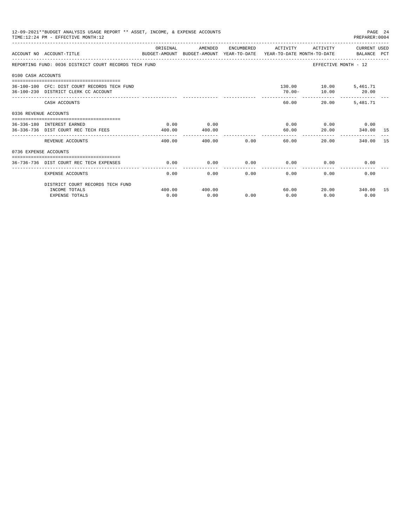|                       | 12-09-2021**BUDGET ANALYSIS USAGE REPORT ** ASSET, INCOME, & EXPENSE ACCOUNTS<br>TIME: 12:24 PM - EFFECTIVE MONTH: 12 |                |                |      |                     |                                            | PAGE 24<br>PREPARER: 0004                |    |
|-----------------------|-----------------------------------------------------------------------------------------------------------------------|----------------|----------------|------|---------------------|--------------------------------------------|------------------------------------------|----|
|                       | ACCOUNT NO ACCOUNT-TITLE<br>BUDGET-AMOUNT BUDGET-AMOUNT YEAR-TO-DATE  YEAR-TO-DATE MONTH-TO-DATE      BALANCE PCT     | ORIGINAL       | AMENDED        |      | ENCUMBERED ACTIVITY |                                            | ACTIVITY CURRENT USED                    |    |
|                       | REPORTING FUND: 0036 DISTRICT COURT RECORDS TECH FUND                                                                 |                |                |      |                     |                                            | EFFECTIVE MONTH - 12                     |    |
| 0100 CASH ACCOUNTS    |                                                                                                                       |                |                |      |                     |                                            |                                          |    |
|                       | 36-100-100 CFC: DIST COURT RECORDS TECH FUND<br>36-100-230 DISTRICT CLERK CC ACCOUNT                                  |                |                |      | 70.00-              | 130.00   10.00   5,461.71<br>$10.00$ 20.00 |                                          |    |
|                       | CASH ACCOUNTS                                                                                                         |                |                |      | 60.00               | 20.00                                      | 5,481.71                                 |    |
| 0336 REVENUE ACCOUNTS |                                                                                                                       |                |                |      |                     |                                            |                                          |    |
|                       | 36-336-180 INTEREST EARNED<br>36-336-736 DIST COURT REC TECH FEES                                                     | 0.00<br>400.00 | 0.00<br>400.00 |      | 60.00               | 20.00                                      | $0.00$ $0.00$ $0.00$ $0.00$<br>340.00 15 |    |
|                       | REVENUE ACCOUNTS                                                                                                      | 400.00         | 400.00         | 0.00 | 60.00               | 20.00                                      | 340.00                                   | 15 |
| 0736 EXPENSE ACCOUNTS |                                                                                                                       |                |                |      |                     |                                            |                                          |    |
|                       | 36-736-736 DIST COURT REC TECH EXPENSES                                                                               | 0.00           | 0.00           | 0.00 | 0.00                |                                            | 0.00<br>0.00                             |    |
|                       | <b>EXPENSE ACCOUNTS</b>                                                                                               | 0.00           | 0.00           | 0.00 | 0.00                | 0.00                                       | 0.00                                     |    |
|                       | DISTRICT COURT RECORDS TECH FUND                                                                                      |                |                |      |                     |                                            |                                          |    |
|                       | INCOME TOTALS<br><b>EXPENSE TOTALS</b>                                                                                | 400.00<br>0.00 | 400.00<br>0.00 | 0.00 | 60.00<br>0.00       | 0.00                                       | 20.00 340.00 15<br>0.00                  |    |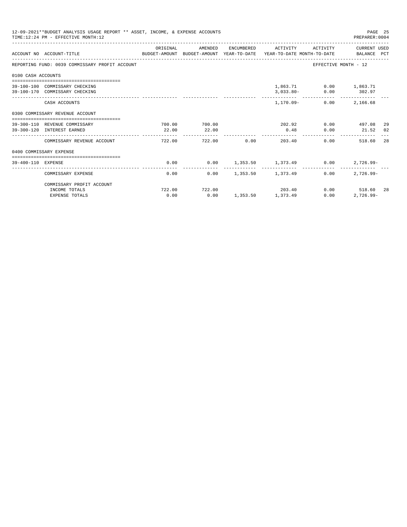|                    | 12-09-2021**BUDGET ANALYSIS USAGE REPORT ** ASSET, INCOME, & EXPENSE ACCOUNTS<br>TIME: 12:24 PM - EFFECTIVE MONTH: 12 |                |                        |                                |                     |                                                 | PAGE 25<br>PREPARER: 0004        |     |
|--------------------|-----------------------------------------------------------------------------------------------------------------------|----------------|------------------------|--------------------------------|---------------------|-------------------------------------------------|----------------------------------|-----|
|                    | ACCOUNT NO ACCOUNT-TITLE<br>BUDGET-AMOUNT BUDGET-AMOUNT YEAR-TO-DATE YEAR-TO-DATE MONTH-TO-DATE BALANCE PCT           | ORIGINAL       | AMENDED                |                                | ENCUMBERED ACTIVITY |                                                 | ACTIVITY CURRENT USED            |     |
|                    | REPORTING FUND: 0039 COMMISSARY PROFIT ACCOUNT                                                                        |                |                        |                                |                     |                                                 | EFFECTIVE MONTH - 12             |     |
| 0100 CASH ACCOUNTS |                                                                                                                       |                |                        |                                |                     |                                                 |                                  |     |
|                    | 39-100-100 COMMISSARY CHECKING<br>39-100-170 COMMISSARY CHECKING                                                      |                |                        |                                |                     | 1,863.71 0.00 1,863.71<br>3,033.80- 0.00 302.97 | -------------                    |     |
|                    | CASH ACCOUNTS                                                                                                         |                |                        |                                |                     | $1,170.09 - 0.00$                               | 2,166.68                         |     |
|                    | 0300 COMMISSARY REVENUE ACCOUNT                                                                                       |                |                        |                                |                     |                                                 |                                  |     |
|                    | 39-300-110 REVENUE COMMISSARY<br>39-300-120 INTEREST EARNED                                                           | 22.00          | 700.00 700.00<br>22.00 |                                | 0.48                | $202.92$ 0.00 497.08                            | $0.00$ 21.52 02                  | -29 |
|                    | COMMISSARY REVENUE ACCOUNT                                                                                            | 722.00         | 722.00                 |                                | 0.00                | 203.40                                          | 0.00<br>518.60                   | 28  |
|                    | 0400 COMMISSARY EXPENSE                                                                                               |                |                        |                                |                     |                                                 |                                  |     |
| 39-400-110 EXPENSE |                                                                                                                       | 0.00           |                        |                                |                     | $0.00$ $1,353.50$ $1,373.49$ $0.00$             | 2,726.99-                        |     |
|                    | COMMISSARY EXPENSE                                                                                                    | 0.00           |                        | $0.00 \t 1.353.50 \t 1.373.49$ |                     | 0.00                                            | $2,726.99 -$                     |     |
|                    | COMMISSARY PROFIT ACCOUNT                                                                                             |                |                        |                                |                     |                                                 |                                  |     |
|                    | INCOME TOTALS<br><b>EXPENSE TOTALS</b>                                                                                | 722.00<br>0.00 | 722.00                 | $0.00 \t 1,353.50 \t 1,373.49$ | 203.40              | 0.00                                            | $0.00$ 518.60 28<br>$2,726.99 -$ |     |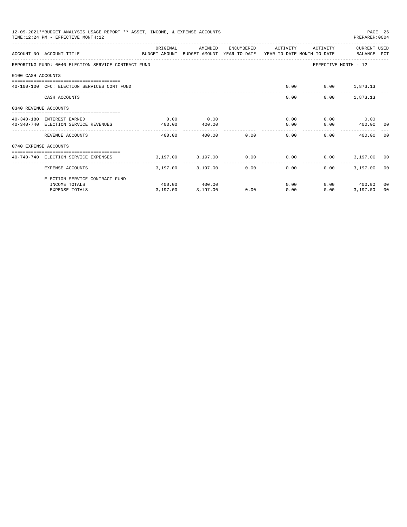|                       | 12-09-2021**BUDGET ANALYSIS USAGE REPORT ** ASSET, INCOME, & EXPENSE ACCOUNTS<br>TIME: 12:24 PM - EFFECTIVE MONTH: 12 |                                                            |                       |      |                                      |                          | PAGE 26<br>PREPARER: 0004 |    |
|-----------------------|-----------------------------------------------------------------------------------------------------------------------|------------------------------------------------------------|-----------------------|------|--------------------------------------|--------------------------|---------------------------|----|
|                       | ACCOUNT NO ACCOUNT-TITLE<br>BUDGET-AMOUNT BUDGET-AMOUNT YEAR-TO-DATE YEAR-TO-DATE MONTH-TO-DATE BALANCE PCT           | ORIGINAL                                                   | AMENDED               |      | ENCUMBERED ACTIVITY                  | ACTIVITY                 | CURRENT USED              |    |
|                       | REPORTING FUND: 0040 ELECTION SERVICE CONTRACT FUND                                                                   |                                                            |                       |      |                                      |                          | EFFECTIVE MONTH - 12      |    |
| 0100 CASH ACCOUNTS    |                                                                                                                       |                                                            |                       |      |                                      |                          |                           |    |
|                       | 40-100-100 CFC: ELECTION SERVICES CONT FUND                                                                           |                                                            |                       |      |                                      | $0.00$ $0.00$ $1,873.13$ |                           |    |
|                       | CASH ACCOUNTS                                                                                                         |                                                            |                       |      |                                      | 0.00                     | $0.00$ 1,873.13           |    |
| 0340 REVENUE ACCOUNTS |                                                                                                                       |                                                            |                       |      |                                      |                          |                           |    |
|                       | 40-340-180 INTEREST EARNED                                                                                            | 0.00                                                       | 0.00                  |      |                                      | 0.00                     | $0.00$ 0.00               |    |
|                       | 40-340-740 ELECTION SERVICE REVENUES                                                                                  | 400.00                                                     | 400.00                |      | 0.00<br>. <u>.</u>                   |                          | $0.00$ 400.00 00          |    |
|                       | REVENUE ACCOUNTS                                                                                                      | 400.00                                                     | 400.00                | 0.00 | 0.00                                 |                          | 0.00<br>400.00 00         |    |
| 0740 EXPENSE ACCOUNTS |                                                                                                                       |                                                            |                       |      |                                      |                          |                           |    |
|                       | 40-740-740 ELECTION SERVICE EXPENSES                                                                                  | $3.197.00$ $3.197.00$ $0.00$ $0.00$ $0.00$ $3.197.00$ $00$ |                       |      |                                      |                          |                           |    |
|                       | EXPENSE ACCOUNTS                                                                                                      |                                                            | 3, 197, 00 3, 197, 00 |      | ---------------<br>$0.00$ and $0.00$ | 0.00<br>$0.00 -$         | 3,197,00 00               |    |
|                       | ELECTION SERVICE CONTRACT FUND                                                                                        |                                                            |                       |      |                                      |                          |                           |    |
|                       | INCOME TOTALS                                                                                                         |                                                            | 400.00 400.00         |      |                                      | 0.00                     | $0.00$ 400.00             | 00 |
|                       | <b>EXPENSE TOTALS</b>                                                                                                 | 3,197.00                                                   | 3,197.00              | 0.00 | 0.00                                 | 0.00                     | 3,197.00                  | 00 |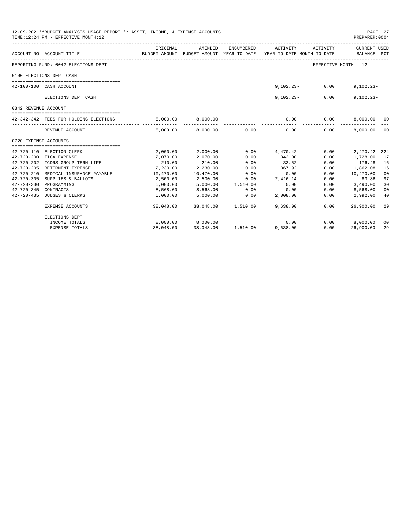|                       | 12-09-2021**BUDGET ANALYSIS USAGE REPORT ** ASSET, INCOME, & EXPENSE ACCOUNTS<br>TIME: 12:24 PM - EFFECTIVE MONTH: 12 |                                                                                             |                              |                                        |                                    |                                            | PAGE 27<br>PREPARER:0004   |                |
|-----------------------|-----------------------------------------------------------------------------------------------------------------------|---------------------------------------------------------------------------------------------|------------------------------|----------------------------------------|------------------------------------|--------------------------------------------|----------------------------|----------------|
|                       | ACCOUNT NO ACCOUNT-TITLE                                                                                              | ORIGINAL<br>BUDGET-AMOUNT BUDGET-AMOUNT YEAR-TO-DATE YEAR-TO-DATE MONTH-TO-DATE BALANCE PCT | AMENDED                      | ENCUMBERED                             |                                    | ACTIVITY ACTIVITY                          | CURRENT USED               |                |
|                       | REPORTING FUND: 0042 ELECTIONS DEPT                                                                                   |                                                                                             |                              |                                        |                                    | EFFECTIVE MONTH - 12                       |                            |                |
|                       | 0100 ELECTIONS DEPT CASH                                                                                              |                                                                                             |                              |                                        |                                    |                                            |                            |                |
|                       | 42-100-100 CASH ACCOUNT                                                                                               |                                                                                             |                              |                                        |                                    |                                            | $9,102,23-$ 0.00 9,102.23- |                |
|                       | ELECTIONS DEPT CASH                                                                                                   |                                                                                             |                              |                                        | $9.102.23 -$                       | 0.00                                       | $9,102.23 -$               |                |
| 0342 REVENUE ACCOUNT  |                                                                                                                       |                                                                                             |                              |                                        |                                    |                                            |                            |                |
|                       | 42-342-342 FEES FOR HOLDING ELECTIONS                                                                                 |                                                                                             | 8,000.00 8,000.00            |                                        |                                    |                                            | $0.00$ $0.00$ $8,000.00$   | 00             |
|                       | REVENUE ACCOUNT                                                                                                       | . <u>.</u><br>8,000.00                                                                      | --------------               |                                        | ------------<br>8,000.00 0.00 0.00 | - - - - - - - - - - - <sup>-</sup><br>0.00 | -------------<br>8,000.00  | 0 <sup>0</sup> |
| 0720 EXPENSE ACCOUNTS |                                                                                                                       |                                                                                             |                              |                                        |                                    |                                            |                            |                |
|                       |                                                                                                                       |                                                                                             |                              | 0.00                                   |                                    |                                            |                            |                |
|                       | 42-720-110 ELECTION CLERK<br>42-720-200 FICA EXPENSE                                                                  | 2,000.00                                                                                    | 2,000.00<br>2,070.00         |                                        | 4,470.42<br>342.00                 | 0.00<br>0.00                               | 2,470.42-224<br>1,728.00   |                |
| $42 - 720 - 202$      | TCDRS GROUP TERM LIFE                                                                                                 | 2,070.00<br>210.00                                                                          | 210.00                       | 0.00<br>0.00                           | 33.52                              | 0.00                                       | 176.48                     | 17             |
| $42 - 720 - 205$      | RETIRMENT EXPENSE                                                                                                     | 2,230.00                                                                                    | 2,230.00                     | 0.00                                   | 367.92                             | 0.00                                       | 1,862.08                   | 16<br>16       |
| $42 - 720 - 210$      | MEDICAL INSURANCE PAYABLE                                                                                             | 10,470.00                                                                                   | 10,470.00                    | 0.00                                   | 0.00                               | 0.00                                       | 10,470.00                  | 00             |
| $42 - 720 - 305$      | SUPPLIES & BALLOTS                                                                                                    | 2,500.00                                                                                    | 2,500.00                     | 0.00                                   | 2,416.14                           | 0.00                                       | 83.86                      | 97             |
|                       | 42-720-330 PROGRAMMING                                                                                                | 5,000.00                                                                                    | $5,000.00$ 1,510.00          |                                        | 0.00                               | 0.00                                       | 3,490.00                   | 30             |
| 42-720-345 CONTRACTS  |                                                                                                                       | 8,568.00                                                                                    | 8,568.00                     | 0.00                                   | 0.00                               | 0.00                                       | 8,568.00                   | 0 <sup>0</sup> |
|                       | 42-720-435 JUDGES & CLERKS                                                                                            | 5,000.00                                                                                    | 5,000.00                     | 0.00                                   | 2,008.00                           | 0.00                                       | 2,992.00                   | -40            |
|                       | EXPENSE ACCOUNTS                                                                                                      | .                                                                                           | 38,048.00 38,048.00 1,510.00 |                                        | -----------<br>9,638.00            | -----------<br>0.00                        | ____________<br>26,900.00  | $- - -$<br>29  |
|                       | ELECTIONS DEPT                                                                                                        |                                                                                             |                              |                                        |                                    |                                            |                            |                |
|                       | INCOME TOTALS                                                                                                         |                                                                                             | 8,000.00 8,000.00            | 8,000.00<br>38,048.00         1,510.00 | 0.00                               |                                            | $0.00$ $8,000.00$          | 0 <sub>0</sub> |
|                       | <b>EXPENSE TOTALS</b>                                                                                                 | 38,048.00                                                                                   |                              |                                        | 9,638,00                           | 0.00                                       | 26,900.00                  | 29             |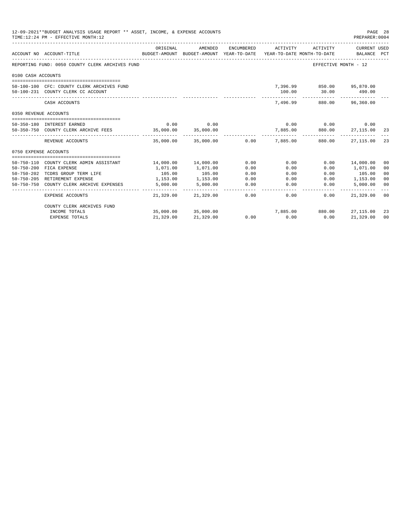|                       | 12-09-2021**BUDGET ANALYSIS USAGE REPORT ** ASSET, INCOME, & EXPENSE ACCOUNTS<br>TIME: 12:24 PM - EFFECTIVE MONTH: 12 |                       |                                                     |            |                          |                                                           | PAGE 28<br>PREPARER: 0004          |                      |
|-----------------------|-----------------------------------------------------------------------------------------------------------------------|-----------------------|-----------------------------------------------------|------------|--------------------------|-----------------------------------------------------------|------------------------------------|----------------------|
|                       | ACCOUNT NO ACCOUNT-TITLE                                                                                              | ORIGINAL              | AMENDED<br>BUDGET-AMOUNT BUDGET-AMOUNT YEAR-TO-DATE | ENCUMBERED | ACTIVITY                 | ACTIVITY<br>YEAR-TO-DATE MONTH-TO-DATE                    | <b>CURRENT USED</b><br>BALANCE PCT |                      |
|                       | REPORTING FUND: 0050 COUNTY CLERK ARCHIVES FUND                                                                       |                       |                                                     |            |                          |                                                           | EFFECTIVE MONTH - 12               |                      |
| 0100 CASH ACCOUNTS    |                                                                                                                       |                       |                                                     |            |                          |                                                           |                                    |                      |
|                       | 50-100-100 CFC: COUNTY CLERK ARCHIVES FUND<br>50-100-231 COUNTY CLERK CC ACCOUNT                                      |                       |                                                     |            | 100.00<br>-----------    | 7,396.99 850.00 95,870.00<br>30.00 490.00<br>------------ |                                    |                      |
|                       | CASH ACCOUNTS                                                                                                         |                       |                                                     |            | 7,496.99                 |                                                           | 880.00 96,360.00                   |                      |
| 0350 REVENUE ACCOUNTS |                                                                                                                       |                       |                                                     |            |                          |                                                           |                                    |                      |
|                       | 50-350-180 INTEREST EARNED                                                                                            | 0.00                  | 0.00                                                |            |                          | $0.00$ 0.00                                               | 0.00                               |                      |
|                       | 50-350-750 COUNTY CLERK ARCHIVE FEES                                                                                  | 35,000.00             | 35,000.00                                           |            |                          | 7,885.00 880.00 27,115.00 23                              |                                    |                      |
|                       | REVENUE ACCOUNTS                                                                                                      |                       | 35,000.00 35,000.00 0.00                            |            | ____________<br>7,885.00 | 880.00                                                    | 27,115.00                          | 23                   |
| 0750 EXPENSE ACCOUNTS |                                                                                                                       |                       |                                                     |            |                          |                                                           |                                    |                      |
| $50 - 750 - 110$      |                                                                                                                       |                       | 14,000.00                                           | 0.00       | 0.00                     | 0.00                                                      |                                    |                      |
| $50 - 750 - 200$      | COUNTY CLERK ADMIN ASSISTANT<br>FICA EXPENSE                                                                          | 14,000.00<br>1,071.00 | 1,071.00                                            | 0.00       | 0.00                     | 0.00                                                      | 14,000.00<br>1,071.00              | 00<br>0 <sup>0</sup> |
| $50 - 750 - 202$      | TCDRS GROUP TERM LIFE                                                                                                 | 105.00                | 105.00                                              | 0.00       | 0.00                     | 0.00                                                      | 105.00                             | 00                   |
|                       | 50-750-205 RETIREMENT EXPENSE                                                                                         | 1,153.00              | 1,153.00                                            | 0.00       | 0.00                     | 0.00                                                      | 1,153.00                           | 0 <sup>0</sup>       |
| $50 - 750 - 750$      | COUNTY CLERK ARCHIVE EXPENSES                                                                                         | 5.000.00              | 5,000.00                                            | 0.00       | 0.00                     | 0.00                                                      | 5.000.00                           | 0 <sup>0</sup>       |
|                       | EXPENSE ACCOUNTS                                                                                                      | 21,329.00             | 21,329.00                                           | 0.00       | 0.00                     | 0.00                                                      | 21,329.00                          | 0 <sup>0</sup>       |
|                       | COUNTY CLERK ARCHIVES FUND                                                                                            |                       |                                                     |            |                          |                                                           |                                    |                      |
|                       | INCOME TOTALS                                                                                                         |                       | 35,000.00 35,000.00                                 |            | 7,885.00                 | 880.00                                                    | 27,115.00                          | -23                  |
|                       | <b>EXPENSE TOTALS</b>                                                                                                 | 21,329.00             | 21,329.00                                           | 0.00       | 0.00                     | 0.00                                                      | 21,329.00                          | 0 <sup>0</sup>       |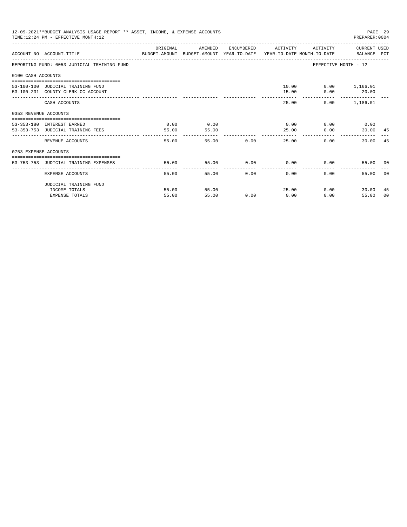|                       | 12-09-2021**BUDGET ANALYSIS USAGE REPORT ** ASSET, INCOME, & EXPENSE ACCOUNTS<br>TIME: 12:24 PM - EFFECTIVE MONTH: 12 |                                                                                                                                                                                                                                                                                                                                                                                                       |         |               |                             |                         | PAGE 29<br>PREPARER: 0004        |                |
|-----------------------|-----------------------------------------------------------------------------------------------------------------------|-------------------------------------------------------------------------------------------------------------------------------------------------------------------------------------------------------------------------------------------------------------------------------------------------------------------------------------------------------------------------------------------------------|---------|---------------|-----------------------------|-------------------------|----------------------------------|----------------|
|                       | ACCOUNT NO ACCOUNT-TITLE CONTROL PROTECT-AMOUNT BUDGET-AMOUNT YEAR-TO-DATE YEAR-TO-DATE MONTH-TO-DATE BALANCE PCT     | ORIGINAL                                                                                                                                                                                                                                                                                                                                                                                              | AMENDED |               | ENCUMBERED ACTIVITY         | ACTIVITY CURRENT USED   |                                  |                |
|                       | REPORTING FUND: 0053 JUDICIAL TRAINING FUND                                                                           |                                                                                                                                                                                                                                                                                                                                                                                                       |         |               |                             | EFFECTIVE MONTH - 12    |                                  |                |
| 0100 CASH ACCOUNTS    |                                                                                                                       |                                                                                                                                                                                                                                                                                                                                                                                                       |         |               |                             |                         |                                  |                |
|                       | 53-100-100 JUDICIAL TRAINING FUND                                                                                     |                                                                                                                                                                                                                                                                                                                                                                                                       |         |               |                             | 10.00   0.00   1,166.01 |                                  |                |
|                       | 53-100-231 COUNTY CLERK CC ACCOUNT                                                                                    |                                                                                                                                                                                                                                                                                                                                                                                                       |         |               | 15.00                       | $0.00$ 20.00            |                                  |                |
|                       | CASH ACCOUNTS                                                                                                         |                                                                                                                                                                                                                                                                                                                                                                                                       |         |               | 25.00                       |                         | -------------<br>$0.00$ 1,186.01 |                |
| 0353 REVENUE ACCOUNTS |                                                                                                                       |                                                                                                                                                                                                                                                                                                                                                                                                       |         |               |                             |                         |                                  |                |
|                       | 53-353-180 INTEREST EARNED                                                                                            | 0.00                                                                                                                                                                                                                                                                                                                                                                                                  | 0.00    |               | $0.00$ $0.00$ $0.00$ $0.00$ |                         |                                  |                |
|                       | 53-353-753 JUDICIAL TRAINING FEES                                                                                     | 55.00                                                                                                                                                                                                                                                                                                                                                                                                 | 55.00   |               | 25.00                       | 0.00                    | 30.00 45                         |                |
|                       | REVENUE ACCOUNTS                                                                                                      | $\frac{1}{2} \frac{1}{2} \frac{1}{2} \frac{1}{2} \frac{1}{2} \frac{1}{2} \frac{1}{2} \frac{1}{2} \frac{1}{2} \frac{1}{2} \frac{1}{2} \frac{1}{2} \frac{1}{2} \frac{1}{2} \frac{1}{2} \frac{1}{2} \frac{1}{2} \frac{1}{2} \frac{1}{2} \frac{1}{2} \frac{1}{2} \frac{1}{2} \frac{1}{2} \frac{1}{2} \frac{1}{2} \frac{1}{2} \frac{1}{2} \frac{1}{2} \frac{1}{2} \frac{1}{2} \frac{1}{2} \frac{$<br>55.00 |         | 55.00         | $0.00$ and $0.00$<br>25.00  | 0.00                    | 30.00 45                         |                |
| 0753 EXPENSE ACCOUNTS |                                                                                                                       |                                                                                                                                                                                                                                                                                                                                                                                                       |         |               |                             |                         |                                  |                |
|                       | 53-753-753 JUDICIAL TRAINING EXPENSES                                                                                 | 55.00                                                                                                                                                                                                                                                                                                                                                                                                 | 55.00   |               | $0.00$ $0.00$ $0.00$ $0.00$ |                         | 55.00 00                         |                |
|                       |                                                                                                                       |                                                                                                                                                                                                                                                                                                                                                                                                       |         |               |                             |                         |                                  |                |
|                       | EXPENSE ACCOUNTS                                                                                                      | 55.00                                                                                                                                                                                                                                                                                                                                                                                                 |         | 0.00<br>55.00 | 0.00                        | 0.00                    | 55.00                            | 0 <sub>0</sub> |
|                       | JUDICIAL TRAINING FUND                                                                                                |                                                                                                                                                                                                                                                                                                                                                                                                       |         |               |                             |                         |                                  |                |
|                       | INCOME TOTALS                                                                                                         | 55.00                                                                                                                                                                                                                                                                                                                                                                                                 | 55.00   |               | 25.00                       | 0.00                    | 30.00                            | 45             |
|                       | <b>EXPENSE TOTALS</b>                                                                                                 | 55.00                                                                                                                                                                                                                                                                                                                                                                                                 | 55.00   | 0.00          | 0.00                        | 0.00                    | 55.00                            | 00             |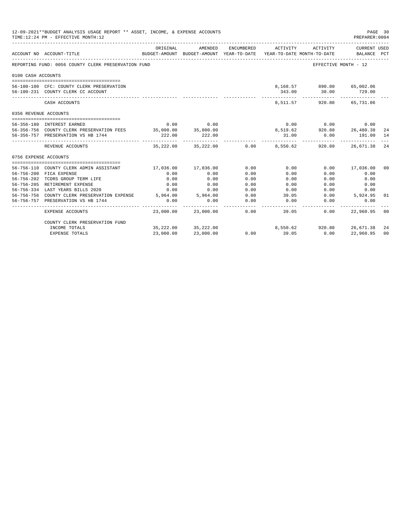|                       | 12-09-2021**BUDGET ANALYSIS USAGE REPORT ** ASSET, INCOME, & EXPENSE ACCOUNTS<br>TIME: 12:24 PM - EFFECTIVE MONTH: 12 |                     |                                                                                |            |          |                                                          | PREPARER: 0004              | PAGE 30 |
|-----------------------|-----------------------------------------------------------------------------------------------------------------------|---------------------|--------------------------------------------------------------------------------|------------|----------|----------------------------------------------------------|-----------------------------|---------|
|                       | ACCOUNT NO ACCOUNT-TITLE                                                                                              | ORIGINAL            | AMENDED<br>BUDGET-AMOUNT BUDGET-AMOUNT YEAR-TO-DATE YEAR-TO-DATE MONTH-TO-DATE | ENCUMBERED | ACTIVITY | ACTIVITY                                                 | CURRENT USED<br>BALANCE PCT |         |
|                       | REPORTING FUND: 0056 COUNTY CLERK PRESERVATION FUND                                                                   |                     |                                                                                |            |          |                                                          | EFFECTIVE MONTH - 12        |         |
| 0100 CASH ACCOUNTS    |                                                                                                                       |                     |                                                                                |            |          |                                                          |                             |         |
|                       | 56-100-100 CFC: COUNTY CLERK PRESERVATION<br>56-100-231 COUNTY CLERK CC ACCOUNT                                       |                     |                                                                                |            | 343.00   | 8,168.57 890.80 65,002.06                                | 30.00 729.00                |         |
|                       | CASH ACCOUNTS                                                                                                         |                     |                                                                                |            | 8,511.57 | -------------                                            | 920.80 65.731.06            |         |
| 0356 REVENUE ACCOUNTS |                                                                                                                       |                     |                                                                                |            |          |                                                          |                             |         |
|                       |                                                                                                                       |                     |                                                                                |            |          |                                                          |                             |         |
|                       | 56-356-180 INTEREST EARNED                                                                                            | 0.00                | 0.00                                                                           |            |          | $0.00$ $0.00$ $0.00$ $0.00$<br>8,519.62 920.80 26,480.38 |                             |         |
|                       | 56-356-756 COUNTY CLERK PRESERVATION FEES 35,000.00 35,000.00                                                         |                     |                                                                                |            |          |                                                          |                             | -24     |
|                       | 56-356-757 PRESERVATION VS HB 1744                                                                                    | 222.00              | 222.00                                                                         |            | 31.00    | 0.00                                                     | 191.00                      | 14      |
|                       | REVENUE ACCOUNTS                                                                                                      |                     | 35, 222, 00 35, 222, 00                                                        |            |          | $0.00$ $8.550.62$ $920.80$ $26.671.38$                   |                             | 24      |
| 0756 EXPENSE ACCOUNTS |                                                                                                                       |                     |                                                                                |            |          |                                                          |                             |         |
|                       |                                                                                                                       |                     |                                                                                |            |          |                                                          |                             |         |
|                       | 56-756-110 COUNTY CLERK ADMIN ASSISTANT                                                                               | 17,036.00 17,036.00 |                                                                                | 0.00       | 0.00     | 0.00                                                     | 17,036.00                   | ററ      |
|                       | 56-756-200 FICA EXPENSE                                                                                               | 0.00                | 0.00                                                                           | 0.00       | 0.00     | 0.00                                                     | 0.00                        |         |
|                       | 56-756-202 TCDRS GROUP TERM LIFE                                                                                      | 0.00                | 0.00                                                                           | 0.00       | 0.00     | 0.00                                                     | 0.00                        |         |
|                       | 56-756-205 RETIREMENT EXPENSE                                                                                         | 0.00                | 0.00                                                                           | 0.00       | 0.00     | 0.00                                                     | 0.00                        |         |
|                       | 56-756-334 LAST YEARS BILLS 2020                                                                                      | 0.00                | 0.00                                                                           | 0.00       | 0.00     |                                                          | 0.00<br>0.00                |         |
|                       | 56-756-756 COUNTY CLERK PRESERVATION EXPENSE 5,964.00 5,964.00                                                        |                     |                                                                                | 0.00       | 39.05    |                                                          | $0.00$ 5.924.95             | 01      |
|                       | 56-756-757 PRESERVATION VS HB 1744                                                                                    | 0.00                | 0.00                                                                           | 0.00       | 0.00     | 0.00                                                     | 0.00                        |         |
|                       | EXPENSE ACCOUNTS                                                                                                      |                     | 23,000.00 23,000.00 0.00                                                       |            | 39.05    | 0.00                                                     | 22,960.95                   | -00     |
|                       | COUNTY CLERK PRESERVATION FUND                                                                                        |                     |                                                                                |            |          |                                                          |                             |         |
|                       | INCOME TOTALS                                                                                                         |                     | 35,222.00 35,222.00                                                            |            |          | 8,550.62 920.80 26,671.38                                |                             | 24      |
|                       | <b>EXPENSE TOTALS</b>                                                                                                 | 23,000.00           | 23,000.00                                                                      | 0.00       | 39.05    | 0.00                                                     | 22,960.95                   | 00      |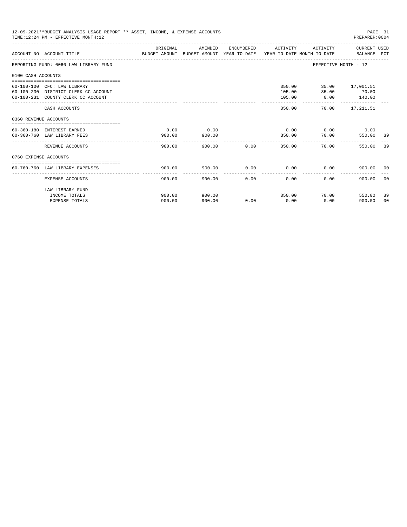|                       | 12-09-2021**BUDGET ANALYSIS USAGE REPORT ** ASSET, INCOME, & EXPENSE ACCOUNTS<br>TIME: 12:24 PM - EFFECTIVE MONTH: 12 |          |         |             |          |                                               | PAGE 31<br>PREPARER: 0004         |                |
|-----------------------|-----------------------------------------------------------------------------------------------------------------------|----------|---------|-------------|----------|-----------------------------------------------|-----------------------------------|----------------|
|                       | ACCOUNT NO ACCOUNT-TITLE COMPUTE THE SUDGET-AMOUNT BUDGET-AMOUNT VEAR-TO-DATE YEAR-TO-DATE MONTH-TO-DATE BALANCE PCT  | ORIGINAL | AMENDED | ENCUMBERED  | ACTIVITY |                                               | ACTIVITY CURRENT USED             |                |
|                       | REPORTING FUND: 0060 LAW LIBRARY FUND                                                                                 |          |         |             |          | EFFECTIVE MONTH - 12                          |                                   |                |
| 0100 CASH ACCOUNTS    |                                                                                                                       |          |         |             |          |                                               |                                   |                |
|                       |                                                                                                                       |          |         |             |          |                                               |                                   |                |
|                       | 60-100-100 CFC: LAW LIBRARY<br>60-100-230 DISTRICT CLERK CC ACCOUNT                                                   |          |         |             |          | 350.00 35.00 17,001.51<br>105.00- 35.00 70.00 |                                   |                |
|                       | 60-100-231 COUNTY CLERK CC ACCOUNT                                                                                    |          |         |             |          | 105.00   0.00   140.00                        |                                   |                |
|                       | CASH ACCOUNTS                                                                                                         |          |         |             | 350.00   | .                                             | -------------<br>70.00 17, 211.51 |                |
| 0360 REVENUE ACCOUNTS |                                                                                                                       |          |         |             |          |                                               |                                   |                |
|                       | 60-360-180 INTEREST EARNED                                                                                            | 0.00     | 0.00    |             |          | $0.00$ $0.00$ $0.00$ $0.00$                   |                                   |                |
|                       | 60-360-760 LAW LIBRARY FEES                                                                                           | 900.00   | 900.00  |             | 350.00   | 70.00                                         | 550.00                            | 39             |
|                       | REVENUE ACCOUNTS                                                                                                      | 900.00   |         | 900.00 0.00 | 350.00   | 70.00                                         | 550.00                            | 39             |
| 0760 EXPENSE ACCOUNTS |                                                                                                                       |          |         |             |          |                                               |                                   |                |
|                       |                                                                                                                       |          |         |             |          |                                               |                                   |                |
|                       | 60-760-760 LAW LIBRARY EXPENSES                                                                                       | 900.00   | 900.00  | 0.00        | 0.00     | 0.00                                          | 900.00 00                         |                |
|                       | EXPENSE ACCOUNTS                                                                                                      | 900.00   |         | 900.00 0.00 | 0.00     | 0.00                                          | 900.00                            | 00             |
|                       | LAW LIBRARY FUND                                                                                                      |          |         |             |          |                                               |                                   |                |
|                       | INCOME TOTALS                                                                                                         | 900.00   | 900.00  |             | 350.00   | 70.00                                         | 550.00                            | 39             |
|                       | <b>EXPENSE TOTALS</b>                                                                                                 | 900.00   | 900.00  | 0.00        | 0.00     | 0.00                                          | 900.00                            | 0 <sup>0</sup> |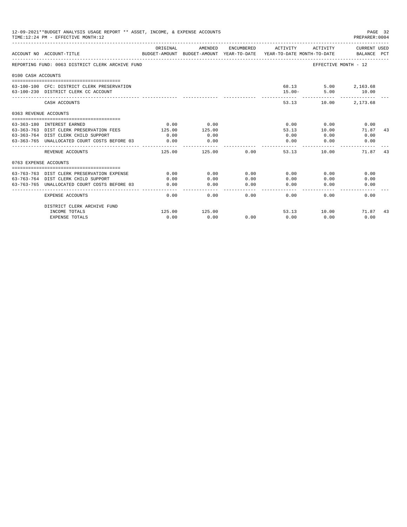|                       | 12-09-2021**BUDGET ANALYSIS USAGE REPORT ** ASSET, INCOME, & EXPENSE ACCOUNTS<br>TIME: 12:24 PM - EFFECTIVE MONTH: 12 |          |                                                     |            |                                        |                             | PAGE 32<br>PREPARER: 0004   |    |
|-----------------------|-----------------------------------------------------------------------------------------------------------------------|----------|-----------------------------------------------------|------------|----------------------------------------|-----------------------------|-----------------------------|----|
|                       | ACCOUNT NO ACCOUNT-TITLE                                                                                              | ORIGINAL | AMENDED<br>BUDGET-AMOUNT BUDGET-AMOUNT YEAR-TO-DATE | ENCUMBERED | ACTIVITY<br>YEAR-TO-DATE MONTH-TO-DATE | ACTIVITY                    | CURRENT USED<br>BALANCE PCT |    |
|                       | REPORTING FUND: 0063 DISTRICT CLERK ARCHIVE FUND                                                                      |          |                                                     |            |                                        | EFFECTIVE MONTH - 12        |                             |    |
| 0100 CASH ACCOUNTS    |                                                                                                                       |          |                                                     |            |                                        |                             |                             |    |
|                       | 63-100-100 CFC: DISTRICT CLERK PRESERVATION<br>63-100-230 DISTRICT CLERK CC ACCOUNT                                   |          |                                                     |            | $15.00 -$                              | 68.13 5.00 2.163.68<br>5.00 | 10.00                       |    |
|                       | CASH ACCOUNTS                                                                                                         |          |                                                     |            | 53.13                                  | 10.00                       | 2,173.68                    |    |
| 0363 REVENUE ACCOUNTS |                                                                                                                       |          |                                                     |            |                                        |                             |                             |    |
|                       | 63-363-180 INTEREST EARNED                                                                                            | 0.00     | 0.00                                                |            | 0.00                                   | 0.00                        | 0.00                        |    |
|                       | 63-363-763 DIST CLERK PRESERVATION FEES                                                                               | 125.00   | 125.00                                              |            | 53.13                                  | 10.00                       | 71.87                       | 43 |
|                       | 63-363-764 DIST CLERK CHILD SUPPORT                                                                                   | 0.00     | 0.00                                                |            | 0.00                                   | 0.00                        | 0.00                        |    |
|                       | 63-363-765 UNALLOCATED COURT COSTS BEFORE 03                                                                          | 0.00     | 0.00<br>---------                                   |            | 0.00<br>$- - - - - -$                  | 0.00                        | 0.00                        |    |
|                       | REVENUE ACCOUNTS                                                                                                      | 125.00   | 125.00                                              | 0.00       | 53.13                                  | 10.00                       | 71.87                       | 43 |
| 0763 EXPENSE ACCOUNTS |                                                                                                                       |          |                                                     |            |                                        |                             |                             |    |
|                       |                                                                                                                       |          |                                                     |            |                                        |                             |                             |    |
|                       | 63-763-763 DIST CLERK PRESERVATION EXPENSE                                                                            | 0.00     | 0.00                                                | 0.00       | 0.00                                   | 0.00                        | 0.00                        |    |
|                       | 63-763-764 DIST CLERK CHILD SUPPORT                                                                                   | 0.00     | 0.00                                                | 0.00       | 0.00                                   | 0.00                        | 0.00                        |    |
|                       | 63-763-765 UNALLOCATED COURT COSTS BEFORE 03                                                                          | 0.00     | 0.00                                                | 0.00       | 0.00                                   | 0.00                        | 0.00                        |    |
|                       | <b>EXPENSE ACCOUNTS</b>                                                                                               | 0.00     | 0.00                                                | 0.00       | 0.00                                   | 0.00                        | 0.00                        |    |
|                       | DISTRICT CLERK ARCHIVE FUND                                                                                           |          |                                                     |            |                                        |                             |                             |    |
|                       | INCOME TOTALS                                                                                                         | 125.00   | 125.00                                              |            | 53.13                                  | 10.00                       | 71.87                       | 43 |
|                       | <b>EXPENSE TOTALS</b>                                                                                                 | 0.00     | 0.00                                                | 0.00       | 0.00                                   | 0.00                        | 0.00                        |    |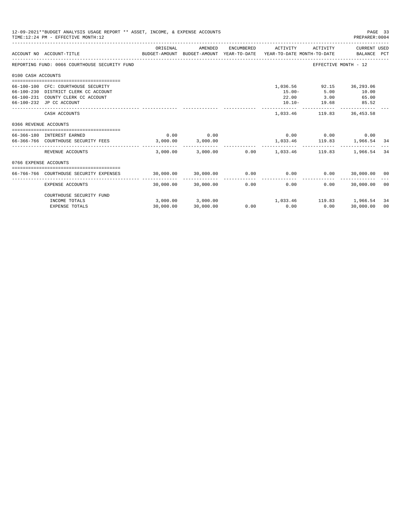|                       | 12-09-2021**BUDGET ANALYSIS USAGE REPORT ** ASSET, INCOME, & EXPENSE ACCOUNTS<br>TIME: 12:24 PM - EFFECTIVE MONTH: 12 |                        |                           |      |                                |                             | PAGE 33<br>PREPARER: 0004   |    |
|-----------------------|-----------------------------------------------------------------------------------------------------------------------|------------------------|---------------------------|------|--------------------------------|-----------------------------|-----------------------------|----|
|                       | BUDGET-AMOUNT BUDGET-AMOUNT YEAR-TO-DATE YEAR-TO-DATE MONTH-TO-DATE<br>ACCOUNT NO ACCOUNT-TITLE                       | ORIGINAL               | AMENDED                   |      | ENCUMBERED ACTIVITY            | ACTIVITY                    | CURRENT USED<br>BALANCE PCT |    |
|                       | REPORTING FUND: 0066 COURTHOUSE SECURITY FUND                                                                         |                        |                           |      |                                | EFFECTIVE MONTH - 12        |                             |    |
| 0100 CASH ACCOUNTS    |                                                                                                                       |                        |                           |      |                                |                             |                             |    |
|                       |                                                                                                                       |                        |                           |      |                                |                             |                             |    |
|                       | 66-100-100 CFC: COURTHOUSE SECURITY                                                                                   |                        |                           |      |                                | 1,036.56 92.15 36,293.06    |                             |    |
|                       | 66-100-230 DISTRICT CLERK CC ACCOUNT                                                                                  |                        |                           |      | $15.00 -$                      | 5.00                        | 10.00                       |    |
|                       | 66-100-231 COUNTY CLERK CC ACCOUNT                                                                                    |                        |                           |      | 22.00                          | 3.00                        | 65.00                       |    |
|                       | 66-100-232 JP CC ACCOUNT                                                                                              |                        |                           |      | $10.10 -$                      | 19.68                       | 85.52                       |    |
|                       | CASH ACCOUNTS                                                                                                         |                        |                           |      | 1,033.46                       | -------------<br>119.83     | .<br>36,453.58              |    |
| 0366 REVENUE ACCOUNTS |                                                                                                                       |                        |                           |      |                                |                             |                             |    |
|                       |                                                                                                                       |                        |                           |      |                                |                             |                             |    |
|                       | 66-366-180 INTEREST EARNED                                                                                            | 0.00                   | 0.00                      |      |                                | $0.00$ 0.00                 | 0.00                        |    |
|                       | 66-366-766 COURTHOUSE SECURITY FEES                                                                                   | 3.000.00               | 3,000.00                  |      |                                | 1,033.46 119.83 1,966.54 34 |                             |    |
|                       | REVENUE ACCOUNTS                                                                                                      | ----------<br>3,000.00 | -------------<br>3,000.00 | 0.00 |                                | 1,033.46 119.83             | 1,966.54                    | 34 |
| 0766 EXPENSE ACCOUNTS |                                                                                                                       |                        |                           |      |                                |                             |                             |    |
|                       |                                                                                                                       |                        |                           |      |                                |                             |                             |    |
|                       | 66-766-766 COURTHOUSE SECURITY EXPENSES                                                                               | 30,000.00              | 30,000.00                 | 0.00 | 0.00                           |                             | $0.00$ 30,000.00 00         |    |
|                       | <b>EXPENSE ACCOUNTS</b>                                                                                               |                        | 30,000.00 30,000.00       | 0.00 | 0.00                           | 0.00                        | 30,000.00 00                |    |
|                       | COURTHOUSE SECURITY FUND                                                                                              |                        |                           |      |                                |                             |                             |    |
|                       | INCOME TOTALS                                                                                                         |                        | 3,000.00 3,000.00         |      | $1,033.46$ $119.83$ $1,966.54$ |                             |                             | 34 |
|                       | <b>EXPENSE TOTALS</b>                                                                                                 | 30,000.00              | 30,000.00                 | 0.00 | 0.00                           | 0.00                        | 30,000.00                   | 00 |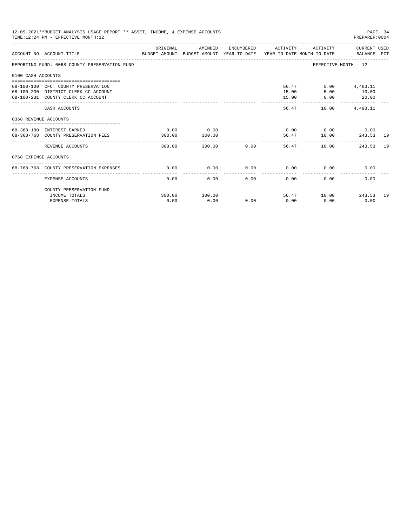|                       | 12-09-2021**BUDGET ANALYSIS USAGE REPORT ** ASSET, INCOME, & EXPENSE ACCOUNTS<br>TIME: 12:24 PM - EFFECTIVE MONTH: 12 |                |                |                           |                                                   |                                                      | PAGE 34<br>PREPARER: 0004       |               |
|-----------------------|-----------------------------------------------------------------------------------------------------------------------|----------------|----------------|---------------------------|---------------------------------------------------|------------------------------------------------------|---------------------------------|---------------|
|                       | ACCOUNT NO ACCOUNT-TITLE COMPUTER THE BUDGET-AMOUNT BUDGET-AMOUNT YEAR-TO-DATE YEAR-TO-DATE MONTH-TO-DATE BALANCE PCT | ORIGINAL       | AMENDED        |                           | ENCUMBERED ACTIVITY                               |                                                      | ACTIVITY CURRENT USED           |               |
|                       | REPORTING FUND: 0068 COUNTY PRESERVATION FUND                                                                         |                |                |                           |                                                   | EFFECTIVE MONTH - 12                                 |                                 |               |
| 0100 CASH ACCOUNTS    |                                                                                                                       |                |                |                           |                                                   |                                                      |                                 |               |
|                       | 68-100-100 CFC: COUNTY PRESERVATION<br>68-100-230 DISTRICT CLERK CC ACCOUNT<br>68-100-231 COUNTY CLERK CC ACCOUNT     |                |                |                           | 56.47<br>$15.00 -$<br>15.00<br>المستوات والمستحدث | 5.00<br>0.00                                         | 5.00 4,463.11<br>10.00<br>20.00 |               |
|                       | CASH ACCOUNTS                                                                                                         |                |                |                           | 56.47                                             |                                                      | 10.00 4.493.11                  |               |
| 0368 REVENUE ACCOUNTS |                                                                                                                       |                |                |                           |                                                   |                                                      |                                 |               |
|                       | 68-368-180 INTEREST EARNED<br>68-368-768 COUNTY PRESERVATION FEES                                                     | 0.00<br>300.00 | 0.00<br>300.00 |                           | --------------                                    | $0.00$ $0.00$ $0.00$ $0.00$<br>56.47 10.00 243.53 19 |                                 |               |
|                       | REVENUE ACCOUNTS                                                                                                      | 300.00         |                | 300.00 0.00               | 56.47                                             | 10.00                                                | 243.53                          | <sup>19</sup> |
| 0768 EXPENSE ACCOUNTS |                                                                                                                       |                |                |                           |                                                   |                                                      |                                 |               |
|                       | 68-768-768 COUNTY PRESERVATION EXPENSES                                                                               | 0.00           | 0.00           |                           | $0.00$ $0.00$ $0.00$ $0.00$                       |                                                      | 0.00                            |               |
|                       | <b>EXPENSE ACCOUNTS</b>                                                                                               | 0.00           |                | $0.00$ and $0.00$<br>0.00 | 0.00                                              | 0.00                                                 | 0.00                            |               |
|                       | COUNTY PRESERVATION FUND                                                                                              |                |                |                           |                                                   |                                                      |                                 |               |
|                       | INCOME TOTALS<br><b>EXPENSE TOTALS</b>                                                                                | 300.00<br>0.00 | 300.00<br>0.00 | 0.00                      | 0.00                                              | 56.47 10.00 243.53<br>0.00                           | 0.00                            | 19            |
|                       |                                                                                                                       |                |                |                           |                                                   |                                                      |                                 |               |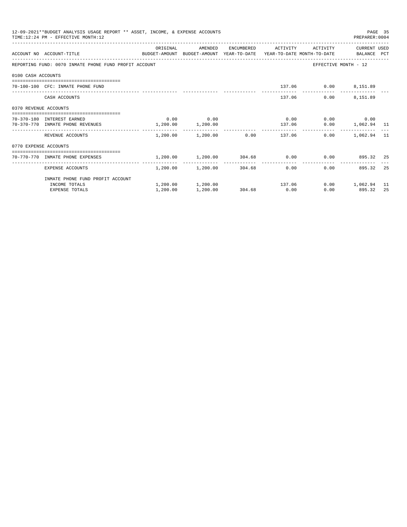|                       | 12-09-2021**BUDGET ANALYSIS USAGE REPORT ** ASSET, INCOME, & EXPENSE ACCOUNTS<br>TIME: 12:24 PM - EFFECTIVE MONTH: 12 |                                                            |                                     |             |        |                              | PREPARER: 0004              | PAGE 35 |
|-----------------------|-----------------------------------------------------------------------------------------------------------------------|------------------------------------------------------------|-------------------------------------|-------------|--------|------------------------------|-----------------------------|---------|
|                       | ACCOUNT NO ACCOUNT-TITLE CONTROL SUDGET-AMOUNT BUDGET-AMOUNT YEAR-TO-DATE YEAR-TO-DATE MONTH-TO-DATE BALANCE PCT      | ORIGINAL                                                   | AMENDED                             |             |        | ENCUMBERED ACTIVITY ACTIVITY | CURRENT USED                |         |
|                       | REPORTING FUND: 0070 INMATE PHONE FUND PROFIT ACCOUNT                                                                 |                                                            |                                     |             |        |                              | EFFECTIVE MONTH - 12        |         |
| 0100 CASH ACCOUNTS    |                                                                                                                       |                                                            |                                     |             |        |                              |                             |         |
|                       | 70-100-100 CFC: INMATE PHONE FUND                                                                                     |                                                            |                                     |             |        | 137.06 0.00 8,151.89         |                             |         |
|                       | CASH ACCOUNTS                                                                                                         |                                                            |                                     |             |        | 137.06                       | $0.00$ 8,151.89             |         |
| 0370 REVENUE ACCOUNTS |                                                                                                                       |                                                            |                                     |             |        |                              |                             |         |
|                       | 70-370-180 INTEREST EARNED                                                                                            |                                                            | $0.00$ 0.00                         |             |        |                              | $0.00$ $0.00$ $0.00$ $0.00$ |         |
|                       | 70-370-770 INMATE PHONE REVENUES 1,200.00 1,200.00                                                                    |                                                            |                                     |             | 137.06 |                              | $0.00$ 1,062.94 11          |         |
|                       | REVENUE ACCOUNTS                                                                                                      |                                                            | $1,200.00$ $1,200.00$ 0.00 $137.06$ |             |        |                              | $0.00$ 1,062.94 11          |         |
| 0770 EXPENSE ACCOUNTS |                                                                                                                       |                                                            |                                     |             |        |                              |                             |         |
|                       | ----------------------------------<br>70-770-770 INMATE PHONE EXPENSES                                                | $1,200.00$ $1,200.00$ $304.68$ $0.00$ $0.00$ $895.32$ $25$ |                                     |             |        |                              |                             |         |
|                       | EXPENSE ACCOUNTS                                                                                                      |                                                            | $1,200.00$ $1,200.00$ $304.68$ 0.00 |             |        |                              | 0.00<br>895.32              | 25      |
|                       | INMATE PHONE FUND PROFIT ACCOUNT                                                                                      |                                                            |                                     |             |        |                              |                             |         |
|                       | INCOME TOTALS                                                                                                         |                                                            | $1,200.00$ $1,200.00$ $137.06$      |             |        |                              | $0.00$ 1,062.94 11          |         |
|                       | <b>EXPENSE TOTALS</b>                                                                                                 | 1,200.00                                                   | 1,200.00                            | 304.68 0.00 |        |                              | $0.00$ 895.32               | 25      |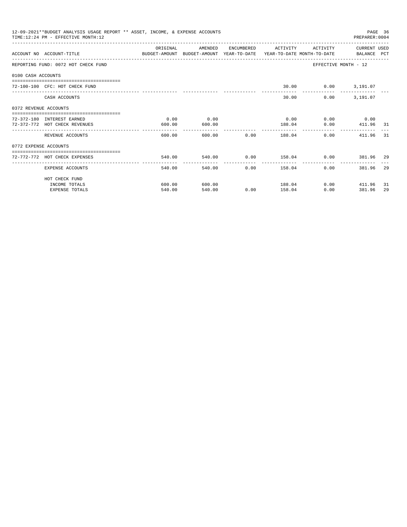|                       | 12-09-2021**BUDGET ANALYSIS USAGE REPORT ** ASSET, INCOME, & EXPENSE ACCOUNTS<br>PAGE 36<br>TIME: 12:24 PM - EFFECTIVE MONTH: 12<br>PREPARER: 0004<br>ORIGINAL<br>AMENDED<br>ENCUMBERED ACTIVITY<br>ACTIVITY CURRENT USED<br>ACCOUNT NO ACCOUNT-TITLE COMMONICATION BUDGET-AMOUNT BUDGET-AMOUNT YEAR-TO-DATE YEAR-TO-DATE MONTH-TO-DATE BALANCE PCT<br>EFFECTIVE MONTH - 12<br>REPORTING FUND: 0072 HOT CHECK FUND<br>0100 CASH ACCOUNTS<br>72-100-100 CFC: HOT CHECK FUND<br>30.00   0.00   3,191.07<br>30.00<br>$0.00$ $3,191.07$<br>CASH ACCOUNTS<br>0372 REVENUE ACCOUNTS<br>0.00<br>0.00<br>$0.00$ 0.00<br>0.00<br>72-372-180 INTEREST EARNED<br>$0.00$ 411.96 31<br>72-372-772 HOT CHECK REVENUES<br>600.00<br>188.04<br>600.00<br>600.00 0.00 188.04<br>600.00<br>0.00<br>411.96 31<br>REVENUE ACCOUNTS |        |              |                                   |                                |                         |               |    |
|-----------------------|----------------------------------------------------------------------------------------------------------------------------------------------------------------------------------------------------------------------------------------------------------------------------------------------------------------------------------------------------------------------------------------------------------------------------------------------------------------------------------------------------------------------------------------------------------------------------------------------------------------------------------------------------------------------------------------------------------------------------------------------------------------------------------------------------------------|--------|--------------|-----------------------------------|--------------------------------|-------------------------|---------------|----|
|                       |                                                                                                                                                                                                                                                                                                                                                                                                                                                                                                                                                                                                                                                                                                                                                                                                                |        |              |                                   |                                |                         |               |    |
|                       |                                                                                                                                                                                                                                                                                                                                                                                                                                                                                                                                                                                                                                                                                                                                                                                                                |        |              |                                   |                                |                         |               |    |
|                       |                                                                                                                                                                                                                                                                                                                                                                                                                                                                                                                                                                                                                                                                                                                                                                                                                |        |              |                                   |                                |                         |               |    |
|                       |                                                                                                                                                                                                                                                                                                                                                                                                                                                                                                                                                                                                                                                                                                                                                                                                                |        |              |                                   |                                |                         |               |    |
|                       |                                                                                                                                                                                                                                                                                                                                                                                                                                                                                                                                                                                                                                                                                                                                                                                                                |        |              |                                   |                                |                         |               |    |
|                       |                                                                                                                                                                                                                                                                                                                                                                                                                                                                                                                                                                                                                                                                                                                                                                                                                |        |              |                                   |                                |                         |               |    |
|                       |                                                                                                                                                                                                                                                                                                                                                                                                                                                                                                                                                                                                                                                                                                                                                                                                                |        |              |                                   |                                |                         |               |    |
|                       |                                                                                                                                                                                                                                                                                                                                                                                                                                                                                                                                                                                                                                                                                                                                                                                                                |        |              |                                   |                                |                         |               |    |
|                       |                                                                                                                                                                                                                                                                                                                                                                                                                                                                                                                                                                                                                                                                                                                                                                                                                |        |              |                                   |                                |                         |               |    |
|                       |                                                                                                                                                                                                                                                                                                                                                                                                                                                                                                                                                                                                                                                                                                                                                                                                                |        |              |                                   |                                |                         |               |    |
| 0772 EXPENSE ACCOUNTS |                                                                                                                                                                                                                                                                                                                                                                                                                                                                                                                                                                                                                                                                                                                                                                                                                |        |              |                                   |                                |                         |               |    |
|                       | :====================================<br>72-772-772 HOT CHECK EXPENSES                                                                                                                                                                                                                                                                                                                                                                                                                                                                                                                                                                                                                                                                                                                                         | 540.00 |              |                                   |                                |                         |               |    |
|                       | EXPENSE ACCOUNTS                                                                                                                                                                                                                                                                                                                                                                                                                                                                                                                                                                                                                                                                                                                                                                                               | 540.00 | ------------ | . _ _ _ _ _ _ _ _ _ _ _<br>540.00 | -------------<br>$0.00$ 158.04 | ---------------<br>0.00 | 381.96        | 29 |
|                       | HOT CHECK FUND                                                                                                                                                                                                                                                                                                                                                                                                                                                                                                                                                                                                                                                                                                                                                                                                 |        |              |                                   |                                |                         |               |    |
|                       | INCOME TOTALS                                                                                                                                                                                                                                                                                                                                                                                                                                                                                                                                                                                                                                                                                                                                                                                                  | 600.00 | 600.00       |                                   | 188.04                         |                         | $0.00$ 411.96 | 31 |
|                       | <b>EXPENSE TOTALS</b>                                                                                                                                                                                                                                                                                                                                                                                                                                                                                                                                                                                                                                                                                                                                                                                          | 540.00 | 540.00       |                                   | $0.00$ 158.04                  | 0.00                    | 381.96        | 29 |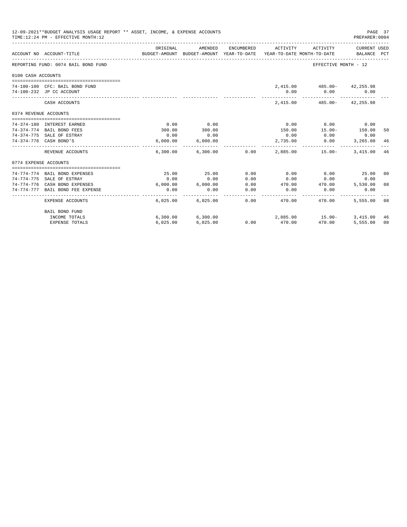|                       | 12-09-2021**BUDGET ANALYSIS USAGE REPORT ** ASSET, INCOME, & EXPENSE ACCOUNTS<br>TIME: 12:24 PM - EFFECTIVE MONTH: 12 |           |                                                     |                 |                  |                                                | PAGE 37<br>PREPARER:0004    |     |
|-----------------------|-----------------------------------------------------------------------------------------------------------------------|-----------|-----------------------------------------------------|-----------------|------------------|------------------------------------------------|-----------------------------|-----|
|                       | ACCOUNT NO ACCOUNT-TITLE                                                                                              | ORIGINAL  | AMENDED<br>BUDGET-AMOUNT BUDGET-AMOUNT YEAR-TO-DATE | ENCUMBERED      | ACTIVITY         | ACTIVITY<br>YEAR-TO-DATE MONTH-TO-DATE         | CURRENT USED<br>BALANCE PCT |     |
|                       | REPORTING FUND: 0074 BAIL BOND FUND                                                                                   |           |                                                     |                 |                  | EFFECTIVE MONTH - 12                           |                             |     |
| 0100 CASH ACCOUNTS    |                                                                                                                       |           |                                                     |                 |                  |                                                |                             |     |
|                       |                                                                                                                       |           |                                                     |                 |                  |                                                |                             |     |
|                       | 74-100-100 CFC: BAIL BOND FUND                                                                                        |           |                                                     |                 |                  | 2,415.00 485.00- 42,255.98                     |                             |     |
|                       | 74-100-232 JP CC ACCOUNT                                                                                              |           |                                                     |                 | 0.00             | 0.00                                           | 0.00                        |     |
|                       | CASH ACCOUNTS                                                                                                         |           |                                                     |                 |                  | 2,415.00 485.00 42,255.98                      |                             |     |
| 0374 REVENUE ACCOUNTS |                                                                                                                       |           |                                                     |                 |                  |                                                |                             |     |
|                       |                                                                                                                       |           |                                                     |                 |                  |                                                |                             |     |
|                       | 74-374-180 INTEREST EARNED                                                                                            | 0.00      | 0.00                                                |                 | 0.00             | $0.00$ 0.00                                    |                             |     |
|                       | 74-374-774 BAIL BOND FEES                                                                                             | 300.00    | 300.00                                              |                 | 150.00           | $15.00 -$                                      | 150.00                      | 50  |
|                       | 74-374-775 SALE OF ESTRAY                                                                                             | 0.00      | 0.00                                                |                 | 0.00             | 0.00                                           | 0.00                        |     |
|                       | 74-374-776 CASH BOND'S                                                                                                | 6.000.00  | 6.000.00                                            |                 | 2,735.00         | $0.00$ 3, 265.00                               |                             | -46 |
|                       | REVENUE ACCOUNTS                                                                                                      |           | $6.300.00$ $6.300.00$ $0.00$ $2.885.00$             |                 |                  | $15.00 -$                                      | 3.415.00                    | 46  |
| 0774 EXPENSE ACCOUNTS |                                                                                                                       |           |                                                     |                 |                  |                                                |                             |     |
|                       |                                                                                                                       |           |                                                     |                 |                  |                                                |                             |     |
|                       | 74-774-774 BAIL BOND EXPENSES                                                                                         | 25.00     | 25.00                                               | 0.00            | 0.00             | 0.00                                           | 25.00                       | 00  |
|                       | 74-774-775 SALE OF ESTRAY                                                                                             | 0.00      | 0.00                                                | 0.00            | 0.00             | $0.00$ 0.00                                    |                             |     |
|                       | 74-774-776 CASH BOND EXPENSES                                                                                         |           | $6.000.00$ $6.000.00$                               | 0.00            |                  | 470.00 470.00 5.530.00                         |                             | 08  |
|                       | 74-774-777 BAIL BOND FEE EXPENSE                                                                                      | 0.00<br>. | 0.00<br>----------                                  | 0.00<br>------- | 0.00<br>-------- | 0.00<br>-----------                            | 0.00<br>----------          |     |
|                       | EXPENSE ACCOUNTS                                                                                                      |           |                                                     |                 |                  | $6.025.00$ $6.025.00$ $0.00$ $470.00$ $470.00$ | 5.555.00                    | 08  |
|                       | BAIL BOND FUND                                                                                                        |           |                                                     |                 |                  |                                                |                             |     |
|                       | INCOME TOTALS                                                                                                         |           | 6,300.00 6,300.00                                   |                 |                  | 2,885.00   15.00   3,415.00                    |                             | 46  |
|                       | <b>EXPENSE TOTALS</b>                                                                                                 | 6,025.00  | 6,025,00                                            | 0.00            | 470.00           | 470.00                                         | 5.555.00                    | 08  |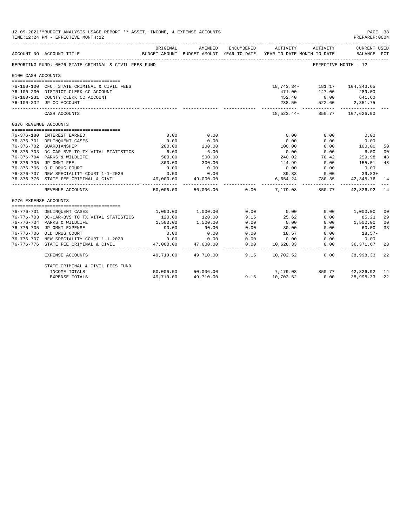|                       | 12-09-2021**BUDGET ANALYSIS USAGE REPORT ** ASSET, INCOME, & EXPENSE ACCOUNTS<br>TIME:12:24 PM - EFFECTIVE MONTH:12 |                  |                                                     |                |                                        |                              | PAGE 38<br>PREPARER: 0004                 |                |
|-----------------------|---------------------------------------------------------------------------------------------------------------------|------------------|-----------------------------------------------------|----------------|----------------------------------------|------------------------------|-------------------------------------------|----------------|
|                       | ACCOUNT NO ACCOUNT-TITLE                                                                                            | ORIGINAL         | AMENDED<br>BUDGET-AMOUNT BUDGET-AMOUNT YEAR-TO-DATE | ENCUMBERED     | ACTIVITY<br>YEAR-TO-DATE MONTH-TO-DATE | ACTIVITY                     | <b>CURRENT USED</b><br>BALANCE PCT        |                |
|                       | REPORTING FUND: 0076 STATE CRIMINAL & CIVIL FEES FUND                                                               |                  |                                                     |                |                                        | EFFECTIVE MONTH - 12         |                                           |                |
| 0100 CASH ACCOUNTS    |                                                                                                                     |                  |                                                     |                |                                        |                              |                                           |                |
|                       | 76-100-100 CFC: STATE CRIMINAL & CIVIL FEES                                                                         |                  |                                                     |                |                                        | 18,743.34- 181.17 104,343.65 |                                           |                |
|                       | 76-100-230 DISTRICT CLERK CC ACCOUNT                                                                                |                  |                                                     |                |                                        | 471.00- 147.00 289.00        |                                           |                |
|                       | 76-100-231 COUNTY CLERK CC ACCOUNT                                                                                  |                  |                                                     |                | 452.40                                 |                              |                                           |                |
|                       | 76-100-232 JP CC ACCOUNT                                                                                            |                  |                                                     |                | 238.50                                 |                              | $0.00$ $641.60$<br>522.60 $2,351.75$      |                |
|                       | CASH ACCOUNTS                                                                                                       |                  |                                                     |                |                                        | 18,523.44- 850.77 107,626.00 | <u>____________</u>                       |                |
| 0376 REVENUE ACCOUNTS |                                                                                                                     |                  |                                                     |                |                                        |                              |                                           |                |
|                       | 76-376-180 INTEREST EARNED                                                                                          | 0.00             | 0.00                                                |                | 0.00                                   | 0.00                         | 0.00                                      |                |
|                       | 76-376-701 DELINQUENT CASES                                                                                         | 0.00             | 0.00                                                |                | 0.00                                   | 0.00                         | 0.00                                      |                |
|                       | 76-376-702 GUARDIANSHIP                                                                                             | 200.00           | 200.00                                              |                | 100.00                                 | 0.00                         | 100.00                                    | 50             |
|                       | 76-376-703 DC-CAR-BVS TO TX VITAL STATISTICS                                                                        |                  | 6.00                                                |                | 0.00                                   | 0.00                         | 6.00                                      | 0 <sup>0</sup> |
|                       | 76-376-704 PARKS & WILDLIFE                                                                                         | $6.00$<br>500.00 | 500.00                                              |                | 240.02                                 | 70.42                        | 259.98                                    | 48             |
|                       | 76-376-705 JP OMNI FEE                                                                                              | 300.00           | 300.00                                              |                | 144.99                                 | 0.00                         | 155.01                                    | 48             |
|                       | 76-376-706 OLD DRUG COURT                                                                                           | 0.00             | 0.00                                                |                | 0.00                                   | 0.00                         | 0.00                                      |                |
|                       | 76-376-707 NEW SPECIALITY COURT 1-1-2020                                                                            | 0.00             | 0.00                                                |                | 39.83                                  | 0.00                         | $39.83+$                                  |                |
| 76-376-776            | STATE FEE CRIMINAL & CIVIL                                                                                          | 49,000.00        | 49,000.00                                           |                | 6.654.24                               | 780.35                       | 42, 345, 76                               | 14             |
|                       | REVENUE ACCOUNTS                                                                                                    | .<br>50,006.00   |                                                     | 50,006.00 0.00 |                                        | . <u>.</u> .                 | ------------<br>7,179.08 850.77 42,826.92 | 14             |
| 0776 EXPENSE ACCOUNTS |                                                                                                                     |                  |                                                     |                |                                        |                              |                                           |                |
|                       |                                                                                                                     |                  |                                                     |                |                                        |                              |                                           |                |
|                       | 76-776-701 DELINQUENT CASES                                                                                         | 1,000.00         | 1,000.00                                            | 0.00           | 0.00                                   | 0.00                         | 1,000.00                                  | 00             |
|                       | 76-776-703 DC-CAR-BVS TO TX VITAL STATISTICS                                                                        | 120.00           | 120.00                                              | 9.15           | 25.62                                  | 0.00                         | 85.23                                     | 29             |
|                       | 76-776-704 PARKS & WILDLIFE                                                                                         | 1,500.00         | 1,500.00                                            | 0.00           | 0.00                                   | 0.00                         | 1,500.00                                  | 00             |
|                       | 76-776-705 JP OMNI EXPENSE                                                                                          | 90.00            | 90.00                                               | 0.00           | 30.00                                  | 0.00                         | 60.00                                     | 33             |
|                       | 76-776-706 OLD DRUG COURT                                                                                           | 0.00             | 0.00                                                | 0.00           | 18.57                                  | 0.00                         | $18.57-$                                  |                |
|                       | 76-776-707 NEW SPECIALITY COURT 1-1-2020                                                                            | 0.00             | 0.00                                                | 0.00           | 0.00                                   | 0.00                         | 0.00                                      |                |
| 76-776-776            | STATE FEE CRIMINAL & CIVIL                                                                                          | 47,000.00        | 47,000.00<br>-----------                            | 0.00           | 10,628.33<br>.                         | 0.00<br>-------              | 36,371.67<br>___________                  | 23             |
|                       | EXPENSE ACCOUNTS                                                                                                    | 49,710.00        | 49,710.00                                           | 9.15           | 10,702.52                              | 0.00                         | 38,998.33                                 | 22             |
|                       | STATE CRIMINAL & CIVIL FEES FUND                                                                                    |                  |                                                     |                |                                        |                              |                                           |                |
|                       | INCOME TOTALS                                                                                                       | 50,006.00        | 50,006.00                                           |                | 7,179.08                               | 850.77                       | 42,826.92                                 | 14             |
|                       | <b>EXPENSE TOTALS</b>                                                                                               | 49,710.00        | 49,710.00                                           | 9.15           | 10,702.52                              | 0.00                         | 38,998.33                                 | 2.2            |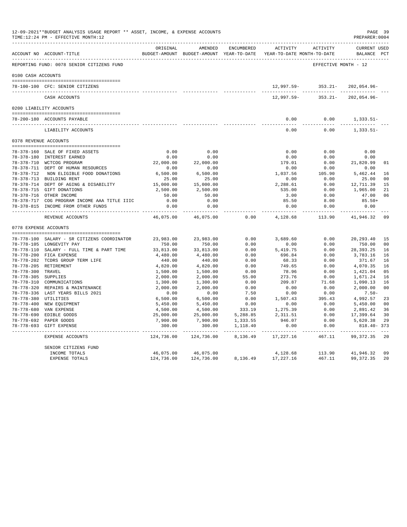|                     | TIME:12:24 PM - EFFECTIVE MONTH:12                                   |                       |                                                     |              |                                        |                      | PREPARER: 0004                     |                |
|---------------------|----------------------------------------------------------------------|-----------------------|-----------------------------------------------------|--------------|----------------------------------------|----------------------|------------------------------------|----------------|
|                     | ACCOUNT NO ACCOUNT-TITLE                                             | ORIGINAL              | AMENDED<br>BUDGET-AMOUNT BUDGET-AMOUNT YEAR-TO-DATE | ENCUMBERED   | ACTIVITY<br>YEAR-TO-DATE MONTH-TO-DATE | ACTIVITY             | <b>CURRENT USED</b><br>BALANCE PCT |                |
|                     | REPORTING FUND: 0078 SENIOR CITIZENS FUND                            |                       |                                                     |              |                                        | EFFECTIVE MONTH - 12 |                                    |                |
| 0100 CASH ACCOUNTS  |                                                                      |                       |                                                     |              |                                        |                      |                                    |                |
|                     |                                                                      |                       |                                                     |              |                                        |                      |                                    |                |
|                     | 78-100-100 CFC: SENIOR CITIZENS<br>-------------------------------   |                       |                                                     |              | 12,997.59-                             | $353.21 -$           | 202,054.96-                        |                |
|                     | CASH ACCOUNTS                                                        |                       |                                                     |              | 12,997.59-                             | $353.21 -$           | $202,054.96-$                      |                |
|                     | 0200 LIABILITY ACCOUNTS                                              |                       |                                                     |              |                                        |                      |                                    |                |
|                     |                                                                      |                       |                                                     |              |                                        |                      |                                    |                |
|                     | 78-200-180 ACCOUNTS PAYABLE<br>____________________________________  |                       |                                                     |              | 0.00                                   | 0.00                 | $1,333.51-$                        |                |
|                     | LIABILITY ACCOUNTS                                                   |                       |                                                     |              | 0.00                                   | 0.00                 | $1,333.51-$                        |                |
|                     | 0378 REVENUE ACCOUNTS                                                |                       |                                                     |              |                                        |                      |                                    |                |
|                     |                                                                      |                       |                                                     |              |                                        |                      |                                    |                |
|                     | 78-378-160 SALE OF FIXED ASSETS<br>78-378-180 INTEREST EARNED        | 0.00<br>0.00          | 0.00                                                |              | 0.00<br>0.00                           | 0.00                 | 0.00                               |                |
|                     | 78-378-710 WCTCOG PROGRAM                                            | 22,000.00             | 0.00<br>22,000.00                                   |              | 179.01                                 | 0.00<br>0.00         | 0.00<br>21,820.99                  | 01             |
|                     | 78-378-711 DEPT OF HUMAN RESOURCES                                   | 0.00                  | 0.00                                                |              | 0.00                                   | 0.00                 | 0.00                               |                |
|                     | 78-378-712 NON ELIGIBLE FOOD DONATIONS                               | 6,500.00              | 6,500.00                                            |              | 1,037.56                               | 105.90               | 5,462.44                           | 16             |
|                     | 78-378-713 BUILDING RENT                                             | 25.00                 | 25.00                                               |              | 0.00                                   | 0.00                 | 25.00                              | 0 <sup>0</sup> |
|                     | 78-378-714 DEPT OF AGING & DISABILITY                                | 15,000.00             | 15,000.00                                           |              | 2,288.61                               | 0.00                 | 12,711.39                          | 15             |
|                     | 78-378-715 GIFT DONATIONS                                            | 2,500.00              | 2,500.00                                            |              | 535.00                                 | 0.00                 | 1,965.00                           | 21             |
|                     | 78-378-716 OTHER INCOME                                              | 50.00                 | 50.00                                               |              | 3.00                                   | 0.00                 | 47.00                              | 06             |
|                     | 78-378-717 COG PROGRAM INCOME AAA TITLE IIIC                         | 0.00                  | 0.00                                                |              | 85.50                                  | 8.00                 | $85.50+$                           |                |
|                     | 78-378-815 INCOME FROM OTHER FUNDS                                   | 0.00<br>-----------   | 0.00<br>----------                                  |              | 0.00<br>----------                     | 0.00<br>---------    | 0.00<br>-----------                |                |
|                     | REVENUE ACCOUNTS                                                     | 46,075.00             | 46,075.00                                           | 0.00         | 4,128.68                               | 113.90               | 41,946.32                          | 09             |
|                     | 0778 EXPENSE ACCOUNTS                                                |                       |                                                     |              |                                        |                      |                                    |                |
|                     |                                                                      |                       |                                                     |              |                                        |                      |                                    |                |
|                     | 78-778-100 SALARY - SR CITIZENS COORDINATOR                          | 23,983.00             | 23,983.00                                           | 0.00         | 3,689.60                               | 0.00                 | 20, 293.40                         | 15             |
|                     | 78-778-105 LONGEVITY PAY                                             | 750.00                | 750.00                                              | 0.00         | 0.00                                   | 0.00                 | 750.00                             | 0 <sub>0</sub> |
|                     | 78-778-110 SALARY - FULL TIME & PART TIME<br>78-778-200 FICA EXPENSE | 33,813.00<br>4,480.00 | 33,813.00<br>4,480.00                               | 0.00<br>0.00 | 5,419.75<br>696.84                     | 0.00<br>0.00         | 28, 393. 25<br>3,783.16            | 16<br>16       |
|                     | 78-778-202 TCDRS GROUP TERM LIFE                                     | 440.00                | 440.00                                              | 0.00         | 68.33                                  | 0.00                 | 371.67                             | 16             |
|                     | 78-778-205 RETIREMENT                                                | 4,820.00              | 4,820.00                                            | 0.00         | 749.65                                 | 0.00                 | 4,070.35                           | 16             |
| 78-778-300 TRAVEL   |                                                                      | 1,500.00              | 1,500.00                                            | 0.00         | 78.96                                  | 0.00                 | 1,421.04                           | 05             |
| 78-778-305 SUPPLIES |                                                                      | 2,000.00              | 2,000.00                                            | 55.00        | 273.76                                 | 0.00                 | 1,671.24                           | 16             |
|                     | 78-778-310 COMMUNICATIONS                                            | 1,300.00              | 1,300.00                                            | 0.00         | 209.87                                 | 71.68                | 1,090.13                           | 16             |
|                     | 78-778-320 REPAIRS & MAINTENANCE                                     | 2,000.00              | 2,000.00                                            | 0.00         | 0.00                                   | 0.00                 | 2,000.00                           | 0 <sup>0</sup> |
|                     | 78-778-336 LAST YEARS BILLS 2021                                     | 0.00                  | 0.00                                                | 7.50         | 0.00                                   | 0.00                 | $7.50 -$                           |                |
|                     | 78-778-380 UTILITIES                                                 | 6,500.00              | 6,500.00                                            | 0.00         | 1,507.43                               | 395.43               | 4,992.57                           | 23             |
|                     | 78-778-400 NEW EQUIPMENT                                             | 5,450.00              | 5,450.00                                            | 0.00         | 0.00                                   | 0.00                 | 5,450.00                           | 0 <sub>0</sub> |
|                     | 78-778-680 VAN EXPENSE                                               | 4,500.00              | 4,500.00                                            | 333.19       | 1,275.39                               | 0.00                 | 2,891.42                           | 36             |
|                     | 78-778-690 EDIBLE GOODS                                              | 25,000.00             | 25,000.00                                           | 5,288.85     | 2,311.51                               | 0.00                 | 17,399.64                          | 30             |
|                     | 78-778-692 PAPER GOODS                                               | 7,900.00              | 7,900.00                                            | 1,333.55     | 946.07                                 | 0.00                 | 5,620.38                           | 29             |
|                     | 78-778-693 GIFT EXPENSE                                              | 300.00                | 300.00                                              | 1,118.40     | 0.00                                   | 0.00                 | $818.40 - 373$                     |                |
|                     | EXPENSE ACCOUNTS                                                     | 124,736.00            | 124,736.00                                          | 8,136.49     | 17,227.16                              | 467.11               | 99, 372.35                         | 20             |
|                     | SENIOR CITIZENS FUND                                                 |                       |                                                     |              |                                        |                      |                                    |                |
|                     | INCOME TOTALS                                                        | 46,075.00             | 46,075.00                                           |              | 4,128.68                               | 113.90               | 41,946.32                          | 09             |
|                     | <b>EXPENSE TOTALS</b>                                                | 124,736.00            | 124,736.00                                          | 8,136.49     | 17,227.16                              | 467.11               | 99, 372.35                         | 20             |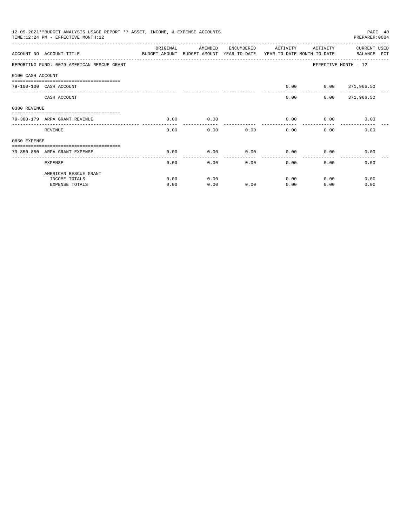|              | 12-09-2021**BUDGET ANALYSIS USAGE REPORT ** ASSET, INCOME, & EXPENSE ACCOUNTS<br>PAGE 40<br>TIME: 12:24 PM - EFFECTIVE MONTH: 12<br>PREPARER: 0004<br>ORIGINAL<br>AMENDED<br>ENCUMBERED<br>ACTIVITY<br>ACTIVITY<br><b>CURRENT USED</b><br>BUDGET-AMOUNT BUDGET-AMOUNT YEAR-TO-DATE<br>YEAR-TO-DATE MONTH-TO-DATE<br>ACCOUNT NO ACCOUNT-TITLE<br>BALANCE<br>PCT<br>REPORTING FUND: 0079 AMERICAN RESCUE GRANT<br>EFFECTIVE MONTH - 12<br>0100 CASH ACCOUNT<br>0.00<br>79-100-100 CASH ACCOUNT<br>$0.00$ 371,966.50<br>-------------<br>371,966.50<br>CASH ACCOUNT<br>0.00<br>0.00<br>0.00<br>0.00<br>0.00<br>0.00<br>0.00<br>79-380-179 ARPA GRANT REVENUE<br>0.00<br>0.00<br>0.00<br>0.00<br>0.00<br>REVENUE<br>0.00<br>0.00<br>0.00<br>0.00<br>0.00<br>0.00<br>0.00<br>79-850-850 ARPA GRANT EXPENSE<br><b>EXPENSE</b><br>0.00<br>0.00<br>0.00<br>0.00<br>0.00<br>0.00 |      |      |      |      |      |      |
|--------------|-------------------------------------------------------------------------------------------------------------------------------------------------------------------------------------------------------------------------------------------------------------------------------------------------------------------------------------------------------------------------------------------------------------------------------------------------------------------------------------------------------------------------------------------------------------------------------------------------------------------------------------------------------------------------------------------------------------------------------------------------------------------------------------------------------------------------------------------------------------------------|------|------|------|------|------|------|
|              |                                                                                                                                                                                                                                                                                                                                                                                                                                                                                                                                                                                                                                                                                                                                                                                                                                                                         |      |      |      |      |      |      |
|              |                                                                                                                                                                                                                                                                                                                                                                                                                                                                                                                                                                                                                                                                                                                                                                                                                                                                         |      |      |      |      |      |      |
|              |                                                                                                                                                                                                                                                                                                                                                                                                                                                                                                                                                                                                                                                                                                                                                                                                                                                                         |      |      |      |      |      |      |
|              |                                                                                                                                                                                                                                                                                                                                                                                                                                                                                                                                                                                                                                                                                                                                                                                                                                                                         |      |      |      |      |      |      |
|              |                                                                                                                                                                                                                                                                                                                                                                                                                                                                                                                                                                                                                                                                                                                                                                                                                                                                         |      |      |      |      |      |      |
| 0380 REVENUE |                                                                                                                                                                                                                                                                                                                                                                                                                                                                                                                                                                                                                                                                                                                                                                                                                                                                         |      |      |      |      |      |      |
|              |                                                                                                                                                                                                                                                                                                                                                                                                                                                                                                                                                                                                                                                                                                                                                                                                                                                                         |      |      |      |      |      |      |
|              |                                                                                                                                                                                                                                                                                                                                                                                                                                                                                                                                                                                                                                                                                                                                                                                                                                                                         |      |      |      |      |      |      |
| 0850 EXPENSE |                                                                                                                                                                                                                                                                                                                                                                                                                                                                                                                                                                                                                                                                                                                                                                                                                                                                         |      |      |      |      |      |      |
|              |                                                                                                                                                                                                                                                                                                                                                                                                                                                                                                                                                                                                                                                                                                                                                                                                                                                                         |      |      |      |      |      |      |
|              |                                                                                                                                                                                                                                                                                                                                                                                                                                                                                                                                                                                                                                                                                                                                                                                                                                                                         |      |      |      |      |      |      |
|              | AMERICAN RESCUE GRANT                                                                                                                                                                                                                                                                                                                                                                                                                                                                                                                                                                                                                                                                                                                                                                                                                                                   |      |      |      |      |      |      |
|              | INCOME TOTALS                                                                                                                                                                                                                                                                                                                                                                                                                                                                                                                                                                                                                                                                                                                                                                                                                                                           | 0.00 | 0.00 |      | 0.00 | 0.00 | 0.00 |
|              | <b>EXPENSE TOTALS</b>                                                                                                                                                                                                                                                                                                                                                                                                                                                                                                                                                                                                                                                                                                                                                                                                                                                   | 0.00 | 0.00 | 0.00 | 0.00 | 0.00 | 0.00 |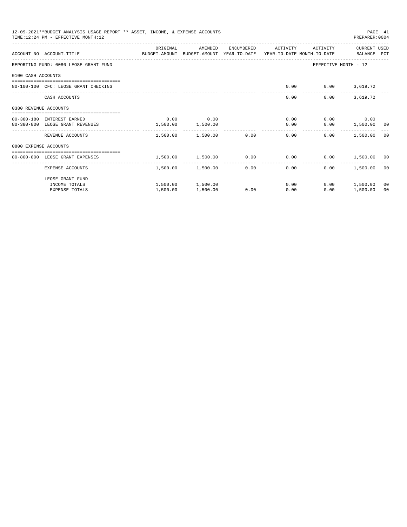|                       | 12-09-2021**BUDGET ANALYSIS USAGE REPORT ** ASSET, INCOME, & EXPENSE ACCOUNTS<br>TIME: 12:24 PM - EFFECTIVE MONTH: 12 |          |                        |              |                                                             |                      | PREPARER: 0004     | PAGE 41 |
|-----------------------|-----------------------------------------------------------------------------------------------------------------------|----------|------------------------|--------------|-------------------------------------------------------------|----------------------|--------------------|---------|
|                       |                                                                                                                       | ORIGINAL | AMENDED                | ENCUMBERED   | ACTIVITY                                                    | ACTIVITY             | CURRENT USED       |         |
|                       | ACCOUNT NO ACCOUNT-TITLE COMPUTE BUDGET-AMOUNT BUDGET-AMOUNT YEAR-TO-DATE YEAR-TO-DATE MONTH-TO-DATE BALANCE PCT      |          |                        |              |                                                             |                      |                    |         |
|                       | REPORTING FUND: 0080 LEOSE GRANT FUND                                                                                 |          |                        |              |                                                             | EFFECTIVE MONTH - 12 |                    |         |
| 0100 CASH ACCOUNTS    |                                                                                                                       |          |                        |              |                                                             |                      |                    |         |
|                       | 80-100-100 CFC: LEOSE GRANT CHECKING                                                                                  |          |                        |              | 0.00                                                        | $0.00$ 3,619.72      |                    |         |
|                       | CASH ACCOUNTS                                                                                                         |          |                        |              | 0.00                                                        | 0.00                 | 3,619.72           |         |
| 0380 REVENUE ACCOUNTS |                                                                                                                       |          |                        |              |                                                             |                      |                    |         |
|                       | 80-380-180 INTEREST EARNED                                                                                            | 0.00     | 0.00                   |              | 0.00                                                        |                      | $0.00$ 0.00        |         |
|                       | 80-380-800 LEOSE GRANT REVENUES                                                                                       | 1,500.00 | 1,500.00               |              | 0.00                                                        |                      | $0.00$ 1,500.00 00 |         |
|                       | REVENUE ACCOUNTS                                                                                                      |          | 1,500.00 1,500.00 0.00 |              | 0.00                                                        | 0.00                 | 1,500.00 00        |         |
| 0800 EXPENSE ACCOUNTS |                                                                                                                       |          |                        |              |                                                             |                      |                    |         |
|                       | ----------------------------------<br>80-800-800 LEOSE GRANT EXPENSES                                                 |          |                        |              | $1,500.00$ $1,500.00$ $0.00$ $0.00$ $0.00$ $1,500.00$ $0.0$ |                      |                    |         |
|                       |                                                                                                                       | -------- | ------------           | ------------ | -------------                                               |                      |                    |         |
|                       | EXPENSE ACCOUNTS                                                                                                      |          | 1,500.00 1,500.00      |              | 0.00<br>0.00                                                | 0.00                 | 1,500.00 00        |         |
|                       | LEOSE GRANT FUND                                                                                                      |          |                        |              |                                                             |                      |                    |         |
|                       | INCOME TOTALS                                                                                                         |          | 1,500.00 1,500.00      |              | 0.00                                                        |                      | $0.00$ 1,500.00    | 00      |
|                       | <b>EXPENSE TOTALS</b>                                                                                                 | 1,500.00 | 1,500.00               | 0.00         | 0.00                                                        | 0.00                 | 1,500.00           | 00      |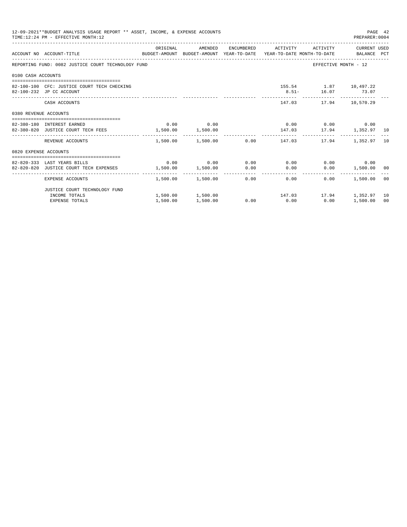|                       | 12-09-2021**BUDGET ANALYSIS USAGE REPORT ** ASSET, INCOME, & EXPENSE ACCOUNTS<br>TIME: 12:24 PM - EFFECTIVE MONTH: 12 |                   |             |                                                          |                                            | PAGE 42<br>PREPARER: 0004 |    |
|-----------------------|-----------------------------------------------------------------------------------------------------------------------|-------------------|-------------|----------------------------------------------------------|--------------------------------------------|---------------------------|----|
|                       | ACCOUNT NO ACCOUNT-TITLE CONTROL SUDGET-AMOUNT BUDGET-AMOUNT YEAR-TO-DATE YEAR-TO-DATE MONTH-TO-DATE BALANCE PCT      | ORIGINAL          |             | AMENDED ENCUMBERED ACTIVITY ACTIVITY CURRENTUSED         |                                            |                           |    |
|                       | REPORTING FUND: 0082 JUSTICE COURT TECHNOLOGY FUND                                                                    |                   |             |                                                          | EFFECTIVE MONTH - 12                       |                           |    |
| 0100 CASH ACCOUNTS    |                                                                                                                       |                   |             |                                                          |                                            |                           |    |
|                       | 82-100-100 CFC: JUSTICE COURT TECH CHECKING<br>82-100-232 JP CC ACCOUNT                                               |                   |             |                                                          | 155.54 1.87 10,497.22<br>8.51- 16.07 73.07 |                           |    |
|                       | CASH ACCOUNTS                                                                                                         |                   |             |                                                          | 147.03 17.94 10,570.29                     |                           |    |
| 0380 REVENUE ACCOUNTS |                                                                                                                       |                   |             |                                                          |                                            |                           |    |
|                       | 82-380-180 INTEREST EARNED                                                                                            |                   | $0.00$ 0.00 | $0.00$ $0.00$ $0.00$ $0.00$                              |                                            |                           |    |
|                       | 82-380-820 JUSTICE COURT TECH FEES 1,500.00 1,500.00                                                                  |                   |             | $147.03$ $17.94$ $1,352.97$ 10                           |                                            |                           |    |
|                       | REVENUE ACCOUNTS                                                                                                      |                   |             | $1.500.00$ $1.500.00$ $0.00$ $147.03$ $17.94$ $1.352.97$ |                                            |                           | 10 |
| 0820 EXPENSE ACCOUNTS |                                                                                                                       |                   |             |                                                          |                                            |                           |    |
|                       |                                                                                                                       |                   |             |                                                          |                                            |                           |    |
|                       | 82-820-333 LAST YEARS BILLS                                                                                           |                   |             | $0.00$ $0.00$ $0.00$ $0.00$ $0.00$                       |                                            | $0.00$ 0.00               |    |
|                       | 82-820-820 JUSTICE COURT TECH EXPENSES                                                                                | 1,500.00 1,500.00 |             | $0.00$ 0.00                                              |                                            | $0.00$ 1,500.00 00        |    |
|                       | EXPENSE ACCOUNTS                                                                                                      |                   |             | $1.500.00$ $1.500.00$ $0.00$ $0.00$                      | 0.00                                       | 1,500.00 00               |    |
|                       | JUSTICE COURT TECHNOLOGY FUND                                                                                         |                   |             |                                                          |                                            |                           |    |
|                       | INCOME TOTALS                                                                                                         |                   |             | $1,500.00$ $1,500.00$ $147.03$ $17.94$ $1,352.97$        |                                            |                           | 10 |
|                       | <b>EXPENSE TOTALS</b>                                                                                                 | 1,500.00          | 1,500.00    | $0.00$ $0.00$                                            |                                            | 0.00 1,500.00             | 00 |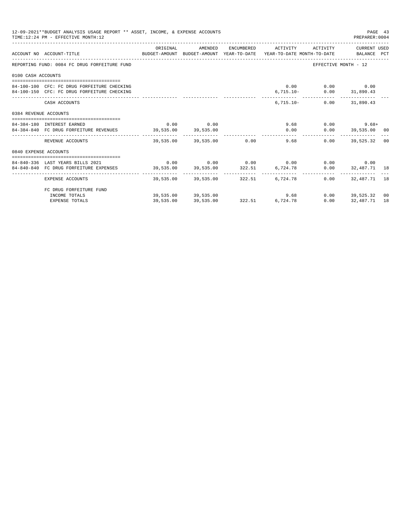|                    | 12-09-2021**BUDGET ANALYSIS USAGE REPORT ** ASSET, INCOME, & EXPENSE ACCOUNTS<br>PAGE 43<br>TIME: 12:24 PM - EFFECTIVE MONTH: 12<br>PREPARER: 0004<br>ACCOUNT NO ACCOUNT-TITLE CONTROL SUDGET-AMOUNT BUDGET-AMOUNT YEAR-TO-DATE YEAR-TO-DATE MONTH-TO-DATE BALANCE PCT<br>REPORTING FUND: 0084 FC DRUG FORFEITURE FUND<br>EFFECTIVE MONTH - 12<br>$0.00$ $0.00$ $0.00$ $0.00$<br>84-100-100 CFC: FC DRUG FORFEITURE CHECKING<br>6,715.10- 0.00 31,890.43<br>84-100-150 CFC: FC DRUG FORFEITURE CHECKING<br>6,715.10- 0.00 31,890.43<br>CASH ACCOUNTS<br>0384 REVENUE ACCOUNTS<br>$0.00$ 0.00<br>$9.68$ 0.00 9.68+<br>84-384-180 INTEREST EARNED<br>84-384-840 FC DRUG FORFEITURE REVENUES 39,535.00 39,535.00<br>$0.00$ $0.00$ $39,535.00$ 00<br>------------<br>$39.535.00$ $39.535.00$ 0.00 9.68<br>$0.00 -$<br>39,525,32 00<br>REVENUE ACCOUNTS<br>0840 EXPENSE ACCOUNTS<br>$0.00$ $0.00$ $0.00$ $0.00$ $0.00$<br>$0.00$ 0.00<br>84-840-336 LAST YEARS BILLS 2021<br>$0.00$ $32,487.71$ 18<br>84-840-840 FC DRUG FORFEITURE EXPENSES 39,535.00 39,535.00 322.51 6,724.78<br>39,535.00 39,535.00 322.51 6,724.78<br>0.00<br>32,487.71 18<br>EXPENSE ACCOUNTS |           |           |  |                                |                     |    |
|--------------------|----------------------------------------------------------------------------------------------------------------------------------------------------------------------------------------------------------------------------------------------------------------------------------------------------------------------------------------------------------------------------------------------------------------------------------------------------------------------------------------------------------------------------------------------------------------------------------------------------------------------------------------------------------------------------------------------------------------------------------------------------------------------------------------------------------------------------------------------------------------------------------------------------------------------------------------------------------------------------------------------------------------------------------------------------------------------------------------------------------------------------------------------------------------|-----------|-----------|--|--------------------------------|---------------------|----|
|                    |                                                                                                                                                                                                                                                                                                                                                                                                                                                                                                                                                                                                                                                                                                                                                                                                                                                                                                                                                                                                                                                                                                                                                                |           |           |  |                                |                     |    |
|                    |                                                                                                                                                                                                                                                                                                                                                                                                                                                                                                                                                                                                                                                                                                                                                                                                                                                                                                                                                                                                                                                                                                                                                                |           |           |  |                                |                     |    |
| 0100 CASH ACCOUNTS |                                                                                                                                                                                                                                                                                                                                                                                                                                                                                                                                                                                                                                                                                                                                                                                                                                                                                                                                                                                                                                                                                                                                                                |           |           |  |                                |                     |    |
|                    |                                                                                                                                                                                                                                                                                                                                                                                                                                                                                                                                                                                                                                                                                                                                                                                                                                                                                                                                                                                                                                                                                                                                                                |           |           |  |                                |                     |    |
|                    |                                                                                                                                                                                                                                                                                                                                                                                                                                                                                                                                                                                                                                                                                                                                                                                                                                                                                                                                                                                                                                                                                                                                                                |           |           |  |                                |                     |    |
|                    |                                                                                                                                                                                                                                                                                                                                                                                                                                                                                                                                                                                                                                                                                                                                                                                                                                                                                                                                                                                                                                                                                                                                                                |           |           |  |                                |                     |    |
|                    |                                                                                                                                                                                                                                                                                                                                                                                                                                                                                                                                                                                                                                                                                                                                                                                                                                                                                                                                                                                                                                                                                                                                                                |           |           |  |                                |                     |    |
|                    |                                                                                                                                                                                                                                                                                                                                                                                                                                                                                                                                                                                                                                                                                                                                                                                                                                                                                                                                                                                                                                                                                                                                                                |           |           |  |                                |                     |    |
|                    |                                                                                                                                                                                                                                                                                                                                                                                                                                                                                                                                                                                                                                                                                                                                                                                                                                                                                                                                                                                                                                                                                                                                                                |           |           |  |                                |                     |    |
|                    |                                                                                                                                                                                                                                                                                                                                                                                                                                                                                                                                                                                                                                                                                                                                                                                                                                                                                                                                                                                                                                                                                                                                                                |           |           |  |                                |                     |    |
|                    |                                                                                                                                                                                                                                                                                                                                                                                                                                                                                                                                                                                                                                                                                                                                                                                                                                                                                                                                                                                                                                                                                                                                                                |           |           |  |                                |                     |    |
|                    |                                                                                                                                                                                                                                                                                                                                                                                                                                                                                                                                                                                                                                                                                                                                                                                                                                                                                                                                                                                                                                                                                                                                                                |           |           |  |                                |                     |    |
|                    |                                                                                                                                                                                                                                                                                                                                                                                                                                                                                                                                                                                                                                                                                                                                                                                                                                                                                                                                                                                                                                                                                                                                                                |           |           |  |                                |                     |    |
|                    | FC DRUG FORFEITURE FUND                                                                                                                                                                                                                                                                                                                                                                                                                                                                                                                                                                                                                                                                                                                                                                                                                                                                                                                                                                                                                                                                                                                                        |           |           |  |                                |                     |    |
|                    | INCOME TOTALS                                                                                                                                                                                                                                                                                                                                                                                                                                                                                                                                                                                                                                                                                                                                                                                                                                                                                                                                                                                                                                                                                                                                                  |           |           |  | $39,535.00$ $39,535.00$ $9.68$ | $0.00$ 39,525.32 00 |    |
|                    | <b>EXPENSE TOTALS</b>                                                                                                                                                                                                                                                                                                                                                                                                                                                                                                                                                                                                                                                                                                                                                                                                                                                                                                                                                                                                                                                                                                                                          | 39,535.00 | 39,535.00 |  | 322.51 6,724.78                | $0.00$ $32.487.71$  | 18 |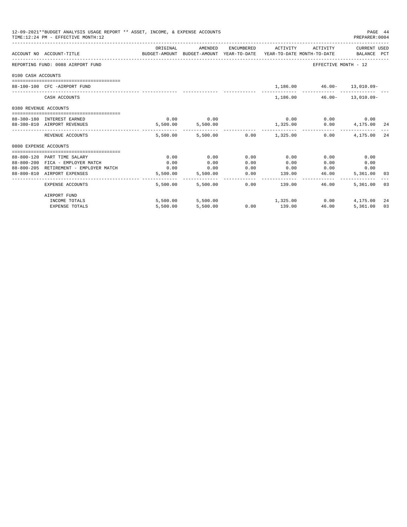| 12-09-2021**BUDGET ANALYSIS USAGE REPORT ** ASSET, INCOME, & EXPENSE ACCOUNTS<br>PAGE 44<br>TIME: 12:24 PM - EFFECTIVE MONTH: 12<br>PREPARER: 0004 |                                                                                            |                                                                                             |                        |              |                                                           |                                  |              |     |  |
|----------------------------------------------------------------------------------------------------------------------------------------------------|--------------------------------------------------------------------------------------------|---------------------------------------------------------------------------------------------|------------------------|--------------|-----------------------------------------------------------|----------------------------------|--------------|-----|--|
|                                                                                                                                                    | ACCOUNT NO ACCOUNT-TITLE                                                                   | ORIGINAL<br>BUDGET-AMOUNT BUDGET-AMOUNT YEAR-TO-DATE YEAR-TO-DATE MONTH-TO-DATE BALANCE PCT | AMENDED                |              | ENCUMBERED ACTIVITY                                       | ACTIVITY CURRENT USED            |              |     |  |
|                                                                                                                                                    | REPORTING FUND: 0088 AIRPORT FUND                                                          |                                                                                             |                        |              |                                                           | EFFECTIVE MONTH - 12             |              |     |  |
| 0100 CASH ACCOUNTS                                                                                                                                 |                                                                                            |                                                                                             |                        |              |                                                           |                                  |              |     |  |
|                                                                                                                                                    | 88-100-100 CFC -AIRPORT FUND                                                               |                                                                                             |                        |              |                                                           | 1,186.00   46.00   13,010.09   - |              |     |  |
|                                                                                                                                                    | CASH ACCOUNTS                                                                              |                                                                                             |                        |              |                                                           |                                  |              |     |  |
| 0380 REVENUE ACCOUNTS                                                                                                                              |                                                                                            |                                                                                             |                        |              |                                                           |                                  |              |     |  |
|                                                                                                                                                    | 88-380-180 INTEREST EARNED                                                                 |                                                                                             | $0.00$ 0.00            |              |                                                           | $0.00$ $0.00$ $0.00$ $0.00$      |              |     |  |
|                                                                                                                                                    | 88-380-810 AIRPORT REVENUES                                                                |                                                                                             | 5,500.00 5,500.00      |              | $1,325.00$ $0.00$ $4,175.00$ $24$                         |                                  |              |     |  |
|                                                                                                                                                    | REVENUE ACCOUNTS                                                                           |                                                                                             |                        |              | $5.500.00$ $5.500.00$ $0.00$ $1.325.00$ $0.00$ $4.175.00$ |                                  |              | 2.4 |  |
| 0800 EXPENSE ACCOUNTS                                                                                                                              |                                                                                            |                                                                                             |                        |              |                                                           |                                  |              |     |  |
|                                                                                                                                                    |                                                                                            |                                                                                             |                        |              |                                                           |                                  |              |     |  |
|                                                                                                                                                    | 88-800-120 PART TIME SALARY                                                                | 0.00                                                                                        | 0.00                   | 0.00         | 0.00                                                      | 0.00                             | 0.00         |     |  |
|                                                                                                                                                    | 88-800-200 FICA - EMPLOYER MATCH<br>88-800-205 RETIREMENT - EMPLOYER MATCH 60.00 0.00 0.00 | 0.00                                                                                        | 0.00                   | 0.00<br>0.00 | 0.00                                                      | 0.00<br>$0.00$ 0.00              | 0.00<br>0.00 |     |  |
|                                                                                                                                                    | 88-800-810 AIRPORT EXPENSES                                                                |                                                                                             | 5,500.00 5,500.00 0.00 |              |                                                           | 139.00 46.00                     | 5,361.00 03  |     |  |
|                                                                                                                                                    | EXPENSE ACCOUNTS                                                                           |                                                                                             |                        |              | 5,500.00 5,500.00 0.00 139.00                             | 46.00                            | 5,361.00 03  |     |  |
|                                                                                                                                                    | AIRPORT FUND                                                                               |                                                                                             |                        |              |                                                           |                                  |              |     |  |
|                                                                                                                                                    | INCOME TOTALS                                                                              |                                                                                             |                        |              | $5,500.00$ $5,500.00$ $1,325.00$ $0.00$                   |                                  | 4,175.00     | 24  |  |
|                                                                                                                                                    | <b>EXPENSE TOTALS</b>                                                                      |                                                                                             | 5,500.00 5,500.00      |              | $0.00$ 139.00                                             | 46.00                            | 5,361.00     | 03  |  |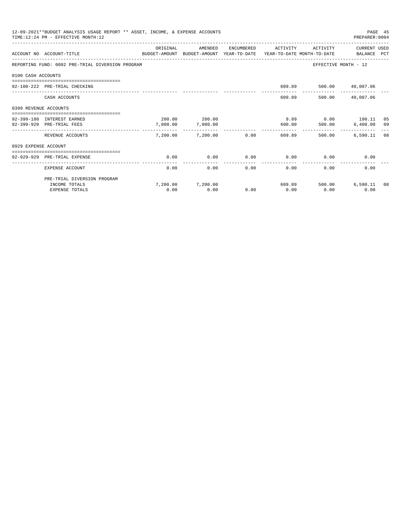|                       | 12-09-2021**BUDGET ANALYSIS USAGE REPORT ** ASSET, INCOME, & EXPENSE ACCOUNTS<br>TIME: 12:24 PM - EFFECTIVE MONTH: 12 |          |                            |            |             |                         | PREPARER: 0004       | PAGE 45 |
|-----------------------|-----------------------------------------------------------------------------------------------------------------------|----------|----------------------------|------------|-------------|-------------------------|----------------------|---------|
|                       | ACCOUNT NO ACCOUNT-TITLE<br>BUDGET-AMOUNT BUDGET-AMOUNT YEAR-TO-DATE YEAR-TO-DATE MONTH-TO-DATE   BALANCE PCT         | ORIGINAL | AMENDED                    | ENCUMBERED | ACTIVITY    | ACTIVITY                | CURRENT USED         |         |
|                       | REPORTING FUND: 0092 PRE-TRIAL DIVERSION PROGRAM                                                                      |          |                            |            |             |                         | EFFECTIVE MONTH - 12 |         |
| 0100 CASH ACCOUNTS    |                                                                                                                       |          |                            |            |             |                         |                      |         |
|                       | 92-100-222 PRE-TRIAL CHECKING                                                                                         |          |                            |            |             | 609.89 500.00 40,007.06 |                      |         |
|                       | CASH ACCOUNTS                                                                                                         |          |                            |            |             | 609.89                  | 500.00 40,007.06     |         |
|                       |                                                                                                                       |          |                            |            |             |                         |                      |         |
|                       | 92-399-180 INTEREST EARNED                                                                                            |          | 200.00 200.00              |            |             | $9.89$ 0.00 190.11      |                      | 05      |
| 0399 REVENUE ACCOUNTS | 92-399-920 PRE-TRIAL FEES                                                                                             | 7,000.00 | 7,000.00                   |            | 600.00      |                         | 500.00 6,400.00 09   |         |
|                       | REVENUE ACCOUNTS                                                                                                      |          | $7.200.00$ $7.200.00$ 0.00 |            | ----------- | 609.89<br>500.00        | 6,590.11 08          |         |
| 0929 EXPENSE ACCOUNT  |                                                                                                                       |          |                            |            |             |                         |                      |         |
|                       | ------------------------------<br>92-929-929 PRE-TRIAL EXPENSE                                                        | 0.00     | 0.00                       | 0.00       |             | $0.00$ 0.00             | 0.00                 |         |
|                       | EXPENSE ACCOUNT                                                                                                       | 0.00     | 0.00                       |            | 0.00        | 0.00                    | 0.00<br>0.00         |         |
|                       | PRE-TRIAL DIVERSION PROGRAM                                                                                           |          |                            |            |             |                         |                      |         |
|                       | INCOME TOTALS                                                                                                         |          | 7.200.00 7.200.00          |            |             | 609.89 500.00 6,590.11  |                      | 08      |
|                       | <b>EXPENSE TOTALS</b>                                                                                                 | 0.00     | 0.00                       | 0.00       | 0.00        | 0.00                    | 0.00                 |         |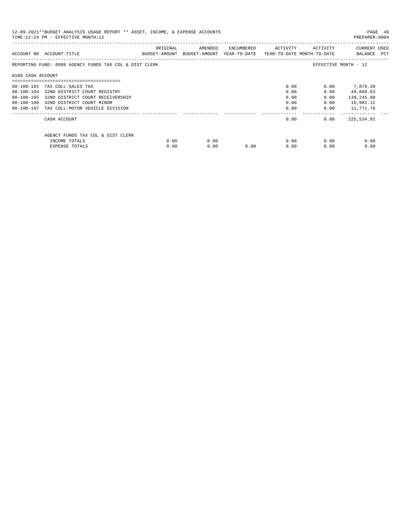| 12-09-2021**BUDGET ANALYSIS USAGE REPORT ** ASSET, INCOME, & EXPENSE ACCOUNTS<br>PAGE 46<br>TIME:12:24 PM - EFFECTIVE MONTH:12<br>PREPARER: 0004<br>CURRENT USED<br>ORIGINAL<br>AMENDED<br>ENCUMBERED ACTIVITY<br>ACTIVITY<br>BALANCE PCT<br>ACCOUNT NO ACCOUNT-TITLE<br>BUDGET-AMOUNT BUDGET-AMOUNT YEAR-TO-DATE YEAR-TO-DATE MONTH-TO-DATE<br>REPORTING FUND: 0098 AGENCY FUNDS TAX COL & DIST CLERK<br>EFFECTIVE MONTH - 12<br>0100 CASH ACCOUNT<br>0.00<br>98-100-101 TAX COLL-SALES TAX<br>0.00<br>7,876.39<br>0.00<br>0.00<br>98-100-104 32ND DISTRICT COURT REGISTRY<br>49,660.63<br>98-100-105 32ND DISTRICT COURT RECEIVERSHIP<br>0.00<br>0.00<br>139,245.00<br>0.00<br>0.00<br>98-100-106 32ND DISTRICT COURT MINOR<br>16,981.12<br>0.00<br>$0.00$ 11,771.78<br>98-100-107 TAX COLL-MOTOR VEHICLE DIVISION<br>225,534.92<br>0.00<br>0.00<br>CASH ACCOUNT |      |      |      |      |                           |      |  |
|--------------------------------------------------------------------------------------------------------------------------------------------------------------------------------------------------------------------------------------------------------------------------------------------------------------------------------------------------------------------------------------------------------------------------------------------------------------------------------------------------------------------------------------------------------------------------------------------------------------------------------------------------------------------------------------------------------------------------------------------------------------------------------------------------------------------------------------------------------------------|------|------|------|------|---------------------------|------|--|
|                                                                                                                                                                                                                                                                                                                                                                                                                                                                                                                                                                                                                                                                                                                                                                                                                                                                    |      |      |      |      |                           |      |  |
|                                                                                                                                                                                                                                                                                                                                                                                                                                                                                                                                                                                                                                                                                                                                                                                                                                                                    |      |      |      |      |                           |      |  |
|                                                                                                                                                                                                                                                                                                                                                                                                                                                                                                                                                                                                                                                                                                                                                                                                                                                                    |      |      |      |      |                           |      |  |
|                                                                                                                                                                                                                                                                                                                                                                                                                                                                                                                                                                                                                                                                                                                                                                                                                                                                    |      |      |      |      |                           |      |  |
|                                                                                                                                                                                                                                                                                                                                                                                                                                                                                                                                                                                                                                                                                                                                                                                                                                                                    |      |      |      |      |                           |      |  |
|                                                                                                                                                                                                                                                                                                                                                                                                                                                                                                                                                                                                                                                                                                                                                                                                                                                                    |      |      |      |      |                           |      |  |
|                                                                                                                                                                                                                                                                                                                                                                                                                                                                                                                                                                                                                                                                                                                                                                                                                                                                    |      |      |      |      |                           |      |  |
|                                                                                                                                                                                                                                                                                                                                                                                                                                                                                                                                                                                                                                                                                                                                                                                                                                                                    |      |      |      |      |                           |      |  |
|                                                                                                                                                                                                                                                                                                                                                                                                                                                                                                                                                                                                                                                                                                                                                                                                                                                                    |      |      |      |      |                           |      |  |
| AGENCY FUNDS TAX COL & DIST CLERK                                                                                                                                                                                                                                                                                                                                                                                                                                                                                                                                                                                                                                                                                                                                                                                                                                  |      |      |      |      |                           |      |  |
| INCOME TOTALS                                                                                                                                                                                                                                                                                                                                                                                                                                                                                                                                                                                                                                                                                                                                                                                                                                                      | 0.00 | 0.00 |      |      | $0.00$ and $0.00$<br>0.00 | 0.00 |  |
| <b>EXPENSE TOTALS</b>                                                                                                                                                                                                                                                                                                                                                                                                                                                                                                                                                                                                                                                                                                                                                                                                                                              | 0.00 | 0.00 | 0.00 | 0.00 | 0.00                      | 0.00 |  |